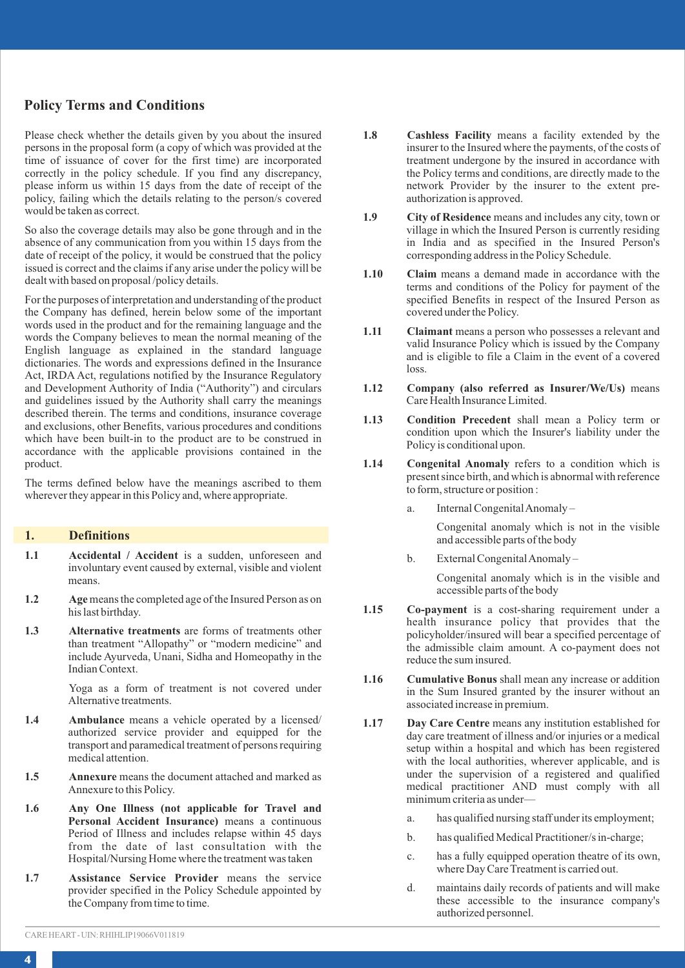### **Policy Terms and Conditions**

Please check whether the details given by you about the insured persons in the proposal form (a copy of which was provided at the time of issuance of cover for the first time) are incorporated correctly in the policy schedule. If you find any discrepancy, please inform us within 15 days from the date of receipt of the policy, failing which the details relating to the person/s covered would be taken as correct.

So also the coverage details may also be gone through and in the absence of any communication from you within 15 days from the date of receipt of the policy, it would be construed that the policy issued is correct and the claims if any arise under the policy will be dealt with based on proposal /policy details.

For the purposes of interpretation and understanding of the product the Company has defined, herein below some of the important words used in the product and for the remaining language and the words the Company believes to mean the normal meaning of the English language as explained in the standard language dictionaries. The words and expressions defined in the Insurance Act, IRDA Act, regulations notified by the Insurance Regulatory and Development Authority of India ("Authority") and circulars and guidelines issued by the Authority shall carry the meanings described therein. The terms and conditions, insurance coverage and exclusions, other Benefits, various procedures and conditions which have been built-in to the product are to be construed in accordance with the applicable provisions contained in the product.

The terms defined below have the meanings ascribed to them wherever they appear in this Policy and, where appropriate.

### **1. Definitions**

- **1.1 Accidental / Accident** is a sudden, unforeseen and involuntary event caused by external, visible and violent means.
- 1.2 Age means the completed age of the Insured Person as on his last birthday.
- **1.3 Alternative treatments** are forms of treatments other than treatment "Allopathy" or "modern medicine" and include Ayurveda, Unani, Sidha and Homeopathy in the Indian Context.

Yoga as a form of treatment is not covered under Alternative treatments.

- **1.4 Ambulance** means a vehicle operated by a licensed/ authorized service provider and equipped for the transport and paramedical treatment of persons requiring medical attention.
- 1.5 **Annexure** means the document attached and marked as Annexure to this Policy.
- **1.6 Any One Illness (not applicable for Travel and Personal Accident Insurance)** means a continuous Period of Illness and includes relapse within 45 days from the date of last consultation with the Hospital/Nursing Home where the treatment was taken
- **1.7 Assistance Service Provider** means the service provider specified in the Policy Schedule appointed by the Company from time to time.
- **1.8 Cashless Facility** means a facility extended by the insurer to the Insured where the payments, of the costs of treatment undergone by the insured in accordance with the Policy terms and conditions, are directly made to the network Provider by the insurer to the extent preauthorization is approved.
- **1.9 City of Residence** means and includes any city, town or village in which the Insured Person is currently residing in India and as specified in the Insured Person's corresponding address in the Policy Schedule.
- **1.10 Claim** means a demand made in accordance with the terms and conditions of the Policy for payment of the specified Benefits in respect of the Insured Person as covered under the Policy.
- **1.11 Claimant** means a person who possesses a relevant and valid Insurance Policy which is issued by the Company and is eligible to file a Claim in the event of a covered  $l$ oss.
- **1.12 Company (also referred as Insurer/We/Us)** means Care Health Insurance Limited.
- **1.13 Condition Precedent** shall mean a Policy term or condition upon which the Insurer's liability under the Policy is conditional upon.
- **1.14 Congenital Anomaly** refers to a condition which is present since birth, and which is abnormal with reference to form, structure or position :
	- a. Internal Congenital Anomaly –

Congenital anomaly which is not in the visible and accessible parts of the body

b. External Congenital Anomaly –

Congenital anomaly which is in the visible and accessible parts of the body

- **1.15 Co-payment** is a cost-sharing requirement under a health insurance policy that provides that the policyholder/insured will bear a specified percentage of the admissible claim amount. A co-payment does not reduce the sum insured.
- **1.16 Cumulative Bonus** shall mean any increase or addition in the Sum Insured granted by the insurer without an associated increase in premium.
- **1.17 Day Care Centre** means any institution established for day care treatment of illness and/or injuries or a medical setup within a hospital and which has been registered with the local authorities, wherever applicable, and is under the supervision of a registered and qualified medical practitioner AND must comply with all minimum criteria as under
	- a. has qualified nursing staff under its employment;
	- b. has qualified Medical Practitioner/s in-charge;
	- c. has a fully equipped operation theatre of its own, where Day Care Treatment is carried out.
	- d. maintains daily records of patients and will make these accessible to the insurance company's authorized personnel.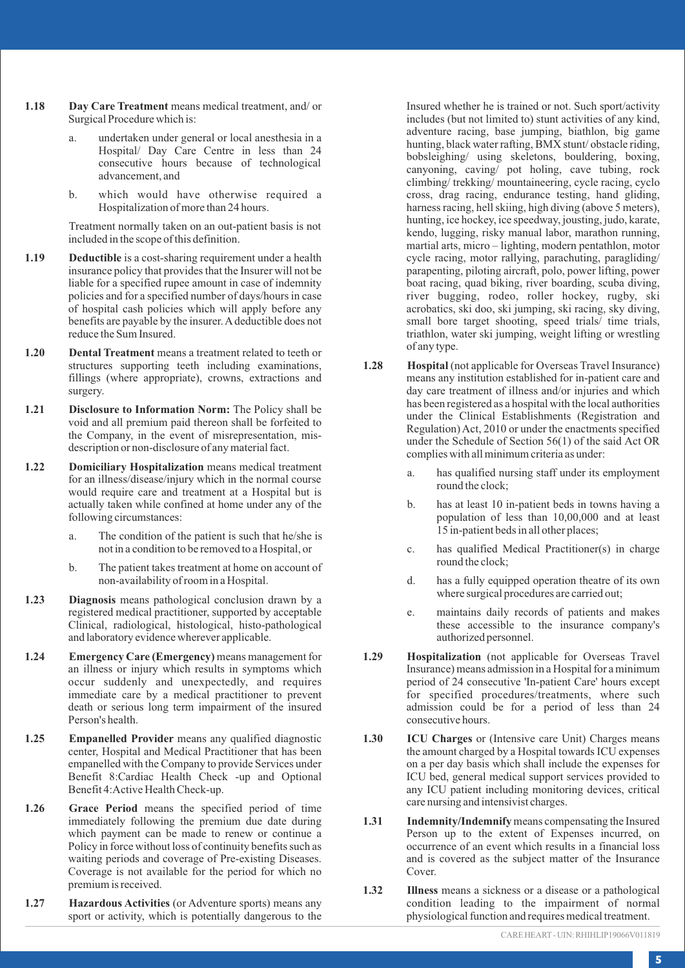- **1.18 Day Care Treatment** means medical treatment, and/ or Surgical Procedure which is:
	- undertaken under general or local anesthesia in a Hospital/ Day Care Centre in less than 24 consecutive hours because of technological advancement, and
	- b. which would have otherwise required a Hospitalization of more than 24 hours.

Treatment normally taken on an out-patient basis is not included in the scope of this definition.

- **1.19** Deductible is a cost-sharing requirement under a health insurance policy that provides that the Insurer will not be liable for a specified rupee amount in case of indemnity policies and for a specified number of days/hours in case of hospital cash policies which will apply before any benefits are payable by the insurer. Adeductible does not reduce the Sum Insured.
- **1.20 Dental Treatment** means a treatment related to teeth or structures supporting teeth including examinations, fillings (where appropriate), crowns, extractions and surgery.
- **1.21 Disclosure to Information Norm:** The Policy shall be void and all premium paid thereon shall be forfeited to the Company, in the event of misrepresentation, misdescription or non-disclosure of any material fact.
- **1.22 Domiciliary Hospitalization** means medical treatment for an illness/disease/injury which in the normal course would require care and treatment at a Hospital but is actually taken while confined at home under any of the following circumstances:
	- a. The condition of the patient is such that he/she is not in a condition to be removed to a Hospital, or
	- b. The patient takes treatment at home on account of non-availability of room in a Hospital.
- **1.23 Diagnosis** means pathological conclusion drawn by a registered medical practitioner, supported by acceptable Clinical, radiological, histological, histo-pathological and laboratory evidence wherever applicable.
- **1.24 Emergency Care (Emergency)** means management for an illness or injury which results in symptoms which occur suddenly and unexpectedly, and requires immediate care by a medical practitioner to prevent death or serious long term impairment of the insured Person's health.
- **1.25 Empanelled Provider** means any qualified diagnostic center, Hospital and Medical Practitioner that has been empanelled with the Company to provide Services under Benefit 8:Cardiac Health Check -up and Optional Benefit 4:Active Health Check-up.
- **1.26 Grace Period** means the specified period of time immediately following the premium due date during which payment can be made to renew or continue a Policy in force without loss of continuity benefits such as waiting periods and coverage of Pre-existing Diseases. Coverage is not available for the period for which no premium is received.
- **1.27 Hazardous Activities** (or Adventure sports) means any sport or activity, which is potentially dangerous to the

Insured whether he is trained or not. Such sport/activity includes (but not limited to) stunt activities of any kind, adventure racing, base jumping, biathlon, big game hunting, black water rafting, BMX stunt/ obstacle riding, bobsleighing/ using skeletons, bouldering, boxing, canyoning, caving/ pot holing, cave tubing, rock climbing/ trekking/ mountaineering, cycle racing, cyclo cross, drag racing, endurance testing, hand gliding, harness racing, hell skiing, high diving (above 5 meters), hunting, ice hockey, ice speedway, jousting, judo, karate, kendo, lugging, risky manual labor, marathon running, martial arts, micro – lighting, modern pentathlon, motor cycle racing, motor rallying, parachuting, paragliding/ parapenting, piloting aircraft, polo, power lifting, power boat racing, quad biking, river boarding, scuba diving, river bugging, rodeo, roller hockey, rugby, ski acrobatics, ski doo, ski jumping, ski racing, sky diving, small bore target shooting, speed trials/ time trials, triathlon, water ski jumping, weight lifting or wrestling of any type.

- **1.28 Hospital** (not applicable for Overseas Travel Insurance) means any institution established for in-patient care and day care treatment of illness and/or injuries and which has been registered as a hospital with the local authorities under the Clinical Establishments (Registration and Regulation) Act, 2010 or under the enactments specified under the Schedule of Section 56(1) of the said Act OR complies with all minimum criteria as under:
	- a. has qualified nursing staff under its employment round the clock;
	- b. has at least 10 in-patient beds in towns having a population of less than 10,00,000 and at least 15 in-patient beds in all other places;
	- c. has qualified Medical Practitioner(s) in charge round the clock;
	- d. has a fully equipped operation theatre of its own where surgical procedures are carried out;
	- e. maintains daily records of patients and makes these accessible to the insurance company's authorized personnel.
- **1.29 Hospitalization** (not applicable for Overseas Travel Insurance) means admission in a Hospital for a minimum period of 24 consecutive 'In-patient Care' hours except for specified procedures/treatments, where such admission could be for a period of less than 24 consecutive hours.
- **1.30 ICU Charges** or (Intensive care Unit) Charges means the amount charged by a Hospital towards ICU expenses on a per day basis which shall include the expenses for ICU bed, general medical support services provided to any ICU patient including monitoring devices, critical care nursing and intensivist charges.
- 1.31 Indemnity/Indemnify means compensating the Insured Person up to the extent of Expenses incurred, on occurrence of an event which results in a financial loss and is covered as the subject matter of the Insurance Cover
- **1.32 Illness** means a sickness or a disease or a pathological condition leading to the impairment of normal physiological function and requires medical treatment.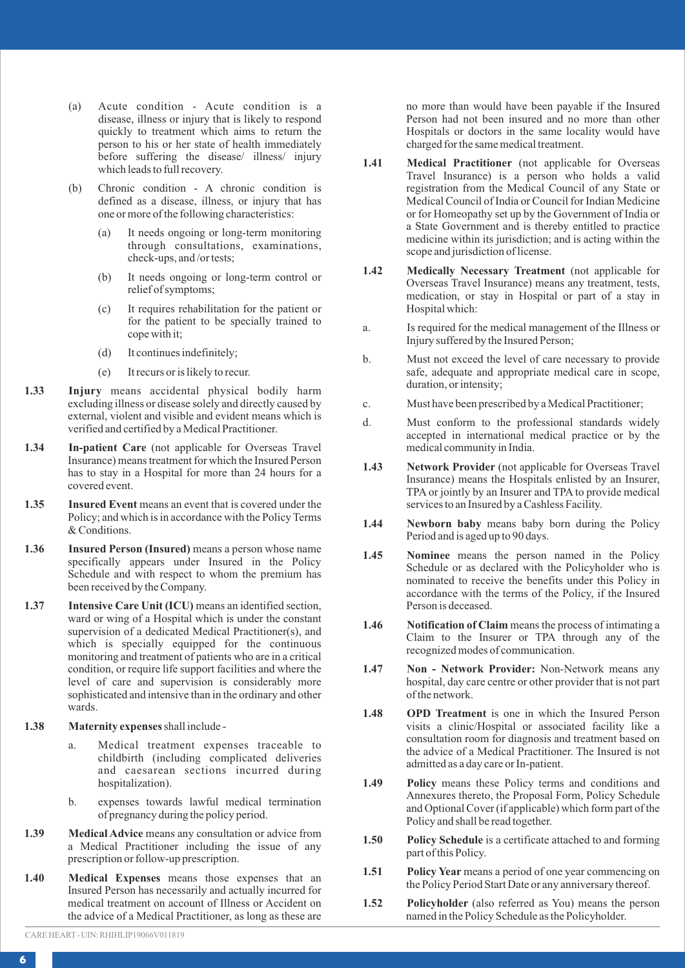- (a) Acute condition Acute condition is a disease, illness or injury that is likely to respond quickly to treatment which aims to return the person to his or her state of health immediately before suffering the disease/ illness/ injury which leads to full recovery.
- (b) Chronic condition A chronic condition is defined as a disease, illness, or injury that has one or more of the following characteristics:
	- (a) It needs ongoing or long-term monitoring through consultations, examinations, check-ups, and /or tests;
	- (b) It needs ongoing or long-term control or relief of symptoms;
	- (c) It requires rehabilitation for the patient or for the patient to be specially trained to cope with it;
	- (d) It continues indefinitely;
	- (e) It recurs or is likely to recur.
- **1.33 Injury** means accidental physical bodily harm excluding illness or disease solely and directly caused by external, violent and visible and evident means which is verified and certified by a Medical Practitioner.
- **1.34 In-patient Care** (not applicable for Overseas Travel Insurance) means treatment for which the Insured Person has to stay in a Hospital for more than 24 hours for a covered event.
- **1.35** Insured Event means an event that is covered under the Policy; and which is in accordance with the Policy Terms & Conditions.
- **1.36 Insured Person (Insured)** means a person whose name specifically appears under Insured in the Policy Schedule and with respect to whom the premium has been received by the Company.
- **1.37 Intensive Care Unit (ICU)** means an identified section, ward or wing of a Hospital which is under the constant supervision of a dedicated Medical Practitioner(s), and which is specially equipped for the continuous monitoring and treatment of patients who are in a critical condition, or require life support facilities and where the level of care and supervision is considerably more sophisticated and intensive than in the ordinary and other wards.
- **1.38 Maternity expenses** shall include
	- a. Medical treatment expenses traceable to childbirth (including complicated deliveries and caesarean sections incurred during hospitalization).
	- b. expenses towards lawful medical termination of pregnancy during the policy period.
- **1.39 Medical Advice** means any consultation or advice from a Medical Practitioner including the issue of any prescription or follow-up prescription.
- **1.40 Medical Expenses** means those expenses that an Insured Person has necessarily and actually incurred for medical treatment on account of Illness or Accident on the advice of a Medical Practitioner, as long as these are

no more than would have been payable if the Insured Person had not been insured and no more than other Hospitals or doctors in the same locality would have charged for the same medical treatment.

- **1.41 Medical Practitioner** (not applicable for Overseas Travel Insurance) is a person who holds a valid registration from the Medical Council of any State or Medical Council of India or Council for Indian Medicine or for Homeopathy set up by the Government of India or a State Government and is thereby entitled to practice medicine within its jurisdiction; and is acting within the scope and jurisdiction of license.
- **1.42 Medically Necessary Treatment** (not applicable for Overseas Travel Insurance) means any treatment, tests, medication, or stay in Hospital or part of a stay in Hospital which:
- a. Is required for the medical management of the Illness or Injury suffered by the Insured Person;
- b. Must not exceed the level of care necessary to provide safe, adequate and appropriate medical care in scope, duration, or intensity;
- c. Must have been prescribed by a Medical Practitioner;
- d. Must conform to the professional standards widely accepted in international medical practice or by the medical community in India.
- **1.43 Network Provider** (not applicable for Overseas Travel Insurance) means the Hospitals enlisted by an Insurer, TPA or jointly by an Insurer and TPA to provide medical services to an Insured by a Cashless Facility.
- **1.44 Newborn baby** means baby born during the Policy Period and is aged up to 90 days.
- **1.45 Nominee** means the person named in the Policy Schedule or as declared with the Policyholder who is nominated to receive the benefits under this Policy in accordance with the terms of the Policy, if the Insured Person is deceased.
- **1.46** Notification of Claim means the process of intimating a Claim to the Insurer or TPA through any of the recognized modes of communication.
- **1.47 Non Network Provider:** Non-Network means any hospital, day care centre or other provider that is not part of the network.
- **1.48 OPD Treatment** is one in which the Insured Person visits a clinic/Hospital or associated facility like a consultation room for diagnosis and treatment based on the advice of a Medical Practitioner. The Insured is not admitted as a day care or In-patient.
- **1.49 Policy** means these Policy terms and conditions and Annexures thereto, the Proposal Form, Policy Schedule and Optional Cover (if applicable) which form part of the Policy and shall be read together.
- **1.50 Policy Schedule** is a certificate attached to and forming part of this Policy.
- **1.51 Policy Year** means a period of one year commencing on the Policy Period Start Date or any anniversary thereof.
- **1.52 Policyholder** (also referred as You) means the person named in the Policy Schedule as the Policyholder.

CARE HEART - UIN: RHIHLIP19066V011819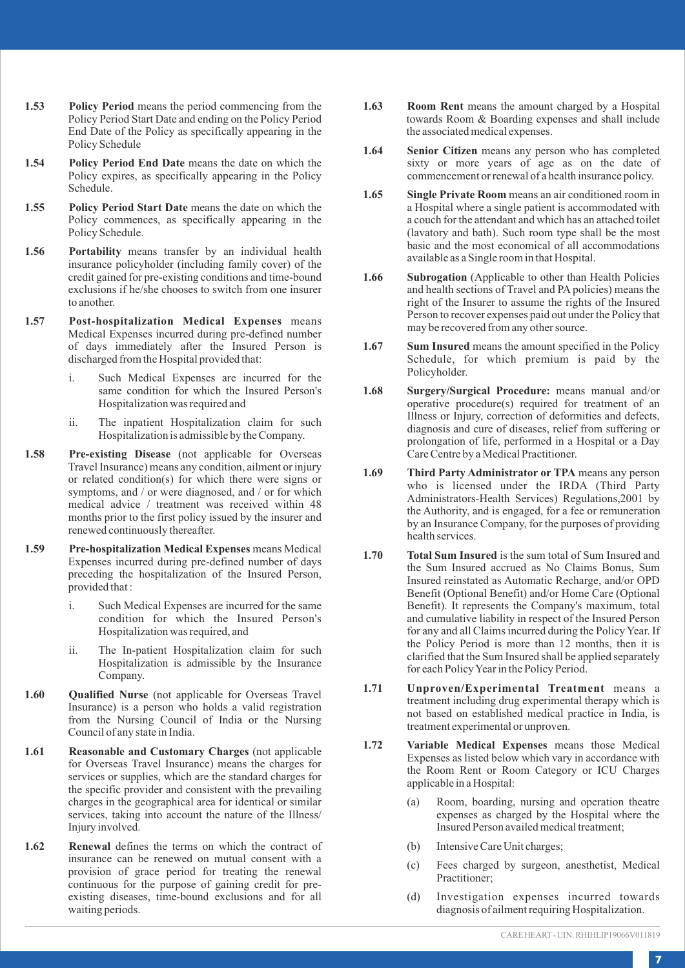- **1.53 Policy Period** means the period commencing from the Policy Period Start Date and ending on the Policy Period End Date of the Policy as specifically appearing in the Policy Schedule
- 1.54 Policy Period End Date means the date on which the Policy expires, as specifically appearing in the Policy Schedule.
- **1.55 Policy Period Start Date** means the date on which the Policy commences, as specifically appearing in the Policy Schedule.
- **1.56 Portability** means transfer by an individual health insurance policyholder (including family cover) of the credit gained for pre-existing conditions and time-bound exclusions if he/she chooses to switch from one insurer to another.
- **1.57 Post-hospitalization Medical Expenses** means Medical Expenses incurred during pre-defined number of days immediately after the Insured Person is discharged from the Hospital provided that:
	- i. Such Medical Expenses are incurred for the same condition for which the Insured Person's Hospitalization was required and
	- ii. The inpatient Hospitalization claim for such Hospitalization is admissible by the Company.
- **1.58 Pre-existing Disease** (not applicable for Overseas Travel Insurance) means any condition, ailment or injury or related condition(s) for which there were signs or symptoms, and / or were diagnosed, and / or for which medical advice / treatment was received within 48 months prior to the first policy issued by the insurer and renewed continuously thereafter.
- **1.59 Pre-hospitalization Medical Expenses** means Medical Expenses incurred during pre-defined number of days preceding the hospitalization of the Insured Person, provided that :
	- i. Such Medical Expenses are incurred for the same condition for which the Insured Person's Hospitalization was required, and
	- ii. The In-patient Hospitalization claim for such Hospitalization is admissible by the Insurance Company.
- **1.60 Qualified Nurse** (not applicable for Overseas Travel Insurance) is a person who holds a valid registration from the Nursing Council of India or the Nursing Council of any state in India.
- **1.61 Reasonable and Customary Charges** (not applicable for Overseas Travel Insurance) means the charges for services or supplies, which are the standard charges for the specific provider and consistent with the prevailing charges in the geographical area for identical or similar services, taking into account the nature of the Illness/ Injury involved.
- **1.62 Renewal** defines the terms on which the contract of insurance can be renewed on mutual consent with a provision of grace period for treating the renewal continuous for the purpose of gaining credit for preexisting diseases, time-bound exclusions and for all waiting periods.
- **1.63 Room Rent** means the amount charged by a Hospital towards Room & Boarding expenses and shall include the associated medical expenses.
- **1.64 Senior Citizen** means any person who has completed sixty or more years of age as on the date of commencement or renewal of a health insurance policy.
- **1.65 Single Private Room** means an air conditioned room in a Hospital where a single patient is accommodated with a couch for the attendant and which has an attached toilet (lavatory and bath). Such room type shall be the most basic and the most economical of all accommodations available as a Single room in that Hospital.
- **1.66 Subrogation** (Applicable to other than Health Policies and health sections of Travel and PA policies) means the right of the Insurer to assume the rights of the Insured Person to recover expenses paid out under the Policy that may be recovered from any other source.
- **1.67** Sum Insured means the amount specified in the Policy Schedule, for which premium is paid by the Policyholder.
- **1.68 Surgery/Surgical Procedure:** means manual and/or operative procedure(s) required for treatment of an Illness or Injury, correction of deformities and defects, diagnosis and cure of diseases, relief from suffering or prolongation of life, performed in a Hospital or a Day Care Centre by a Medical Practitioner.
- **1.69 Third Party Administrator or TPA** means any person who is licensed under the IRDA (Third Party Administrators-Health Services) Regulations,2001 by the Authority, and is engaged, for a fee or remuneration by an Insurance Company, for the purposes of providing health services.
- **1.70 Total Sum Insured** is the sum total of Sum Insured and the Sum Insured accrued as No Claims Bonus, Sum Insured reinstated as Automatic Recharge, and/or OPD Benefit (Optional Benefit) and/or Home Care (Optional Benefit). It represents the Company's maximum, total and cumulative liability in respect of the Insured Person for any and all Claims incurred during the Policy Year. If the Policy Period is more than 12 months, then it is clarified that the Sum Insured shall be applied separately for each Policy Year in the Policy Period.
- **1.71 Unproven/Experimental Treatment** means a treatment including drug experimental therapy which is not based on established medical practice in India, is treatment experimental or unproven.
- **1.72 Variable Medical Expenses** means those Medical Expenses as listed below which vary in accordance with the Room Rent or Room Category or ICU Charges applicable in a Hospital:
	- (a) Room, boarding, nursing and operation theatre expenses as charged by the Hospital where the Insured Person availed medical treatment;
	- (b) Intensive Care Unit charges;
	- (c) Fees charged by surgeon, anesthetist, Medical Practitioner;
	- (d) Investigation expenses incurred towards diagnosis of ailment requiring Hospitalization.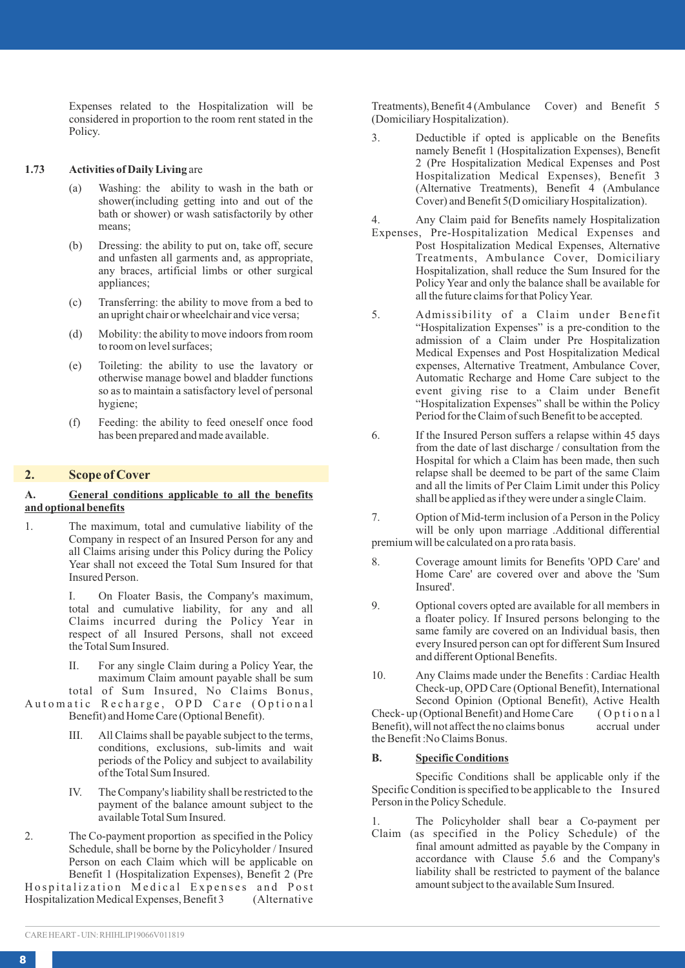Expenses related to the Hospitalization will be considered in proportion to the room rent stated in the Policy.

#### **1.73 Activities of Daily Living** are

- (a) Washing: the ability to wash in the bath or shower(including getting into and out of the bath or shower) or wash satisfactorily by other means;
- (b) Dressing: the ability to put on, take off, secure and unfasten all garments and, as appropriate, any braces, artificial limbs or other surgical appliances;
- (c) Transferring: the ability to move from a bed to an upright chair or wheelchair and vice versa;
- (d) Mobility: the ability to move indoors from room to room on level surfaces;
- (e) Toileting: the ability to use the lavatory or otherwise manage bowel and bladder functions so as to maintain a satisfactory level of personal hygiene;
- (f) Feeding: the ability to feed oneself once food has been prepared and made available.

### **2. Scope of Cover**

### **A. General conditions applicable to all the benefits and optional benefits**

1. The maximum, total and cumulative liability of the Company in respect of an Insured Person for any and all Claims arising under this Policy during the Policy Year shall not exceed the Total Sum Insured for that Insured Person.

> I. On Floater Basis, the Company's maximum, total and cumulative liability, for any and all Claims incurred during the Policy Year in respect of all Insured Persons, shall not exceed the Total Sum Insured.

> II. For any single Claim during a Policy Year, the maximum Claim amount payable shall be sum total of Sum Insured, No Claims Bonus,

Automatic Recharge, OPD Care (Optional Benefit) and Home Care (Optional Benefit).

- III. All Claims shall be payable subject to the terms, conditions, exclusions, sub-limits and wait periods of the Policy and subject to availability of the Total Sum Insured.
- IV. The Company's liability shall be restricted to the payment of the balance amount subject to the available Total Sum Insured.
- 2. The Co-payment proportion as specified in the Policy Schedule, shall be borne by the Policyholder / Insured Person on each Claim which will be applicable on Benefit 1 (Hospitalization Expenses), Benefit 2 (Pre Hospitalization Medical Expenses and Post<br>Hospitalization Medical Expenses. Benefit 3 (Alternative Hospitalization Medical Expenses, Benefit 3

Treatments), Benefit 4 (Ambulance Cover) and Benefit 5 (Domiciliary Hospitalization).

3. Deductible if opted is applicable on the Benefits namely Benefit 1 (Hospitalization Expenses), Benefit 2 (Pre Hospitalization Medical Expenses and Post Hospitalization Medical Expenses), Benefit 3 (Alternative Treatments), Benefit 4 (Ambulance Cover) and Benefit 5(D omiciliary Hospitalization).

4. Any Claim paid for Benefits namely Hospitalization

- Expenses, Pre-Hospitalization Medical Expenses and Post Hospitalization Medical Expenses, Alternative Treatments, Ambulance Cover, Domiciliary Hospitalization, shall reduce the Sum Insured for the Policy Year and only the balance shall be available for all the future claims for that Policy Year.
- 5. Admissibility of a Claim under Benefit "Hospitalization Expenses" is a pre-condition to the admission of a Claim under Pre Hospitalization Medical Expenses and Post Hospitalization Medical expenses, Alternative Treatment, Ambulance Cover, Automatic Recharge and Home Care subject to the event giving rise to a Claim under Benefit "Hospitalization Expenses" shall be within the Policy Period for the Claim of such Benefit to be accepted.
- 6. If the Insured Person suffers a relapse within 45 days from the date of last discharge / consultation from the Hospital for which a Claim has been made, then such relapse shall be deemed to be part of the same Claim and all the limits of Per Claim Limit under this Policy shall be applied as if they were under a single Claim.
- 7. Option of Mid-term inclusion of a Person in the Policy will be only upon marriage .Additional differential premium will be calculated on a pro rata basis.
- 8. Coverage amount limits for Benefits 'OPD Care' and Home Care' are covered over and above the 'Sum Insured'.
- 9. Optional covers opted are available for all members in a floater policy. If Insured persons belonging to the same family are covered on an Individual basis, then every Insured person can opt for different Sum Insured and different Optional Benefits.
- 10. Any Claims made under the Benefits : Cardiac Health Check-up, OPD Care (Optional Benefit), International Second Opinion (Optional Benefit), Active Health<br>of (Optional Benefit) and Home Care (Optional Check- up (Optional Benefit) and Home Care ( O p t i o n a l Benefit), will not affect the no claims bonus the Benefit :No Claims Bonus.

#### **B. Specific Conditions**

Specific Conditions shall be applicable only if the Specific Condition is specified to be applicable to the Insured Person in the Policy Schedule.

1. The Policyholder shall bear a Co-payment per Claim (as specified in the Policy Schedule) of the final amount admitted as payable by the Company in accordance with Clause 5.6 and the Company's liability shall be restricted to payment of the balance amount subject to the available Sum Insured.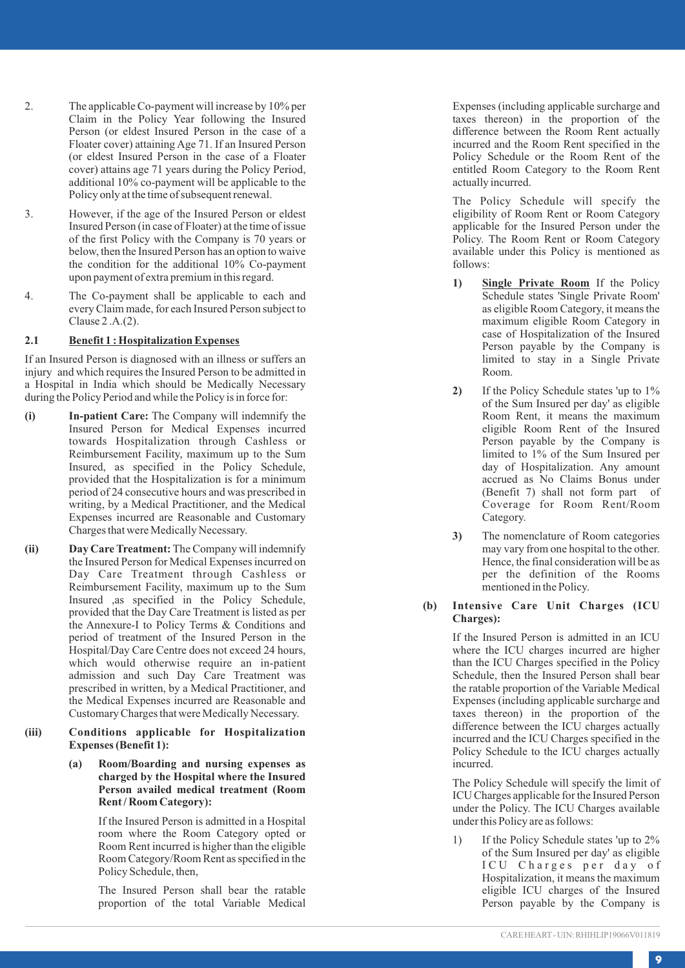- 2. The applicable Co-payment will increase by 10% per Claim in the Policy Year following the Insured Person (or eldest Insured Person in the case of a Floater cover) attaining Age 71. If an Insured Person (or eldest Insured Person in the case of a Floater cover) attains age 71 years during the Policy Period, additional 10% co-payment will be applicable to the Policy only at the time of subsequent renewal.
- 3. However, if the age of the Insured Person or eldest Insured Person (in case of Floater) at the time of issue of the first Policy with the Company is 70 years or below, then the Insured Person has an option to waive the condition for the additional 10% Co-payment upon payment of extra premium in this regard.
- 4. The Co-payment shall be applicable to each and every Claim made, for each Insured Person subject to Clause 2 .A.(2).

### **2.1 Benefit 1 : Hospitalization Expenses**

If an Insured Person is diagnosed with an illness or suffers an injury and which requires the Insured Person to be admitted in a Hospital in India which should be Medically Necessary during the Policy Period and while the Policy is in force for:

- **(i)** In-patient Care: The Company will indemnify the Insured Person for Medical Expenses incurred towards Hospitalization through Cashless or Reimbursement Facility, maximum up to the Sum Insured, as specified in the Policy Schedule, provided that the Hospitalization is for a minimum period of 24 consecutive hours and was prescribed in writing, by a Medical Practitioner, and the Medical Expenses incurred are Reasonable and Customary Charges that were Medically Necessary.
- **(ii) Day Care Treatment:** The Company will indemnify the Insured Person for Medical Expenses incurred on Day Care Treatment through Cashless or Reimbursement Facility, maximum up to the Sum Insured ,as specified in the Policy Schedule, provided that the Day Care Treatment is listed as per the Annexure-I to Policy Terms & Conditions and period of treatment of the Insured Person in the Hospital/Day Care Centre does not exceed 24 hours, which would otherwise require an in-patient admission and such Day Care Treatment was prescribed in written, by a Medical Practitioner, and the Medical Expenses incurred are Reasonable and Customary Charges that were Medically Necessary .
- **(iii)**  Conditions applicable for Hospitalization **Expenses (Benefit 1):**
	- **(a) Room/Boarding and nursing expenses as charged by the Hospital where the Insured Person availed medical treatment (Room Rent / Room Category):**

If the Insured Person is admitted in a Hospital room where the Room Category opted or Room Rent incurred is higher than the eligible Room Category/Room Rent as specified in the Policy Schedule, then,

The Insured Person shall bear the ratable proportion of the total Variable Medical Expenses (including applicable surcharge and taxes thereon) in the proportion of the difference between the Room Rent actually incurred and the Room Rent specified in the Policy Schedule or the Room Rent of the entitled Room Category to the Room Rent actually incurred.

The Policy Schedule will specify the eligibility of Room Rent or Room Category applicable for the Insured Person under the Policy. The Room Rent or Room Category available under this Policy is mentioned as follows:

- **1) Single Private Room** If the Policy Schedule states 'Single Private Room' as eligible Room Category, it means the maximum eligible Room Category in case of Hospitalization of the Insured Person payable by the Company is limited to stay in a Single Private Room.
- **2)** If the Policy Schedule states 'up to 1% of the Sum Insured per day' as eligible Room Rent, it means the maximum eligible Room Rent of the Insured Person payable by the Company is limited to 1% of the Sum Insured per day of Hospitalization. Any amount accrued as No Claims Bonus under<br>(Benefit 7) shall not form part of Coverage for Room Rent/Room Category .
- **3)** The nomenclature of Room categories may vary from one hospital to the other.<br>Hence, the final consideration will be as per the definition of the Rooms mentioned in the Policy.

#### **(b)**  Intensive Care Unit Charges (ICU **Charges):**

If the Insured Person is admitted in an ICU where the ICU charges incurred are higher than the ICU Charges specified in the Policy Schedule, then the Insured Person shall bear the ratable proportion of the Variable Medical Expenses (including applicable surcharge and taxes thereon) in the proportion of the difference between the ICU charges actually incurred and the ICU Charges specified in the Policy Schedule to the ICU charges actually incurred.

The Policy Schedule will specify the limit of ICU Charges applicable for the Insured Person under the Policy. The ICU Charges available under this Policy are as follows:

1) If the Policy Schedule states 'up to 2% of the Sum Insured per day' as eligible ICU Charges per day of Hospitalization, it means the maximum eligible ICU charges of the Insured Person payable by the Company is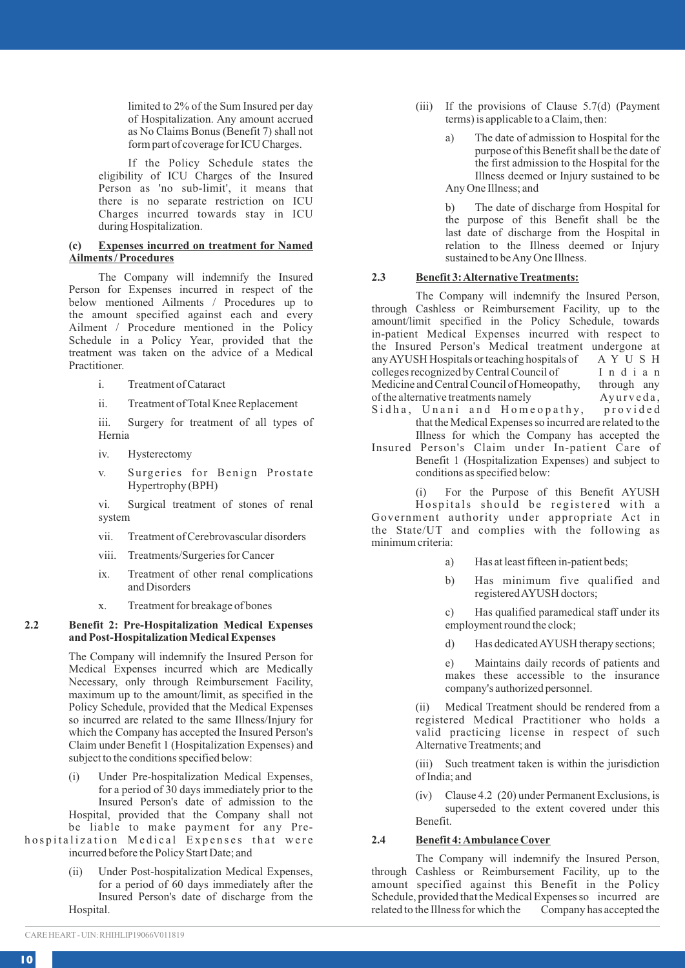limited to 2% of the Sum Insured per day of Hospitalization. Any amount accrued as No Claims Bonus (Benefit 7) shall not form part of coverage for ICU Charges.

If the Policy Schedule states the eligibility of ICU Charges of the Insured Person as 'no sub-limit', it means that there is no separate restriction on ICU Charges incurred towards stay in ICU during Hospitalization.

#### **(c) Expenses incurred on treatment for Named Ailments / Procedures**

The Company will indemnify the Insured Person for Expenses incurred in respect of the below mentioned Ailments / Procedures up to the amount specified against each and every Ailment / Procedure mentioned in the Policy Schedule in a Policy Year, provided that the treatment was taken on the advice of a Medical Practitioner.

- i. Treatment of Cataract
- ii. Treatment of Total Knee Replacement

iii. Surgery for treatment of all types of Hernia

- iv. Hysterectomy
- v. Surgeries for Benign Prostate Hypertrophy (BPH)

vi. Surgical treatment of stones of renal system

- vii. Treatment of Cerebrovascular disorders
- viii. Treatments/Surgeries for Cancer
- ix. Treatment of other renal complications and Disorders
- x. Treatment for breakage of bones

### **2.2 Benefit 2: Pre-Hospitalization Medical Expenses and Post-Hospitalization Medical Expenses**

The Company will indemnify the Insured Person for Medical Expenses incurred which are Medically Necessary, only through Reimbursement Facility, maximum up to the amount/limit, as specified in the Policy Schedule, provided that the Medical Expenses so incurred are related to the same Illness/Injury for which the Company has accepted the Insured Person's Claim under Benefit 1 (Hospitalization Expenses) and subject to the conditions specified below:

(i) Under Pre-hospitalization Medical Expenses, for a period of 30 days immediately prior to the Insured Person's date of admission to the Hospital, provided that the Company shall not be liable to make payment for any Pre-

- hospitalization Medical Expenses that were incurred before the Policy Start Date; and
	- (ii) Under Post-hospitalization Medical Expenses, for a period of 60 days immediately after the Insured Person's date of discharge from the Hospital.
- (iii) If the provisions of Clause 5.7(d) (Payment terms) is applicable to a Claim, then:
	- a) The date of admission to Hospital for the purpose of this Benefit shall be the date of the first admission to the Hospital for the Illness deemed or Injury sustained to be Any One Illness; and

b) The date of discharge from Hospital for the purpose of this Benefit shall be the last date of discharge from the Hospital in relation to the Illness deemed or Injury sustained to be Any One Illness.

### **2.3 Benefit 3: Alternative Treatments:**

The Company will indemnify the Insured Person, through Cashless or Reimbursement Facility, up to the amount/limit specified in the Policy Schedule, towards in-patient Medical Expenses incurred with respect to the Insured Person's Medical treatment undergone at any AYUSH Hospitals or teaching hospitals of  $A Y U S H$ <br>colleges recognized by Central Council of  $I n d i a n$ colleges recognized by Central Council of  $I$ n d i a n<br>Medicine and Central Council of Homeonathy. through any Medicine and Central Council of Homeopathy, through any of the alternative treatments namely Ayurveda, of the alternative treatments namely<br>Sidha, Unani and Homeopathy, provided

- Sidha, Unani and Homeopathy, that the Medical Expenses so incurred are related to the Illness for which the Company has accepted the
- Insured Person's Claim under In-patient Care of Benefit 1 (Hospitalization Expenses) and subject to conditions as specified below:
	- (i) For the Purpose of this Benefit AYUSH

Hospitals should be registered with a Government authority under appropriate Act in the State/UT and complies with the following as minimum criteria:

- a) Has at least fifteen in-patient beds;
- b) Has minimum five qualified and registered AYUSH doctors;

c) Has qualified paramedical staff under its employment round the clock;

d) Has dedicated AYUSH therapy sections;

e) Maintains daily records of patients and makes these accessible to the insurance company's authorized personnel.

(ii) Medical Treatment should be rendered from a registered Medical Practitioner who holds a valid practicing license in respect of such Alternative Treatments; and

(iii) Such treatment taken is within the jurisdiction of India; and

(iv) Clause 4.2 (20) under Permanent Exclusions, is superseded to the extent covered under this Benefit.

### **2.4 Benefit 4: Ambulance Cover**

The Company will indemnify the Insured Person, through Cashless or Reimbursement Facility, up to the amount specified against this Benefit in the Policy Schedule, provided that the Medical Expenses so incurred are related to the Illness for which the Company has accepted the related to the Illness for which the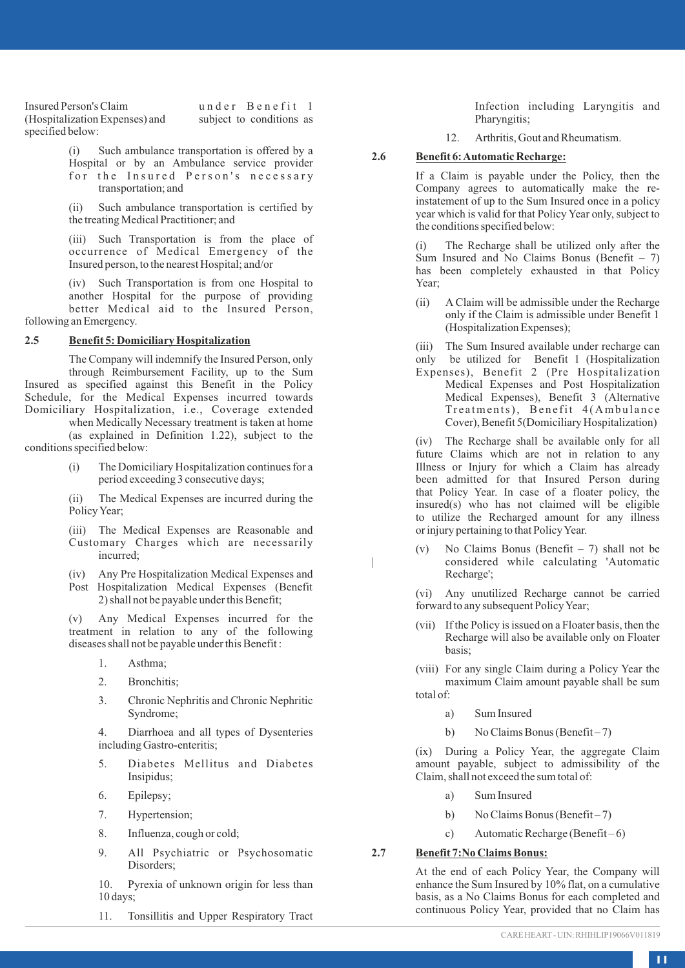Insured Person's Claim under Benefit 1<br>(Hospitalization Expenses) and subject to conditions as (Hospitalization Expenses) and specified below:

> (i) Such ambulance transportation is offered by a Hospital or by an Ambulance service provider for the Insured Person's necessary transportation; and

> (ii) Such ambulance transportation is certified by the treating Medical Practitioner; and

(iii) Such Transportation is from the place of occurrence of Medical Emergency of the Insured person, to the nearest Hospital; and/or

(iv) Such Transportation is from one Hospital to another Hospital for the purpose of providing better Medical aid to the Insured Person, following an Emergency.

### **2.5 Benefit 5: Domiciliary Hospitalization**

The Company will indemnify the Insured Person, only through Reimbursement Facility, up to the Sum Insured as specified against this Benefit in the Policy Schedule, for the Medical Expenses incurred towards Domiciliary Hospitalization, i.e., Coverage extended

when Medically Necessary treatment is taken at home (as explained in Definition 1.22), subject to the conditions specified below:

> (i) The Domiciliary Hospitalization continues for a period exceeding 3 consecutive days;

> (ii) The Medical Expenses are incurred during the Policy Year;

> (iii) The Medical Expenses are Reasonable and Customary Charges which are necessarily incurred;

- (iv) Any Pre Hospitalization Medical Expenses and
- Post Hospitalization Medical Expenses (Benefit 2) shall not be payable under this Benefit;

(v) Any Medical Expenses incurred for the treatment in relation to any of the following diseases shall not be payable under this Benefit :

- 1. Asthma;
- 2. Bronchitis;
- 3. Chronic Nephritis and Chronic Nephritic Syndrome;

4. Diarrhoea and all types of Dysenteries including Gastro-enteritis;

- 5. Diabetes Mellitus and Diabetes Insipidus;
- 6. Epilepsy;
- 7. Hypertension;
- 8. Influenza, cough or cold;
- 9. All Psychiatric or Psychosomatic Disorders;

10. Pyrexia of unknown origin for less than 10 days;

11. Tonsillitis and Upper Respiratory Tract

Infection including Laryngitis and Pharyngitis;

12. Arthritis, Gout and Rheumatism.

### **2.6 Benefit 6: Automatic Recharge:**

If a Claim is payable under the Policy, then the Company agrees to automatically make the reinstatement of up to the Sum Insured once in a policy year which is valid for that Policy Year only, subject to the conditions specified below:

(i) The Recharge shall be utilized only after the Sum Insured and No Claims Bonus (Benefit – 7) has been completely exhausted in that Policy Year;

- (ii) A Claim will be admissible under the Recharge only if the Claim is admissible under Benefit 1 (Hospitalization Expenses);
- (iii) The Sum Insured available under recharge can
- only be utilized for Benefit 1 (Hospitalization Expenses), Benefit 2 (Pre Hospitalization Medical Expenses and Post Hospitalization Medical Expenses), Benefit 3 (Alternative Treatments), Benefit 4 (Ambulance Cover), Benefit 5(Domiciliary Hospitalization)

(iv) The Recharge shall be available only for all future Claims which are not in relation to any Illness or Injury for which a Claim has already been admitted for that Insured Person during that Policy Year. In case of a floater policy, the insured(s) who has not claimed will be eligible to utilize the Recharged amount for any illness or injury pertaining to that Policy Year.

(v) No Claims Bonus (Benefit – 7) shall not be | considered while calculating 'Automatic Recharge';

(vi) Any unutilized Recharge cannot be carried forward to any subsequent Policy Year;

- (vii) If the Policy is issued on a Floater basis, then the Recharge will also be available only on Floater basis;
- (viii) For any single Claim during a Policy Year the maximum Claim amount payable shall be sum total of:
	- a) Sum Insured
	- b) No Claims Bonus (Benefit 7)

(ix) During a Policy Year, the aggregate Claim amount payable, subject to admissibility of the Claim, shall not exceed the sum total of:

- a) Sum Insured
- b) No Claims Bonus (Benefit 7)
- c) Automatic Recharge (Benefit 6)

### **2.7 Benefit 7:No Claims Bonus:**

At the end of each Policy Year, the Company will enhance the Sum Insured by 10% flat, on a cumulative basis, as a No Claims Bonus for each completed and continuous Policy Year, provided that no Claim has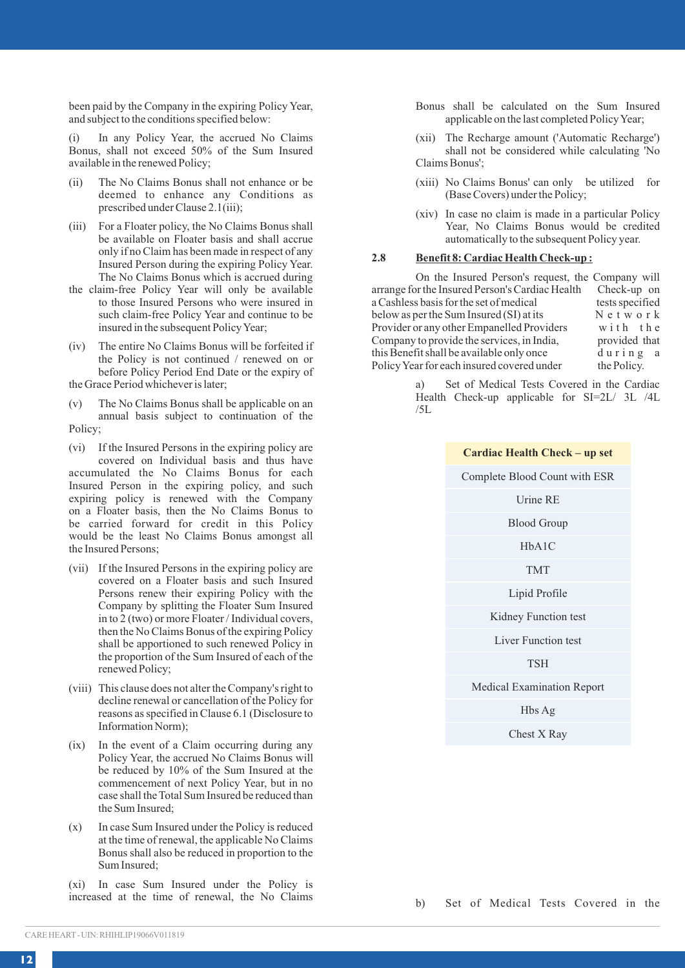been paid by the Company in the expiring Policy Year, and subject to the conditions specified below:

(i) In any Policy Year, the accrued No Claims Bonus, shall not exceed 50% of the Sum Insured available in the renewed Policy;

- (ii) The No Claims Bonus shall not enhance or be deemed to enhance any Conditions as prescribed under Clause 2.1(iii);
- (iii) For a Floater policy, the No Claims Bonus shall be available on Floater basis and shall accrue only if no Claim has been made in respect of any Insured Person during the expiring Policy Year. The No Claims Bonus which is accrued during
- the claim-free Policy Year will only be available to those Insured Persons who were insured in such claim-free Policy Year and continue to be insured in the subsequent Policy Year;
- (iv) The entire No Claims Bonus will be forfeited if the Policy is not continued / renewed on or before Policy Period End Date or the expiry of the Grace Period whichever is later;
- (v) The No Claims Bonus shall be applicable on an annual basis subject to continuation of the Policy;
- (vi) If the Insured Persons in the expiring policy are covered on Individual basis and thus have accumulated the No Claims Bonus for each Insured Person in the expiring policy, and such expiring policy is renewed with the Company on a Floater basis, then the No Claims Bonus to be carried forward for credit in this Policy would be the least No Claims Bonus amongst all the Insured Persons;
- (vii) If the Insured Persons in the expiring policy are covered on a Floater basis and such Insured Persons renew their expiring Policy with the Company by splitting the Floater Sum Insured in to 2 (two) or more Floater / Individual covers, then the No Claims Bonus of the expiring Policy shall be apportioned to such renewed Policy in the proportion of the Sum Insured of each of the renewed Policy;
- (viii) This clause does not alter the Company's right to decline renewal or cancellation of the Policy for reasons as specified in Clause 6.1 (Disclosure to Information Norm);
- (ix) In the event of a Claim occurring during any Policy Year, the accrued No Claims Bonus will be reduced by 10% of the Sum Insured at the commencement of next Policy Year, but in no case shall the Total Sum Insured be reduced than the Sum Insured;
- (x) In case Sum Insured under the Policy is reduced at the time of renewal, the applicable No Claims Bonus shall also be reduced in proportion to the Sum Insured;

(xi) In case Sum Insured under the Policy is increased at the time of renewal, the No Claims Bonus shall be calculated on the Sum Insured applicable on the last completed Policy Year;

- (xii) The Recharge amount ('Automatic Recharge') shall not be considered while calculating 'No Claims Bonus';
- (xiii) No Claims Bonus' can only be utilized for (Base Covers) under the Policy;
- (xiv) In case no claim is made in a particular Policy Year, No Claims Bonus would be credited automatically to the subsequent Policy year.

### **2.8 Benefit 8: Cardiac Health Check-up :**

On the Insured Person's request, the Company will arrange for the Insured Person's Cardiac Health Check-up on<br>a Cashless basis for the set of medical tests specified a Cashless basis for the set of medical tests specified<br>helow as per the Sum Insured (SI) at its  $N e t w o r k$ below as per the Sum Insured (SI) at its Network<br>Provider or any other Empanelled Providers with the Provider or any other Empanelled Providers with the<br>Company to provide the services, in India, provided that Company to provide the services, in India, provided that this Benefit shall be available only once  $d$  u r i n g a this Benefit shall be available only once du r i n g<br>Policy Year for each insured covered under the Policy. Policy Year for each insured covered under

> a) Set of Medical Tests Covered in the Cardiac Health Check-up applicable for SI=2L/ 3L /4L /5L

| Cardiac Health Check - up set     |
|-----------------------------------|
| Complete Blood Count with ESR     |
| Urine RE                          |
| <b>Blood Group</b>                |
| HbA1C                             |
| <b>TMT</b>                        |
| Lipid Profile                     |
| Kidney Function test              |
| <b>Liver Function test</b>        |
| <b>TSH</b>                        |
| <b>Medical Examination Report</b> |
| Hbs Ag                            |
| Chest X Rav                       |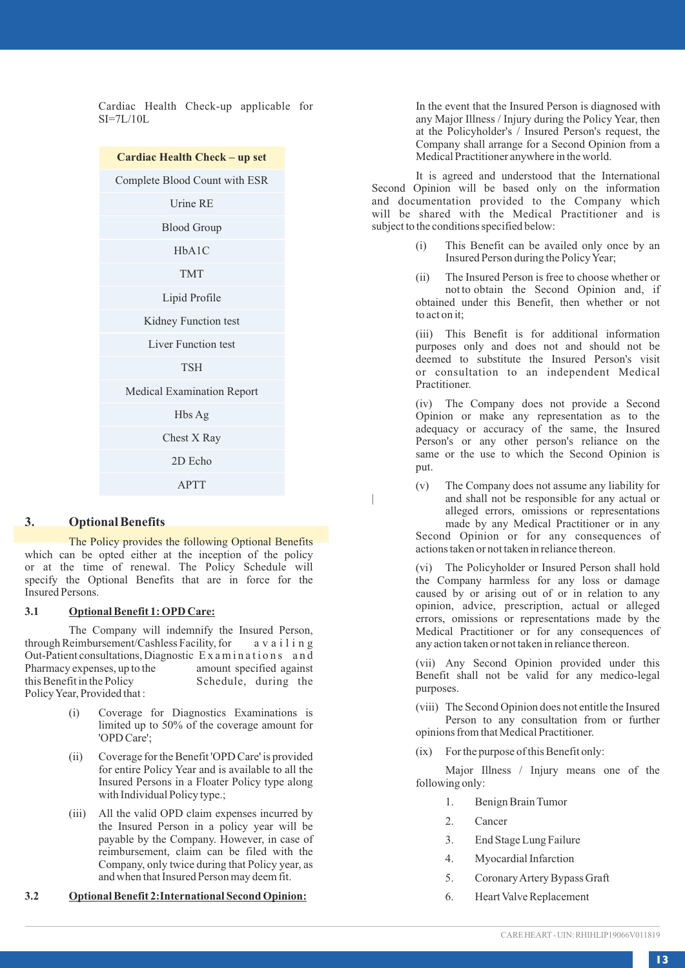Cardiac Health Check-up applicable for SI=7L/10L

| Cardiac Health Check - up set |
|-------------------------------|
| Complete Blood Count with ESR |
| <b>Urine RE</b>               |
| <b>Blood Group</b>            |
| HhA1C                         |
| <b>TMT</b>                    |
| Lipid Profile                 |
| Kidney Function test          |
| <b>Liver Function test</b>    |
| <b>TSH</b>                    |
| Medical Examination Report    |
| Hbs Ag                        |
| Chest X Ray                   |
| 2D Echo                       |
| <b>APTT</b>                   |
|                               |

### **3. Optional Benefits**

The Policy provides the following Optional Benefits which can be opted either at the inception of the policy or at the time of renewal. The Policy Schedule will specify the Optional Benefits that are in force for the Insured Persons.

### **3.1 Optional Benefit 1: OPD Care:**

The Company will indemnify the Insured Person, through Reimbursement/Cashless Facility, for a v a i l i n g Out-Patient consultations, Diagnostic Examinations and<br>Pharmacy expenses, up to the amount specified against Pharmacy expenses, up to the this Benefit in the Policy Schedule, during the Policy Year, Provided that :

- (i) Coverage for Diagnostics Examinations is limited up to 50% of the coverage amount for 'OPD Care';
- (ii) Coverage for the Benefit 'OPD Care' is provided for entire Policy Year and is available to all the Insured Persons in a Floater Policy type along with Individual Policy type.;
- (iii) All the valid OPD claim expenses incurred by the Insured Person in a policy year will be payable by the Company. However, in case of reimbursement, claim can be filed with the Company, only twice during that Policy year, as and when that Insured Person may deem fit.

**3.2 Optional Benefit 2:International Second Opinion:**

In the event that the Insured Person is diagnosed with any Major Illness / Injury during the Policy Year, then at the Policyholder's / Insured Person's request, the Company shall arrange for a Second Opinion from a Medical Practitioner anywhere in the world.

It is agreed and understood that the International Second Opinion will be based only on the information and documentation provided to the Company which will be shared with the Medical Practitioner and is subject to the conditions specified below:

> (i) This Benefit can be availed only once by an Insured Person during the Policy Year;

> (ii) The Insured Person is free to choose whether or not to obtain the Second Opinion and, if obtained under this Benefit, then whether or not to act on it;

> (iii) This Benefit is for additional information purposes only and does not and should not be deemed to substitute the Insured Person's visit or consultation to an independent Medical Practitioner.

> (iv) The Company does not provide a Second Opinion or make any representation as to the adequacy or accuracy of the same, the Insured Person's or any other person's reliance on the same or the use to which the Second Opinion is put.

> (v) The Company does not assume any liability for and shall not be responsible for any actual or alleged errors, omissions or representations made by any Medical Practitioner or in any Second Opinion or for any consequences of actions taken or not taken in reliance thereon.

> (vi) The Policyholder or Insured Person shall hold the Company harmless for any loss or damage caused by or arising out of or in relation to any opinion, advice, prescription, actual or alleged errors, omissions or representations made by the Medical Practitioner or for any consequences of any action taken or not taken in reliance thereon.

> (vii) Any Second Opinion provided under this Benefit shall not be valid for any medico-legal purposes.

> (viii) The Second Opinion does not entitle the Insured Person to any consultation from or further opinions from that Medical Practitioner.

(ix) For the purpose of this Benefit only:

Major Illness / Injury means one of the following only:

- 1. Benign Brain Tumor
- 2. Cancer
- 3. End Stage Lung Failure
- 4. Myocardial Infarction
- 5. Coronary Artery Bypass Graft
- 6. Heart Valve Replacement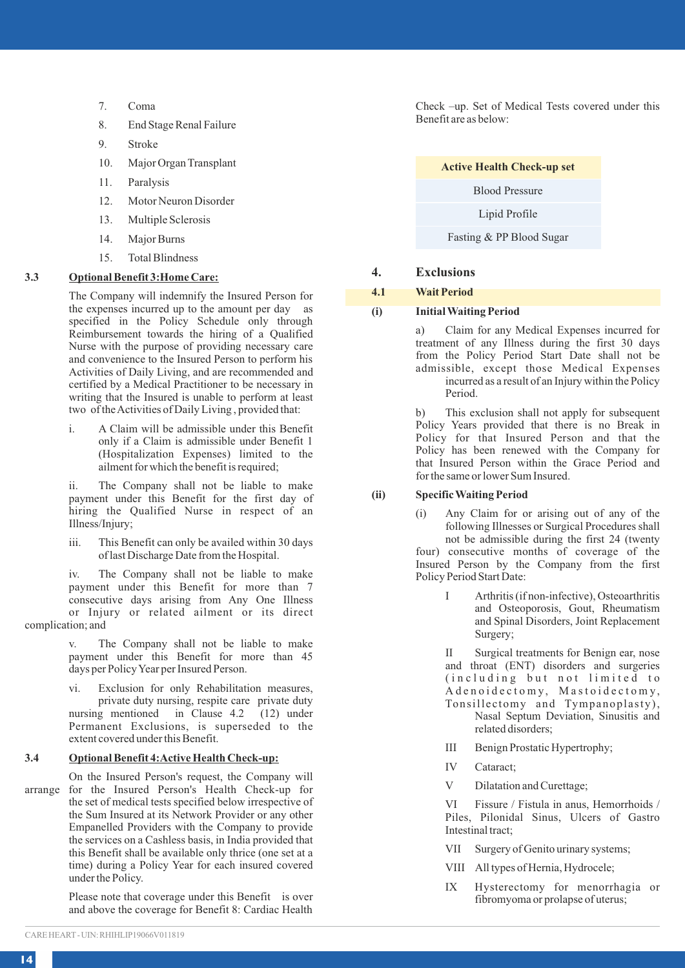- 7. Coma
- 8. End Stage Renal Failure
- 9. Stroke
- 10. Major Organ Transplant
- 11. Paralysis
- 12. Motor Neuron Disorder
- 13. Multiple Sclerosis
- 14. Major Burns
- 15. Total Blindness

### **3.3 Optional Benefit 3:Home Care:**

The Company will indemnify the Insured Person for the expenses incurred up to the amount per day as specified in the Policy Schedule only through Reimbursement towards the hiring of a Qualified Nurse with the purpose of providing necessary care and convenience to the Insured Person to perform his Activities of Daily Living, and are recommended and certified by a Medical Practitioner to be necessary in writing that the Insured is unable to perform at least two of the Activities of Daily Living , provided that:

i. A Claim will be admissible under this Benefit only if a Claim is admissible under Benefit 1 (Hospitalization Expenses) limited to the ailment for which the benefit is required;

ii. The Company shall not be liable to make payment under this Benefit for the first day of hiring the Qualified Nurse in respect of an Illness/Injury;

iii. This Benefit can only be availed within 30 days of last Discharge Date from the Hospital.

iv. The Company shall not be liable to make payment under this Benefit for more than 7 consecutive days arising from Any One Illness or Injury or related ailment or its direct complication; and

> v. The Company shall not be liable to make payment under this Benefit for more than 45 days per Policy Year per Insured Person.

> vi. Exclusion for only Rehabilitation measures, private duty nursing, respite care private duty nursing mentioned in Clause 4.2 (12) under Permanent Exclusions, is superseded to the extent covered under this Benefit.

#### **3.4 Optional Benefit 4:Active Health Check-up:**

On the Insured Person's request, the Company will arrange for the Insured Person's Health Check-up for the set of medical tests specified below irrespective of the Sum Insured at its Network Provider or any other Empanelled Providers with the Company to provide the services on a Cashless basis, in India provided that this Benefit shall be available only thrice (one set at a time) during a Policy Year for each insured covered under the Policy.

> Please note that coverage under this Benefit is over and above the coverage for Benefit 8: Cardiac Health

Check –up. Set of Medical Tests covered under this Benefit are as below:

### **4. Exclusions**

### **4.1 Wait Period**

### **(i) Initial Waiting Period**

a) Claim for any Medical Expenses incurred for treatment of any Illness during the first 30 days from the Policy Period Start Date shall not be admissible, except those Medical Expenses incurred as a result of an Injury within the Policy Period.

b) This exclusion shall not apply for subsequent Policy Years provided that there is no Break in Policy for that Insured Person and that the Policy has been renewed with the Company for that Insured Person within the Grace Period and for the same or lower Sum Insured.

#### **(ii) Specific Waiting Period**

- (i) Any Claim for or arising out of any of the following Illnesses or Surgical Procedures shall not be admissible during the first 24 (twenty four) consecutive months of coverage of the Insured Person by the Company from the first Policy Period Start Date:
	- I Arthritis (if non-infective), Osteoarthritis and Osteoporosis, Gout, Rheumatism and Spinal Disorders, Joint Replacement Surgery;

II Surgical treatments for Benign ear, nose and throat (ENT) disorders and surgeries (including but not limited to Ad en oidectomy, Mastoidectomy,<br>Tonsillectomy and Tympanoplasty),

- Nasal Septum Deviation, Sinusitis and related disorders;
- III Benign Prostatic Hypertrophy;
- IV Cataract;
- V Dilatation and Curettage;

VI Fissure / Fistula in anus, Hemorrhoids / Piles, Pilonidal Sinus, Ulcers of Gastro Intestinal tract;

- VII Surgery of Genito urinary systems;
- VIII All types of Hernia, Hydrocele;
- IX Hysterectomy for menorrhagia or fibromyoma or prolapse of uterus;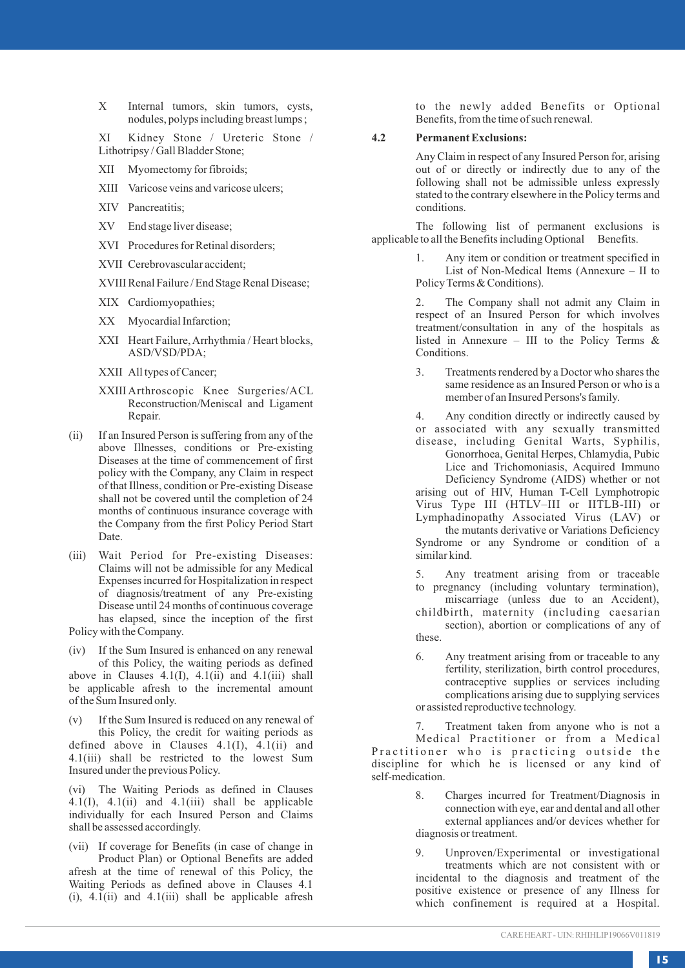X Internal tumors, skin tumors, cysts, nodules, polyps including breast lumps ;

XI Kidney Stone / Ureteric Stone / Lithotripsy / Gall Bladder Stone;

- XII Myomectomy for fibroids;
- XIII Varicose veins and varicose ulcers;
- XIV Pancreatitis;
- XV End stage liver disease;
- XVI Procedures for Retinal disorders;
- XVII Cerebrovascular accident;
- XVIII Renal Failure / End Stage Renal Disease;
- XIX Cardiomyopathies;
- XX Myocardial Infarction;
- XXI Heart Failure, Arrhythmia / Heart blocks, ASD/VSD/PDA;
- XXII All types of Cancer;
- XXIII Arthroscopic Knee Surgeries/ACL Reconstruction/Meniscal and Ligament Repair.
- (ii) If an Insured Person is suffering from any of the above Illnesses, conditions or Pre-existing Diseases at the time of commencement of first policy with the Company, any Claim in respect of that Illness, condition or Pre-existing Disease shall not be covered until the completion of 24 months of continuous insurance coverage with the Company from the first Policy Period Start Date.
- (iii) Wait Period for Pre-existing Diseases: Claims will not be admissible for any Medical Expenses incurred for Hospitalization in respect of diagnosis/treatment of any Pre-existing Disease until 24 months of continuous coverage has elapsed, since the inception of the first Policy with the Company.
- (iv) If the Sum Insured is enhanced on any renewal of this Policy, the waiting periods as defined above in Clauses  $4.1(I)$ ,  $4.1(ii)$  and  $4.1(iii)$  shall be applicable afresh to the incremental amount of the Sum Insured only.

(v) If the Sum Insured is reduced on any renewal of this Policy, the credit for waiting periods as defined above in Clauses 4.1(I), 4.1(ii) and 4.1(iii) shall be restricted to the lowest Sum Insured under the previous Policy.

(vi) The Waiting Periods as defined in Clauses  $4.1(1)$ ,  $4.1(ii)$  and  $4.1(iii)$  shall be applicable individually for each Insured Person and Claims shall be assessed accordingly.

(vii) If coverage for Benefits (in case of change in Product Plan) or Optional Benefits are added afresh at the time of renewal of this Policy, the Waiting Periods as defined above in Clauses 4.1 (i), 4.1(ii) and 4.1(iii) shall be applicable afresh

to the newly added Benefits or Optional Benefits, from the time of such renewal.

### **4.2 Permanent Exclusions:**

Any Claim in respect of any Insured Person for, arising out of or directly or indirectly due to any of the following shall not be admissible unless expressly stated to the contrary elsewhere in the Policy terms and conditions.

The following list of permanent exclusions is<br>eto all the Benefits including Optional Benefits. applicable to all the Benefits including Optional

> Any item or condition or treatment specified in List of Non-Medical Items (Annexure – II to Policy Terms & Conditions).

> The Company shall not admit any Claim in respect of an Insured Person for which involves treatment/consultation in any of the hospitals as listed in Annexure – III to the Policy Terms & Conditions.

> 3. Treatments rendered by a Doctor who shares the same residence as an Insured Person or who is a member of an Insured Persons's family.

> 4. Any condition directly or indirectly caused by or associated with any sexually transmitted disease, including Genital Warts, Syphilis,

> Gonorrhoea, Genital Herpes, Chlamydia, Pubic Lice and Trichomoniasis, Acquired Immuno Deficiency Syndrome (AIDS) whether or not arising out of HIV, Human T-Cell Lymphotropic Virus Type III (HTLV–III or IITLB-III) or Lymphadinopathy Associated Virus (LAV) or the mutants derivative or Variations Deficiency

> Syndrome or any Syndrome or condition of a similar kind.

> 5. Any treatment arising from or traceable to pregnancy (including voluntary termination), miscarriage (unless due to an Accident), childbirth, maternity (including caesarian section), abortion or complications of any of these.

> 6. Any treatment arising from or traceable to any fertility, sterilization, birth control procedures, contraceptive supplies or services including complications arising due to supplying services or assisted reproductive technology.

Treatment taken from anyone who is not a

Medical Practitioner or from a Medical Practitioner who is practicing outside the discipline for which he is licensed or any kind of self-medication.

- 8. Charges incurred for Treatment/Diagnosis in connection with eye, ear and dental and all other external appliances and/or devices whether for diagnosis or treatment.
- 9. Unproven/Experimental or investigational treatments which are not consistent with or incidental to the diagnosis and treatment of the positive existence or presence of any Illness for which confinement is required at a Hospital.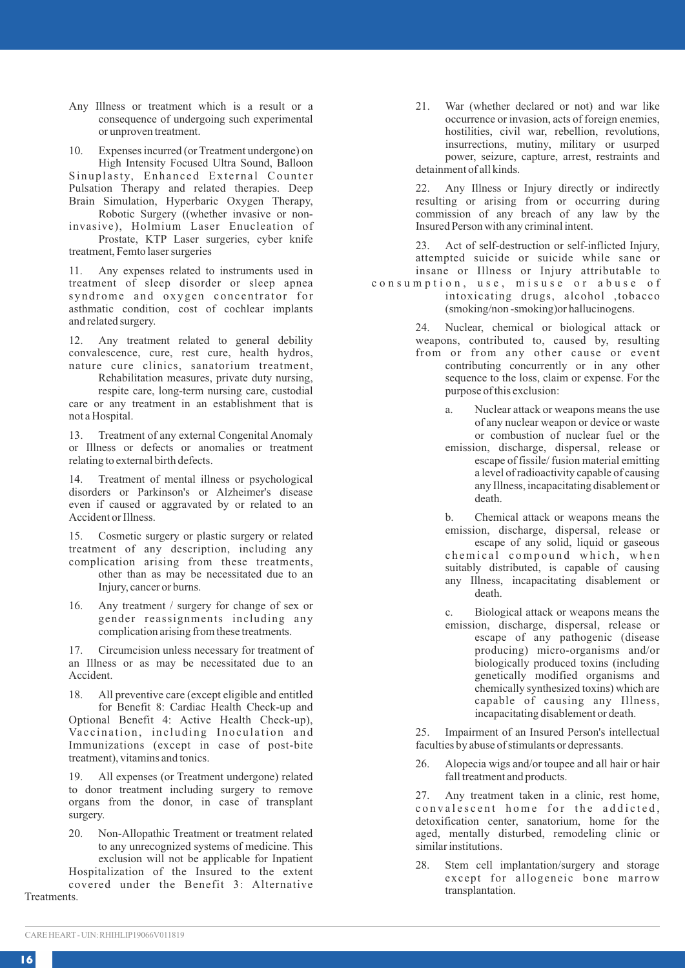- Any Illness or treatment which is a result or a consequence of undergoing such experimental or unproven treatment.
- 10. Expenses incurred (or Treatment undergone) on High Intensity Focused Ultra Sound, Balloon

Sinuplasty, Enhanced External Counter Pulsation Therapy and related therapies. Deep Brain Simulation, Hyperbaric Oxygen Therapy, Robotic Surgery ((whether invasive or non-

invasive), Holmium Laser Enucleation of Prostate, KTP Laser surgeries, cyber knife

treatment, Femto laser surgeries

11. Any expenses related to instruments used in treatment of sleep disorder or sleep apnea syndrome and oxygen concentrator for asthmatic condition, cost of cochlear implants and related surgery.

12. Any treatment related to general debility convalescence, cure, rest cure, health hydros, nature cure clinics, sanatorium treatment,

Rehabilitation measures, private duty nursing, respite care, long-term nursing care, custodial care or any treatment in an establishment that is not a Hospital.

13. Treatment of any external Congenital Anomaly or Illness or defects or anomalies or treatment relating to external birth defects.

14. Treatment of mental illness or psychological disorders or Parkinson's or Alzheimer's disease even if caused or aggravated by or related to an Accident or Illness.

15. Cosmetic surgery or plastic surgery or related treatment of any description, including any complication arising from these treatments,

- other than as may be necessitated due to an Injury, cancer or burns.
- 16. Any treatment / surgery for change of sex or gender reassignments including any complication arising from these treatments.

17. Circumcision unless necessary for treatment of an Illness or as may be necessitated due to an Accident.

18. All preventive care (except eligible and entitled for Benefit 8: Cardiac Health Check-up and Optional Benefit 4: Active Health Check-up), Vaccination, including Inoculation and Immunizations (except in case of post-bite treatment), vitamins and tonics.

19. All expenses (or Treatment undergone) related to donor treatment including surgery to remove organs from the donor, in case of transplant surgery.

20. Non-Allopathic Treatment or treatment related to any unrecognized systems of medicine. This exclusion will not be applicable for Inpatient Hospitalization of the Insured to the extent covered under the Benefit 3: Alternative

Treatments.

21. War (whether declared or not) and war like occurrence or invasion, acts of foreign enemies, hostilities, civil war, rebellion, revolutions, insurrections, mutiny, military or usurped power, seizure, capture, arrest, restraints and detainment of all kinds.

22. Any Illness or Injury directly or indirectly resulting or arising from or occurring during commission of any breach of any law by the Insured Person with any criminal intent.

23. Act of self-destruction or self-inflicted Injury, attempted suicide or suicide while sane or insane or Illness or Injury attributable to consumption, use, misuse or abuse of

intoxicating drugs, alcohol ,tobacco (smoking/non -smoking)or hallucinogens.

> 24. Nuclear, chemical or biological attack or weapons, contributed to, caused by, resulting from or from any other cause or event contributing concurrently or in any other sequence to the loss, claim or expense. For the purpose of this exclusion:

> > Nuclear attack or weapons means the use of any nuclear weapon or device or waste or combustion of nuclear fuel or the

emission, discharge, dispersal, release or escape of fissile/ fusion material emitting a level of radioactivity capable of causing any Illness, incapacitating disablement or death.

b. Chemical attack or weapons means the emission, discharge, dispersal, release or escape of any solid, liquid or gaseous chemical compound which, when suitably distributed, is capable of causing any Illness, incapacitating disablement or death.

c. Biological attack or weapons means the emission, discharge, dispersal, release or escape of any pathogenic (disease producing) micro-organisms and/or biologically produced toxins (including genetically modified organisms and chemically synthesized toxins) which are capable of causing any Illness,

incapacitating disablement or death.

25. Impairment of an Insured Person's intellectual faculties by abuse of stimulants or depressants.

26. Alopecia wigs and/or toupee and all hair or hair fall treatment and products.

27. Any treatment taken in a clinic, rest home, convalescent home for the addicted, detoxification center, sanatorium, home for the aged, mentally disturbed, remodeling clinic or similar institutions.

28. Stem cell implantation/surgery and storage except for allogeneic bone marrow transplantation.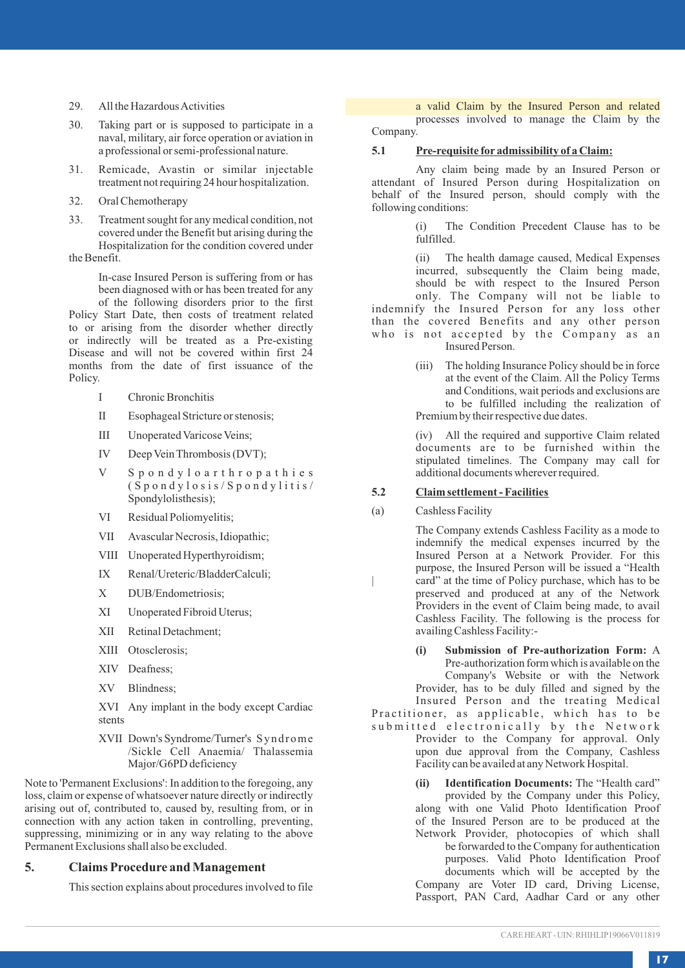- 29. All the Hazardous Activities
- 30. Taking part or is supposed to participate in a naval, military, air force operation or aviation in a professional or semi-professional nature.
- 31. Remicade, Avastin or similar injectable treatment not requiring 24 hour hospitalization.
- 32. Oral Chemotherapy
- 33. Treatment sought for any medical condition, not covered under the Benefit but arising during the Hospitalization for the condition covered under the Benefit.

In-case Insured Person is suffering from or has been diagnosed with or has been treated for any of the following disorders prior to the first

Policy Start Date, then costs of treatment related to or arising from the disorder whether directly or indirectly will be treated as a Pre-existing Disease and will not be covered within first 24 months from the date of first issuance of the Policy.

- I Chronic Bronchitis
- II Esophageal Stricture or stenosis;
- III Unoperated Varicose Veins;
- IV Deep Vein Thrombosis (DVT);
- V S p o n d y l o a r t h r o p a t h i e s  $(S$  p o n d y l o s i s / S p o n d y l i t i s / Spondylolisthesis);
- VI Residual Poliomyelitis;
- VII Avascular Necrosis, Idiopathic;
- VIII Unoperated Hyperthyroidism;
- IX Renal/Ureteric/BladderCalculi;
- X DUB/Endometriosis;
- XI Unoperated Fibroid Uterus;
- XII Retinal Detachment;
- XIII Otosclerosis;
- XIV Deafness;
- XV Blindness;

XVI Any implant in the body except Cardiac stents

XVII Down's Syndrome/Turner's Syndrome /Sickle Cell Anaemia/ Thalassemia Major/G6PD deficiency

Note to 'Permanent Exclusions': In addition to the foregoing, any loss, claim or expense of whatsoever nature directly or indirectly arising out of, contributed to, caused by, resulting from, or in connection with any action taken in controlling, preventing, suppressing, minimizing or in any way relating to the above Permanent Exclusions shall also be excluded.

### **5. Claims Procedure and Management**

This section explains about procedures involved to file

a valid Claim by the Insured Person and related processes involved to manage the Claim by the Company.

### **5.1 Pre-requisite for admissibility of a Claim:**

Any claim being made by an Insured Person or attendant of Insured Person during Hospitalization on behalf of the Insured person, should comply with the following conditions:

> (i) The Condition Precedent Clause has to be fulfilled.

(ii) The health damage caused, Medical Expenses incurred, subsequently the Claim being made, should be with respect to the Insured Person only. The Company will not be liable to indemnify the Insured Person for any loss other than the covered Benefits and any other person who is not accepted by the Company as an Insured Person.

> (iii) The holding Insurance Policy should be in force at the event of the Claim. All the Policy Terms and Conditions, wait periods and exclusions are to be fulfilled including the realization of Premium by their respective due dates.

> (iv) All the required and supportive Claim related documents are to be furnished within the stipulated timelines. The Company may call for additional documents wherever required.

### **5.2 Claim settlement - Facilities**

(a) Cashless Facility

The Company extends Cashless Facility as a mode to indemnify the medical expenses incurred by the Insured Person at a Network Provider. For this purpose, the Insured Person will be issued a "Health card" at the time of Policy purchase, which has to be preserved and produced at any of the Network Providers in the event of Claim being made, to avail Cashless Facility. The following is the process for availing Cashless Facility:-

**(i) Submission of Pre-authorization Form:** A Pre-authorization form which is available on the Company's Website or with the Network Provider, has to be duly filled and signed by the Insured Person and the treating Medical Practitioner, as applicable, which has to be

submitted electronically by the Network Provider to the Company for approval. Only upon due approval from the Company, Cashless Facility can be availed at any Network Hospital.

> **(ii) Identification Documents:** The "Health card" provided by the Company under this Policy, along with one Valid Photo Identification Proof of the Insured Person are to be produced at the Network Provider, photocopies of which shall be forwarded to the Company for authentication purposes. Valid Photo Identification Proof documents which will be accepted by the Company are Voter ID card, Driving License, Passport, PAN Card, Aadhar Card or any other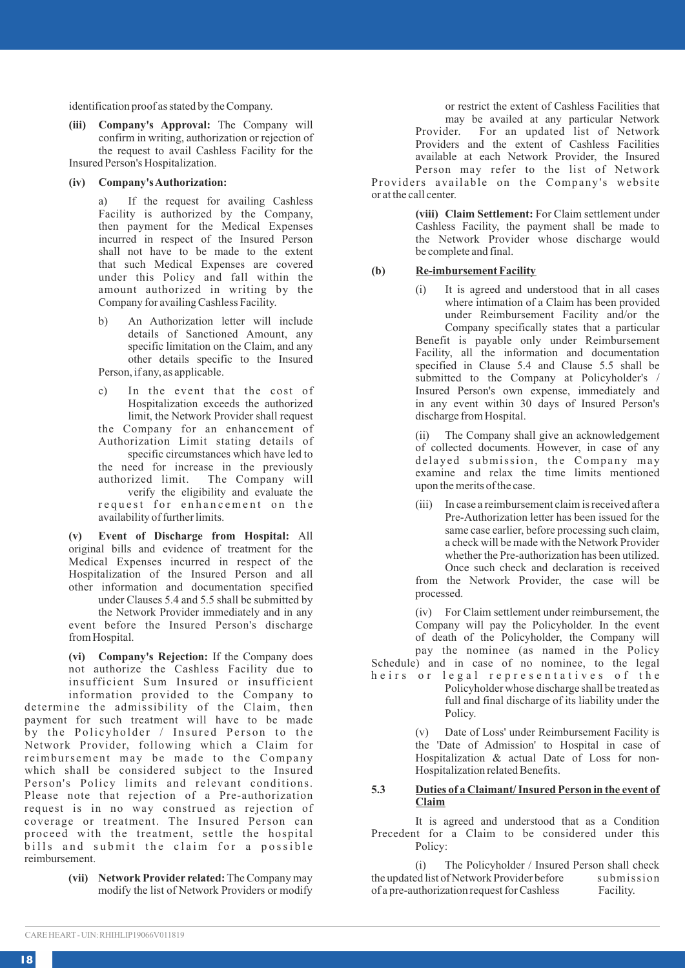identification proof as stated by the Company.

**(iii) Company's Approval:** The Company will confirm in writing, authorization or rejection of the request to avail Cashless Facility for the Insured Person's Hospitalization.

#### **(iv) Company's Authorization:**

a) If the request for availing Cashless Facility is authorized by the Company, then payment for the Medical Expenses incurred in respect of the Insured Person shall not have to be made to the extent that such Medical Expenses are covered under this Policy and fall within the amount authorized in writing by the Company for availing Cashless Facility.

- b) An Authorization letter will include details of Sanctioned Amount, any specific limitation on the Claim, and any other details specific to the Insured Person, if any, as applicable.
- c) In the event that the cost of Hospitalization exceeds the authorized limit, the Network Provider shall request the Company for an enhancement of Authorization Limit stating details of specific circumstances which have led to the need for increase in the previously authorized limit. The Company will verify the eligibility and evaluate the request for enhancement on the availability of further limits.

**(v) Event of Discharge from Hospital:** All original bills and evidence of treatment for the Medical Expenses incurred in respect of the Hospitalization of the Insured Person and all other information and documentation specified under Clauses 5.4 and 5.5 shall be submitted by

the Network Provider immediately and in any event before the Insured Person's discharge from Hospital.

**(vi) Company's Rejection:** If the Company does not authorize the Cashless Facility due to insufficient Sum Insured or insufficient information provided to the Company to determine the admissibility of the Claim, then payment for such treatment will have to be made by the Policyholder / Insured Person to the Network Provider, following which a Claim for reimbursement may be made to the Company which shall be considered subject to the Insured Person's Policy limits and relevant conditions. Please note that rejection of a Pre-authorization request is in no way construed as rejection of coverage or treatment. The Insured Person can proceed with the treatment, settle the hospital bills and submit the claim for a possible reimbursement.

> **(vii) Network Provider related:**The Company may modify the list of Network Providers or modify

or restrict the extent of Cashless Facilities that may be availed at any particular Network<br>Provider. For an updated list of Network For an updated list of Network Providers and the extent of Cashless Facilities available at each Network Provider, the Insured Person may refer to the list of Network

Providers available on the Company's website or at the call center.

> **(viii) Claim Settlement:** For Claim settlement under Cashless Facility, the payment shall be made to the Network Provider whose discharge would be complete and final.

#### **(b) Re-imbursement Facility**

It is agreed and understood that in all cases where intimation of a Claim has been provided under Reimbursement Facility and/or the

Company specifically states that a particular Benefit is payable only under Reimbursement Facility, all the information and documentation specified in Clause 5.4 and Clause 5.5 shall be submitted to the Company at Policyholder's / Insured Person's own expense, immediately and in any event within 30 days of Insured Person's discharge from Hospital.

(ii) The Company shall give an acknowledgement of collected documents. However, in case of any delayed submission, the Company may examine and relax the time limits mentioned upon the merits of the case.

(iii) In case a reimbursement claim is received after a Pre-Authorization letter has been issued for the same case earlier, before processing such claim, a check will be made with the Network Provider whether the Pre-authorization has been utilized. Once such check and declaration is received

from the Network Provider, the case will be processed.

(iv) For Claim settlement under reimbursement, the Company will pay the Policyholder. In the event of death of the Policyholder, the Company will pay the nominee (as named in the Policy

Schedule) and in case of no nominee, to the legal heirs or legal representatives of the Policyholder whose discharge shall be treated as

full and final discharge of its liability under the Policy.

(v) Date of Loss' under Reimbursement Facility is the 'Date of Admission' to Hospital in case of Hospitalization & actual Date of Loss for non-Hospitalization related Benefits.

### **5.3 Duties of a Claimant/ Insured Person in the event of Claim**

It is agreed and understood that as a Condition Precedent for a Claim to be considered under this Policy:

(i) The Policyholder / Insured Person shall check<br>ed list of Network Provider before submission the updated list of Network Provider before submiss<br>of a pre-authorization request for Cashless Facility. of a pre-authorization request for Cashless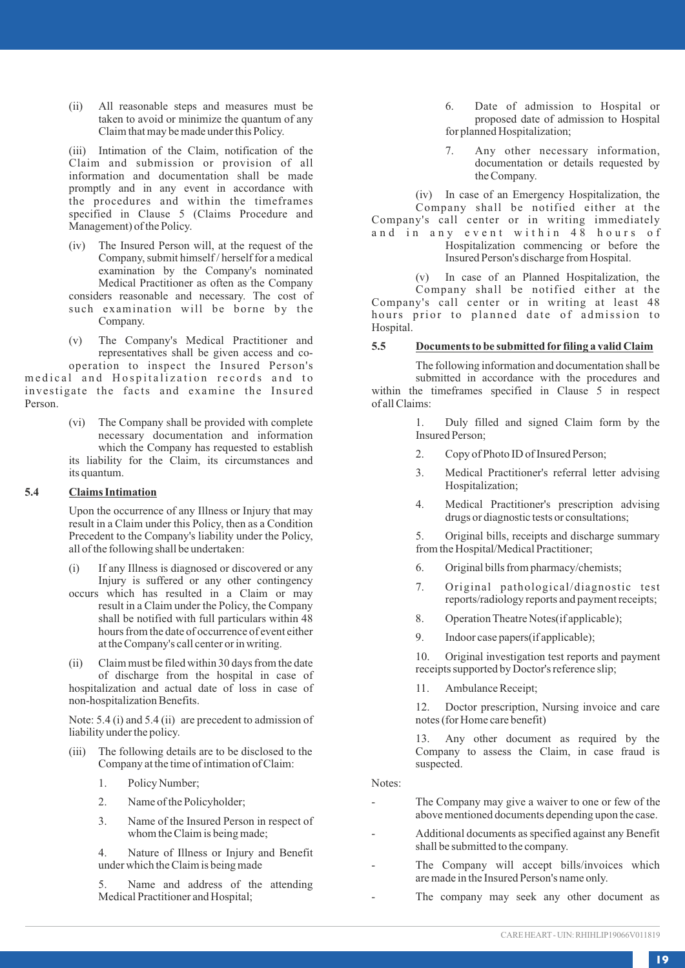(ii) All reasonable steps and measures must be taken to avoid or minimize the quantum of any Claim that may be made under this Policy.

(iii) Intimation of the Claim, notification of the Claim and submission or provision of all information and documentation shall be made promptly and in any event in accordance with the procedures and within the timeframes specified in Clause 5 (Claims Procedure and Management) of the Policy.

- (iv) The Insured Person will, at the request of the Company, submit himself / herself for a medical examination by the Company's nominated Medical Practitioner as often as the Company considers reasonable and necessary. The cost of such examination will be borne by the
- (v) The Company's Medical Practitioner and representatives shall be given access and co-

operation to inspect the Insured Person's medical and Hospitalization records and to investigate the facts and examine the Insured Person.

Company.

(vi) The Company shall be provided with complete necessary documentation and information which the Company has requested to establish its liability for the Claim, its circumstances and its quantum.

### **5.4 Claims Intimation**

Upon the occurrence of any Illness or Injury that may result in a Claim under this Policy, then as a Condition Precedent to the Company's liability under the Policy, all of the following shall be undertaken:

- (i) If any Illness is diagnosed or discovered or any Injury is suffered or any other contingency
- occurs which has resulted in a Claim or may result in a Claim under the Policy, the Company shall be notified with full particulars within 48 hours from the date of occurrence of event either at the Company's call center or in writing.
- (ii) Claim must be filed within 30 days from the date of discharge from the hospital in case of hospitalization and actual date of loss in case of non-hospitalization Benefits.

Note: 5.4 (i) and 5.4 (ii) are precedent to admission of liability under the policy.

- (iii) The following details are to be disclosed to the Company at the time of intimation of Claim:
	- 1. Policy Number;
	- 2. Name of the Policyholder;
	- 3. Name of the Insured Person in respect of whom the Claim is being made;

4. Nature of Illness or Injury and Benefit under which the Claim is being made

5. Name and address of the attending Medical Practitioner and Hospital;

6. Date of admission to Hospital or proposed date of admission to Hospital for planned Hospitalization;

7. Any other necessary information, documentation or details requested by the Company.

(iv) In case of an Emergency Hospitalization, the Company shall be notified either at the Company's call center or in writing immediately and in any event within 48 hours of Hospitalization commencing or before the Insured Person's discharge from Hospital.

(v) In case of an Planned Hospitalization, the Company shall be notified either at the Company's call center or in writing at least 48 hours prior to planned date of admission to Hospital.

### **5.5 Documents to be submitted for filing a valid Claim**

The following information and documentation shall be submitted in accordance with the procedures and within the timeframes specified in Clause 5 in respect of all Claims:

> 1. Duly filled and signed Claim form by the Insured Person;

- 2. Copy of Photo ID of Insured Person;
- 3. Medical Practitioner's referral letter advising Hospitalization;
- 4. Medical Practitioner's prescription advising drugs or diagnostic tests or consultations;

5. Original bills, receipts and discharge summary from the Hospital/Medical Practitioner;

- 6. Original bills from pharmacy/chemists;
- 7. Original pathological/diagnostic test reports/radiology reports and payment receipts;
- 8. Operation Theatre Notes(if applicable);
- 9. Indoor case papers(if applicable);

10. Original investigation test reports and payment receipts supported by Doctor's reference slip;

11. Ambulance Receipt;

12. Doctor prescription, Nursing invoice and care notes (for Home care benefit)

13. Any other document as required by the Company to assess the Claim, in case fraud is suspected.

Notes:

- The Company may give a waiver to one or few of the above mentioned documents depending upon the case.
- Additional documents as specified against any Benefit shall be submitted to the company.
- The Company will accept bills/invoices which are made in the Insured Person's name only.
- The company may seek any other document as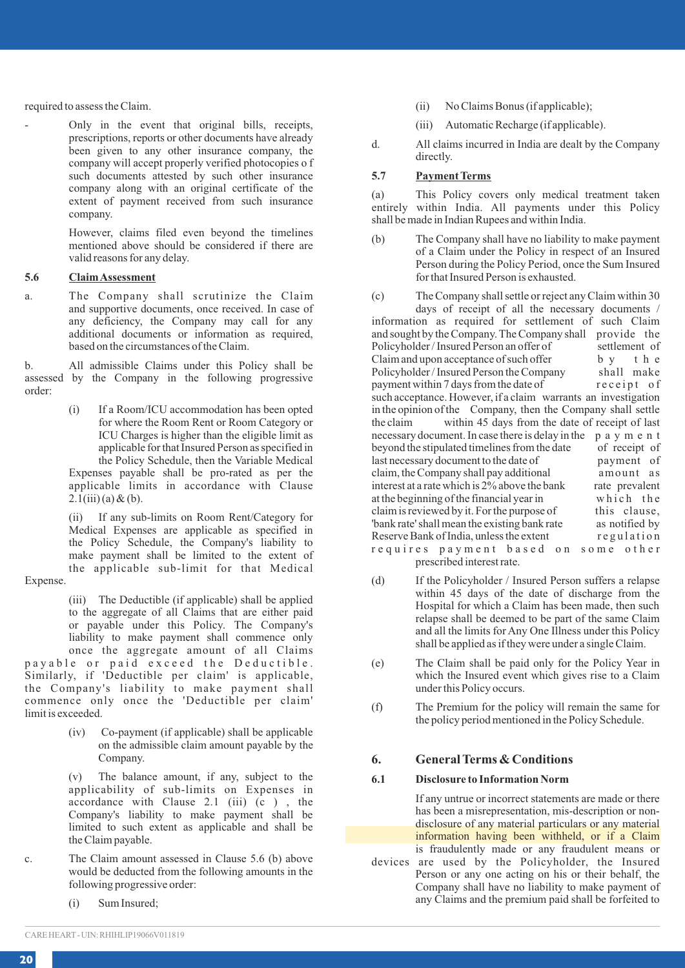required to assess the Claim.

- Only in the event that original bills, receipts, prescriptions, reports or other documents have already been given to any other insurance company, the company will accept properly verified photocopies o f such documents attested by such other insurance company along with an original certificate of the extent of payment received from such insurance company.

> However, claims filed even beyond the timelines mentioned above should be considered if there are valid reasons for any delay.

### **5.6 Claim Assessment**

a. The Company shall scrutinize the Claim and supportive documents, once received. In case of any deficiency, the Company may call for any additional documents or information as required, based on the circumstances of the Claim.

b. All admissible Claims under this Policy shall be assessed by the Company in the following progressive order:

> (i) If a Room/ICU accommodation has been opted for where the Room Rent or Room Category or ICU Charges is higher than the eligible limit as applicable for that Insured Person as specified in the Policy Schedule, then the Variable Medical Expenses payable shall be pro-rated as per the applicable limits in accordance with Clause  $2.1(iii)$  (a) & (b).

> (ii) If any sub-limits on Room Rent/Category for Medical Expenses are applicable as specified in the Policy Schedule, the Company's liability to make payment shall be limited to the extent of the applicable sub-limit for that Medical

Expense.

(iii) The Deductible (if applicable) shall be applied to the aggregate of all Claims that are either paid or payable under this Policy. The Company's liability to make payment shall commence only once the aggregate amount of all Claims

payable or paid exceed the Deductible. Similarly, if 'Deductible per claim' is applicable, the Company's liability to make payment shall commence only once the 'Deductible per claim' limit is exceeded.

> (iv) Co-payment (if applicable) shall be applicable on the admissible claim amount payable by the Company.

> The balance amount, if any, subject to the applicability of sub-limits on Expenses in accordance with Clause 2.1 (iii)  $(c)$ , the Company's liability to make payment shall be limited to such extent as applicable and shall be the Claim payable.

- c. The Claim amount assessed in Clause 5.6 (b) above would be deducted from the following amounts in the following progressive order:
	- (i) Sum Insured;
- (ii) No Claims Bonus (if applicable);
- (iii) Automatic Recharge (if applicable).
- d. All claims incurred in India are dealt by the Company directly.

### **5.7 Payment Terms**

(a) This Policy covers only medical treatment taken entirely within India. All payments under this Policy shall be made in Indian Rupees and within India.

(b) The Company shall have no liability to make payment of a Claim under the Policy in respect of an Insured Person during the Policy Period, once the Sum Insured for that Insured Person is exhausted.

(c) The Company shall settle or reject any Claim within 30 days of receipt of all the necessary documents / information as required for settlement of such Claim and sought by the Company. The Company shall provide the Policyholder/Insured Person an offer of settlement of Policyholder / Insured Person an offer of settlement of Claim and upon acceptance of such offer by the Claim and upon acceptance of such offer by the<br>Policyholder/Insured Person the Company shall make Policyholder/Insured Person the Company shall make<br>
nayment within 7 days from the date of receipt of payment within 7 days from the date of such acceptance. However, if a claim warrants an investigation in the opinion of the Company, then the Company shall settle<br>the claim within 45 days from the date of receipt of last within 45 days from the date of receipt of last necessary document. In case there is delay in the p a y m e n t<br>beyond the stipulated timelines from the date of receipt of beyond the stipulated timelines from the date last necessary document to the date of payment of<br>claim, the Company shall pay additional amount as claim, the Company shall pay additional amount as<br>interest at a rate which is 2% above the bank rate prevalent interest at a rate which is  $2\%$  above the bank rate prevalent at the beginning of the financial year in which the at the beginning of the financial year in which the claim is reviewed by it. For the purpose of this clause, claim is reviewed by it. For the purpose of this clause,<br>
"bank rate" shall mean the existing bank rate as notified by 'bank rate' shall mean the existing bank rate as notified by Reserve Bank of India, unless the extent requires payment based on some other

- prescribed interest rate.
- (d) If the Policyholder / Insured Person suffers a relapse within 45 days of the date of discharge from the Hospital for which a Claim has been made, then such relapse shall be deemed to be part of the same Claim and all the limits for Any One Illness under this Policy shall be applied as if they were under a single Claim.
- (e) The Claim shall be paid only for the Policy Year in which the Insured event which gives rise to a Claim under this Policy occurs.
- (f) The Premium for the policy will remain the same for the policy period mentioned in the Policy Schedule.

### **6. General Terms & Conditions**

### **6.1 Disclosure to Information Norm**

If any untrue or incorrect statements are made or there has been a misrepresentation, mis-description or nondisclosure of any material particulars or any material information having been withheld, or if a Claim is fraudulently made or any fraudulent means or

devices are used by the Policyholder, the Insured Person or any one acting on his or their behalf, the Company shall have no liability to make payment of any Claims and the premium paid shall be forfeited to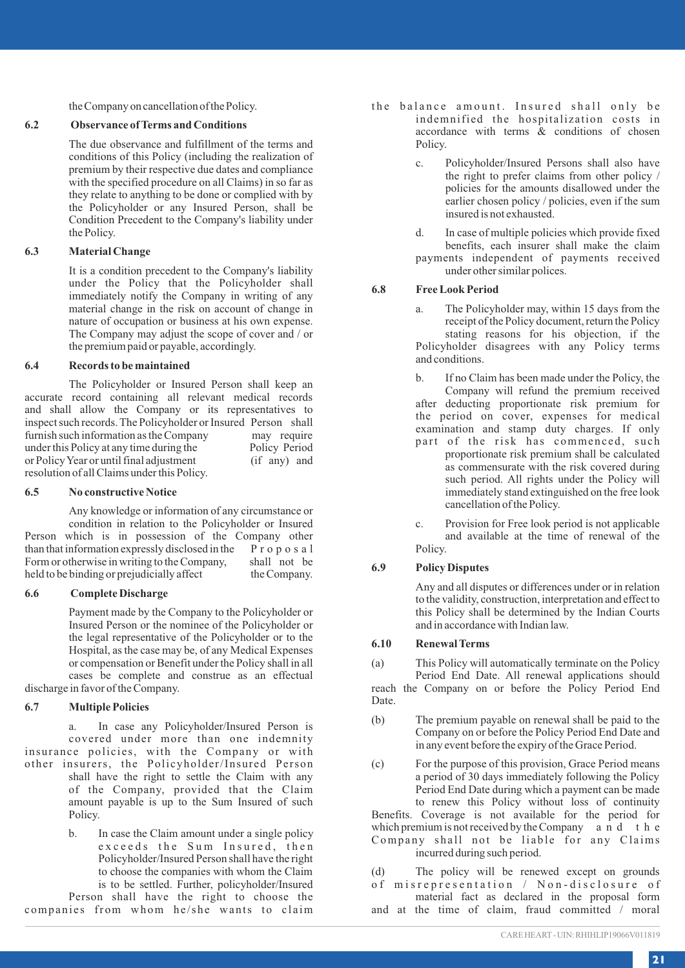the Company on cancellation of the Policy.

### **6.2 Observance of Terms and Conditions**

The due observance and fulfillment of the terms and conditions of this Policy (including the realization of premium by their respective due dates and compliance with the specified procedure on all Claims) in so far as they relate to anything to be done or complied with by the Policyholder or any Insured Person, shall be Condition Precedent to the Company's liability under the Policy.

### **6.3 Material Change**

It is a condition precedent to the Company's liability under the Policy that the Policyholder shall immediately notify the Company in writing of any material change in the risk on account of change in nature of occupation or business at his own expense. The Company may adjust the scope of cover and / or the premium paid or payable, accordingly.

### **6.4 Records to be maintained**

The Policyholder or Insured Person shall keep an accurate record containing all relevant medical records and shall allow the Company or its representatives to inspect such records. The Policyholder or Insured Person shall<br>furnish such information as the Company may require furnish such information as the Company may require<br>under this Policy at any time during the Policy Period under this Policy at any time during the Policy Period<br>or Policy Year or until final adjustment (if any) and or Policy Year or until final adjustment resolution of all Claims under this Policy.

### **6.5 No constructive Notice**

Any knowledge or information of any circumstance or condition in relation to the Policyholder or Insured Person which is in possession of the Company other than that information expressly disclosed in the P r o p o s a l<br>Form or otherwise in writing to the Company, shall not be Form or otherwise in writing to the Company, shall not be held to be binding or prejudicially affect the Company. held to be binding or prejudicially affect

### **6.6 Complete Discharge**

Payment made by the Company to the Policyholder or Insured Person or the nominee of the Policyholder or the legal representative of the Policyholder or to the Hospital, as the case may be, of any Medical Expenses or compensation or Benefit under the Policy shall in all cases be complete and construe as an effectual discharge in favor of the Company.

### **6.7 Multiple Policies**

a. In case any Policyholder/Insured Person is covered under more than one indemnity insurance policies, with the Company or with other insurers, the Policyholder/Insured Person shall have the right to settle the Claim with any of the Company, provided that the Claim amount payable is up to the Sum Insured of such Policy.

> b. In case the Claim amount under a single policy exceeds the Sum Insured, then Policyholder/Insured Person shall have the right to choose the companies with whom the Claim is to be settled. Further, policyholder/Insured

Person shall have the right to choose the companies from whom he/she wants to claim

- the balance amount. Insured shall only be indemnified the hospitalization costs in accordance with terms & conditions of chosen Policy.
	- c. Policyholder/Insured Persons shall also have the right to prefer claims from other policy / policies for the amounts disallowed under the earlier chosen policy / policies, even if the sum insured is not exhausted.
	- d. In case of multiple policies which provide fixed benefits, each insurer shall make the claim payments independent of payments received under other similar polices.

### **6.8 Free Look Period**

- a. The Policyholder may, within 15 days from the receipt of the Policy document, return the Policy stating reasons for his objection, if the Policyholder disagrees with any Policy terms and conditions.
- If no Claim has been made under the Policy, the Company will refund the premium received after deducting proportionate risk premium for the period on cover, expenses for medical examination and stamp duty charges. If only part of the risk has commenced, such
	- proportionate risk premium shall be calculated as commensurate with the risk covered during such period. All rights under the Policy will immediately stand extinguished on the free look cancellation of the Policy.
- c. Provision for Free look period is not applicable and available at the time of renewal of the Policy.

### **6.9 Policy Disputes**

Any and all disputes or differences under or in relation to the validity, construction, interpretation and effect to this Policy shall be determined by the Indian Courts and in accordance with Indian law.

### **6.10 Renewal Terms**

(a) This Policy will automatically terminate on the Policy Period End Date. All renewal applications should reach the Company on or before the Policy Period End Date.

- (b) The premium payable on renewal shall be paid to the Company on or before the Policy Period End Date and in any event before the expiry of the Grace Period.
- (c) For the purpose of this provision, Grace Period means a period of 30 days immediately following the Policy Period End Date during which a payment can be made to renew this Policy without loss of continuity

Benefits. Coverage is not available for the period for which premium is not received by the Company a n d t h e Company shall not be liable for any Claims incurred during such period.

(d) The policy will be renewed except on grounds

of misrepresentation / Non-disclosure of material fact as declared in the proposal form

and at the time of claim, fraud committed / moral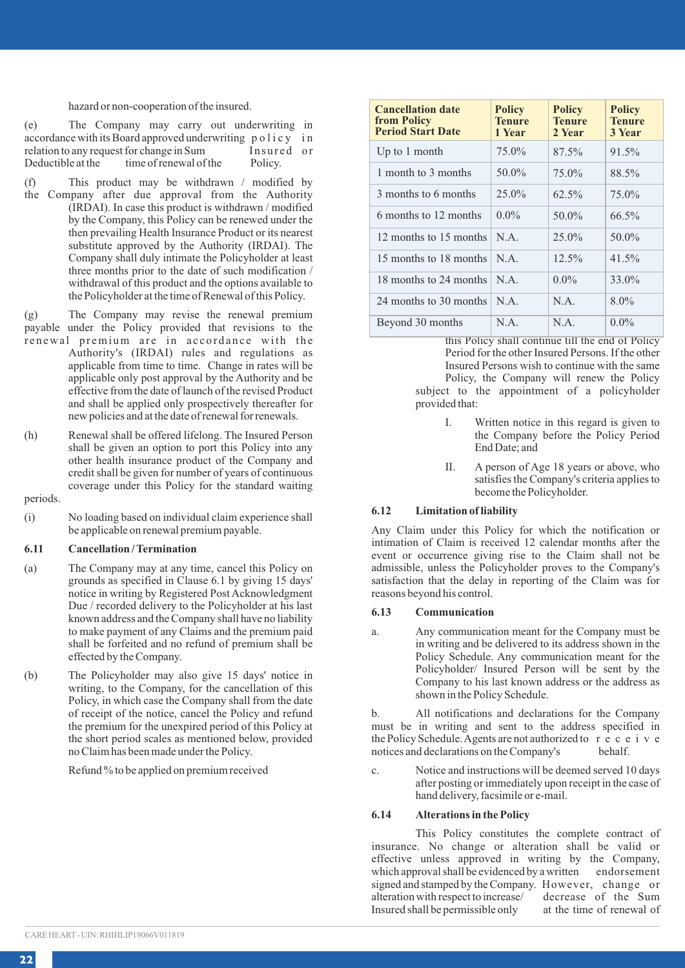#### hazard or non-cooperation of the insured.

(e) The Company may carry out underwriting in accordance with its Board approved underwriting policy in relation to any request for change in Sum Insured or relation to any request for change in Sum Insure<br>Deductible at the time of renewal of the Policy. time of renewal of the

(f) This product may be withdrawn / modified by the Company after due approval from the Authority (IRDAI). In case this product is withdrawn / modified by the Company, this Policy can be renewed under the then prevailing Health Insurance Product or its nearest substitute approved by the Authority (IRDAI). The Company shall duly intimate the Policyholder at least three months prior to the date of such modification / withdrawal of this product and the options available to the Policyholder at the time of Renewal of this Policy.

(g) The Company may revise the renewal premium payable under the Policy provided that revisions to the renewal premium are in accordance with the

- Authority's (IRDAI) rules and regulations as applicable from time to time. Change in rates will be applicable only post approval by the Authority and be effective from the date of launch of the revised Product and shall be applied only prospectively thereafter for new policies and at the date of renewal for renewals.
- (h) Renewal shall be offered lifelong. The Insured Person shall be given an option to port this Policy into any other health insurance product of the Company and credit shall be given for number of years of continuous coverage under this Policy for the standard waiting

### periods.

(i) No loading based on individual claim experience shall be applicable on renewal premium payable.

### **6.11 Cancellation / Termination**

- (a) The Company may at any time, cancel this Policy on grounds as specified in Clause 6.1 by giving 15 days' notice in writing by Registered Post Acknowledgment Due / recorded delivery to the Policyholder at his last known address and the Company shall have no liability to make payment of any Claims and the premium paid shall be forfeited and no refund of premium shall be effected by the Company.
- (b) The Policyholder may also give 15 days' notice in writing, to the Company, for the cancellation of this Policy, in which case the Company shall from the date of receipt of the notice, cancel the Policy and refund the premium for the unexpired period of this Policy at the short period scales as mentioned below, provided no Claim has been made under the Policy.

Refund % to be applied on premium received

| <b>Cancellation date</b><br>from Policy<br><b>Period Start Date</b> | <b>Policy</b><br><b>Tenure</b><br>1 Year | <b>Policy</b><br><b>Tenure</b><br>2 Year | <b>Policy</b><br><b>Tenure</b><br>3 Year |
|---------------------------------------------------------------------|------------------------------------------|------------------------------------------|------------------------------------------|
| Up to 1 month                                                       | 75.0%                                    | 87.5%                                    | 91.5%                                    |
| 1 month to 3 months                                                 | 50.0%                                    | 75.0%                                    | 88.5%                                    |
| 3 months to 6 months                                                | 25.0%                                    | 62.5%                                    | 75.0%                                    |
| 6 months to 12 months                                               | $0.0\%$                                  | 50.0%                                    | 66.5%                                    |
| 12 months to 15 months                                              | N A                                      | 25.0%                                    | 50.0%                                    |
| 15 months to 18 months                                              | N.A.                                     | 12.5%                                    | 41.5%                                    |
| 18 months to 24 months                                              | N A                                      | $0.0\%$                                  | 33.0%                                    |
| 24 months to 30 months                                              | N A                                      | N.A.                                     | 8.0%                                     |
| Beyond 30 months                                                    | N.A.                                     | N.A.                                     | $0.0\%$                                  |

this Policy shall continue till the end of Policy Period for the other Insured Persons. If the other Insured Persons wish to continue with the same Policy, the Company will renew the Policy subject to the appointment of a policyholder provided that:

- I. Written notice in this regard is given to the Company before the Policy Period End Date; and
- II. A person of Age 18 years or above, who satisfies the Company's criteria applies to become the Policyholder.

### **6.12 Limitation of liability**

Any Claim under this Policy for which the notification or intimation of Claim is received 12 calendar months after the event or occurrence giving rise to the Claim shall not be admissible, unless the Policyholder proves to the Company's satisfaction that the delay in reporting of the Claim was for reasons beyond his control.

#### **6.13 Communication**

a. Any communication meant for the Company must be in writing and be delivered to its address shown in the Policy Schedule. Any communication meant for the Policyholder/ Insured Person will be sent by the Company to his last known address or the address as shown in the Policy Schedule.

b. All notifications and declarations for the Company must be in writing and sent to the address specified in the Policy Schedule. Agents are not authorized to r e c e i v e notices and declarations on the Company's

c. Notice and instructions will be deemed served 10 days after posting or immediately upon receipt in the case of hand delivery, facsimile or e-mail.

#### **6.14 Alterations in the Policy**

This Policy constitutes the complete contract of insurance. No change or alteration shall be valid or effective unless approved in writing by the Company, which approval shall be evidenced by a written endorsement signed and stamped by the Company. However, change or alteration with respect to increase/ decrease of the Sum Insured shall be permissible only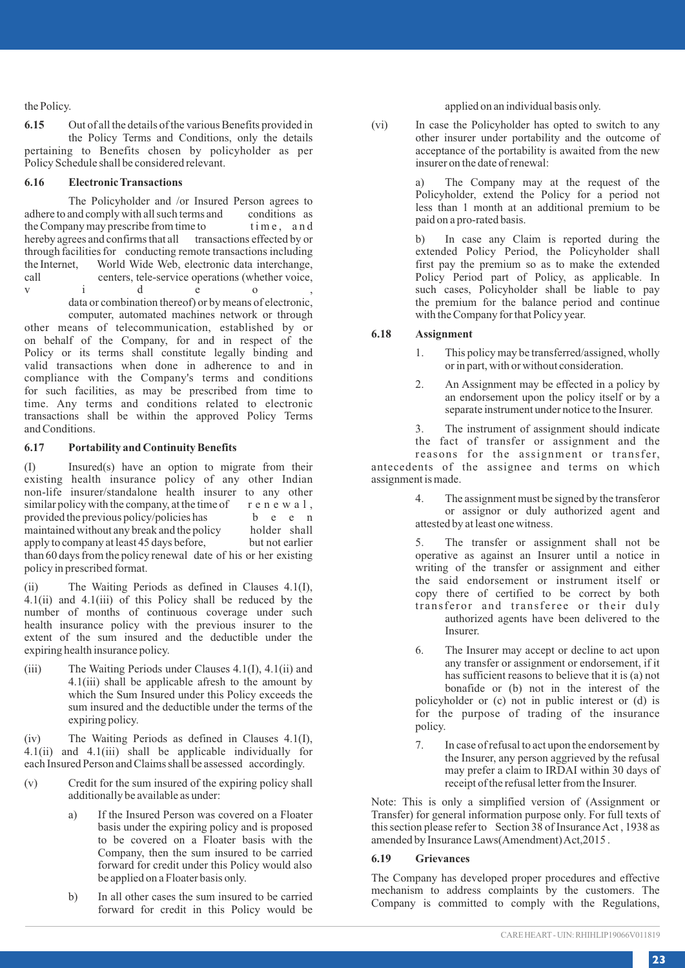the Policy.

**6.15** Out of all the details of the various Benefits provided in the Policy Terms and Conditions, only the details pertaining to Benefits chosen by policyholder as per Policy Schedule shall be considered relevant.

### **6.16 Electronic Transactions**

The Policyholder and /or Insured Person agrees to adhere to and comply with all such terms and conditions as<br>the Company may prescribe from time to time, and the Company may prescribe from time to hereby agrees and confirms that all transactions effected by or through facilities for conducting remote transactions including<br>the Internet. World Wide Web, electronic data interchange. the Internet, World Wide Web, electronic data interchange, call centers, tele-service operations (whether voice.) centers, tele-service operations (whether voice, i d e o

v i d e o ,<br>data or combination thereof) or by means of electronic, computer, automated machines network or through other means of telecommunication, established by or on behalf of the Company, for and in respect of the Policy or its terms shall constitute legally binding and valid transactions when done in adherence to and in compliance with the Company's terms and conditions for such facilities, as may be prescribed from time to time. Any terms and conditions related to electronic transactions shall be within the approved Policy Terms and Conditions.

### **6.17 Portability and Continuity Benefits**

(I) Insured(s) have an option to migrate from their existing health insurance policy of any other Indian non-life insurer/standalone health insurer to any other similar policy with the company, at the time of  $r e n e w a 1$ ,<br>provided the previous policy/policies has  $b e e n$ provided the previous policy/policies has b e e n<br>maintained without any break and the policy holder shall maintained without any break and the policy holder shall<br>apply to company at least 45 days before. but not earlier apply to company at least 45 days before, than 60 days from the policy renewal date of his or her existing policy in prescribed format.

(ii) The Waiting Periods as defined in Clauses 4.1(I), 4.1(ii) and 4.1(iii) of this Policy shall be reduced by the number of months of continuous coverage under such health insurance policy with the previous insurer to the extent of the sum insured and the deductible under the expiring health insurance policy.

(iii) The Waiting Periods under Clauses 4.1(I), 4.1(ii) and 4.1(iii) shall be applicable afresh to the amount by which the Sum Insured under this Policy exceeds the sum insured and the deductible under the terms of the expiring policy.

(iv) The Waiting Periods as defined in Clauses 4.1(I), 4.1(ii) and 4.1(iii) shall be applicable individually for each Insured Person and Claims shall be assessed accordingly.

- (v) Credit for the sum insured of the expiring policy shall additionally be available as under:
	- a) If the Insured Person was covered on a Floater basis under the expiring policy and is proposed to be covered on a Floater basis with the Company, then the sum insured to be carried forward for credit under this Policy would also be applied on a Floater basis only.
	- b) In all other cases the sum insured to be carried forward for credit in this Policy would be

applied on an individual basis only.

(vi) In case the Policyholder has opted to switch to any other insurer under portability and the outcome of acceptance of the portability is awaited from the new insurer on the date of renewal:

> a) The Company may at the request of the Policyholder, extend the Policy for a period not less than 1 month at an additional premium to be paid on a pro-rated basis.

> b) In case any Claim is reported during the extended Policy Period, the Policyholder shall first pay the premium so as to make the extended Policy Period part of Policy, as applicable. In such cases, Policyholder shall be liable to pay the premium for the balance period and continue with the Company for that Policy year.

### **6.18 Assignment**

- 1. This policy may be transferred/assigned, wholly or in part, with or without consideration.
- 2. An Assignment may be effected in a policy by an endorsement upon the policy itself or by a separate instrument under notice to the Insurer.

3. The instrument of assignment should indicate the fact of transfer or assignment and the

reasons for the assignment or transfer, antecedents of the assignee and terms on which assignment is made.

> 4. The assignment must be signed by the transferor or assignor or duly authorized agent and attested by at least one witness.

> 5. The transfer or assignment shall not be operative as against an Insurer until a notice in writing of the transfer or assignment and either the said endorsement or instrument itself or copy there of certified to be correct by both transferor and transferee or their duly authorized agents have been delivered to the **Insurer**

- 6. The Insurer may accept or decline to act upon any transfer or assignment or endorsement, if it has sufficient reasons to believe that it is (a) not bonafide or (b) not in the interest of the policyholder or (c) not in public interest or (d) is for the purpose of trading of the insurance policy.
- 7. In case of refusal to act upon the endorsement by the Insurer, any person aggrieved by the refusal may prefer a claim to IRDAI within 30 days of receipt of the refusal letter from the Insurer.

Note: This is only a simplified version of (Assignment or Transfer) for general information purpose only. For full texts of this section please refer to Section 38 of Insurance Act , 1938 as amended by Insurance Laws(Amendment) Act,2015 .

### **6.19 Grievances**

The Company has developed proper procedures and effective mechanism to address complaints by the customers. The Company is committed to comply with the Regulations,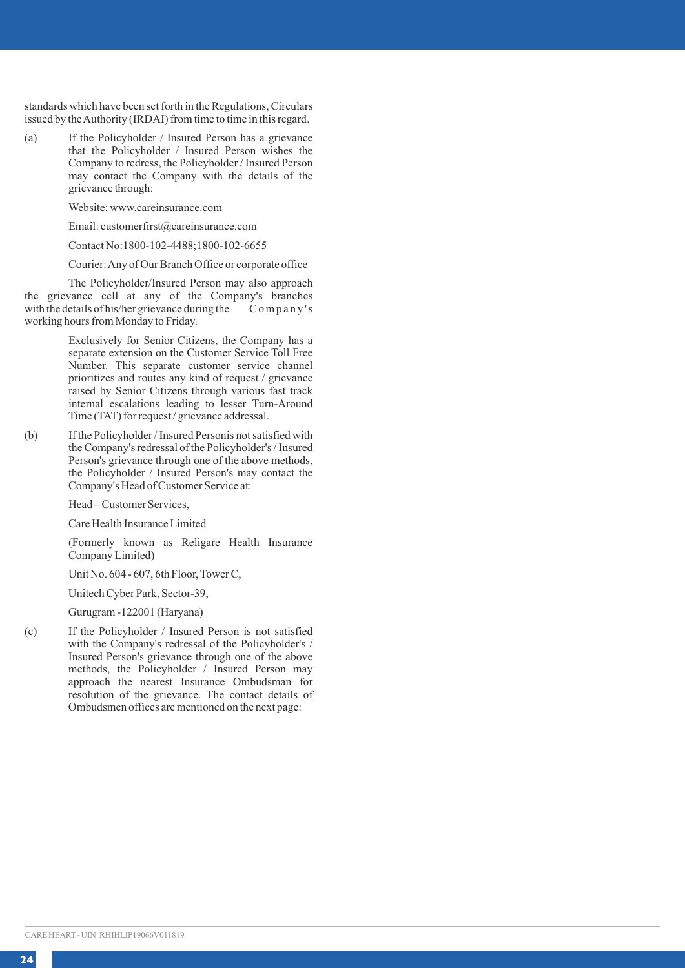standards which have been set forth in the Regulations, Circulars issued by the Authority (IRDAI) from time to time in this regard.

(a) If the Policyholder / Insured Person has a grievance that the Policyholder / Insured Person wishes the Company to redress, the Policyholder / Insured Person may contact the Company with the details of the grievance through:

Website: www.careinsurance.com

Email: customerfirst@careinsurance.com

Contact No:1800-102-4488;1800-102-6655

Courier: Any of Our Branch Office or corporate office

The Policyholder/Insured Person may also approach the grievance cell at any of the Company's branches<br>with the details of his/her grievance during the Company's with the details of his/her grievance during the working hours from Monday to Friday.

> Exclusively for Senior Citizens, the Company has a separate extension on the Customer Service Toll Free Number. This separate customer service channel prioritizes and routes any kind of request / grievance raised by Senior Citizens through various fast track internal escalations leading to lesser Turn-Around Time (TAT) for request / grievance addressal.

(b) If the Policyholder / Insured Personis not satisfied with the Company's redressal of the Policyholder's / Insured Person's grievance through one of the above methods, the Policyholder / Insured Person's may contact the Company's Head of Customer Service at:

Head – Customer Services,

Care Health Insurance Limited

(Formerly known as Religare Health Insurance Company Limited)

Unit No. 604 - 607, 6th Floor, Tower C,

Unitech Cyber Park, Sector-39,

Gurugram -122001 (Haryana)

(c) If the Policyholder / Insured Person is not satisfied with the Company's redressal of the Policyholder's / Insured Person's grievance through one of the above methods, the Policyholder / Insured Person may approach the nearest Insurance Ombudsman for resolution of the grievance. The contact details of Ombudsmen offices are mentioned on the next page: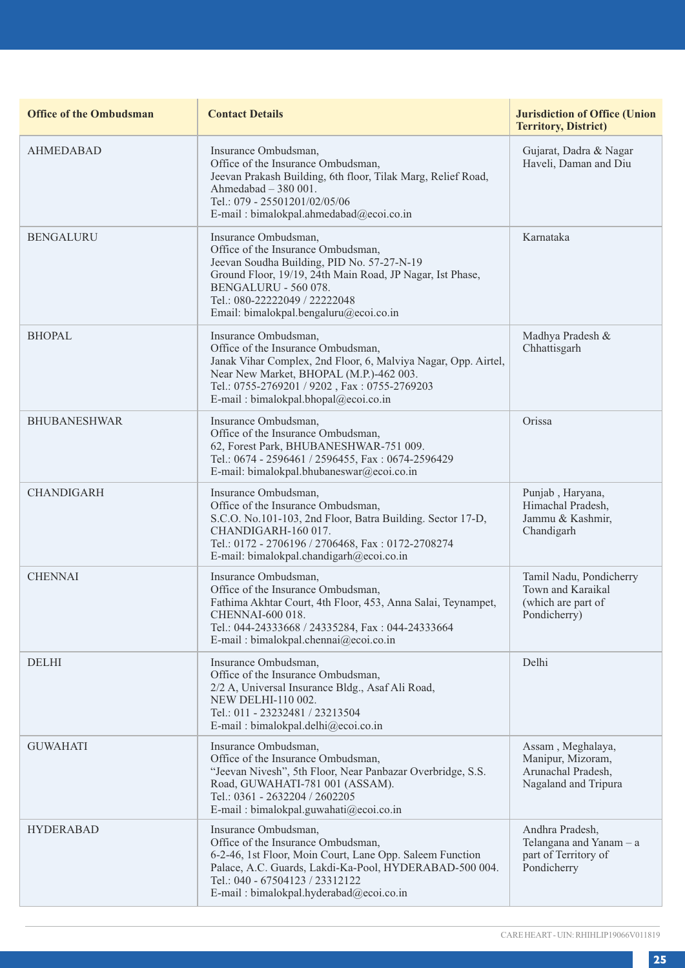| <b>Office of the Ombudsman</b> | <b>Contact Details</b>                                                                                                                                                                                                                                                   | <b>Jurisdiction of Office (Union</b><br><b>Territory, District)</b>                  |
|--------------------------------|--------------------------------------------------------------------------------------------------------------------------------------------------------------------------------------------------------------------------------------------------------------------------|--------------------------------------------------------------------------------------|
| <b>AHMEDABAD</b>               | Insurance Ombudsman,<br>Office of the Insurance Ombudsman,<br>Jeevan Prakash Building, 6th floor, Tilak Marg, Relief Road,<br>Ahmedabad - 380 001.<br>Tel.: 079 - 25501201/02/05/06<br>E-mail: bimalokpal.ahmedabad@ecoi.co.in                                           | Gujarat, Dadra & Nagar<br>Haveli, Daman and Diu                                      |
| <b>BENGALURU</b>               | Insurance Ombudsman.<br>Office of the Insurance Ombudsman,<br>Jeevan Soudha Building, PID No. 57-27-N-19<br>Ground Floor, 19/19, 24th Main Road, JP Nagar, Ist Phase,<br>BENGALURU - 560 078.<br>Tel.: 080-22222049 / 22222048<br>Email: bimalokpal.bengaluru@ecoi.co.in | Karnataka                                                                            |
| <b>BHOPAL</b>                  | Insurance Ombudsman,<br>Office of the Insurance Ombudsman,<br>Janak Vihar Complex, 2nd Floor, 6, Malviya Nagar, Opp. Airtel,<br>Near New Market, BHOPAL (M.P.)-462 003.<br>Tel.: 0755-2769201 / 9202, Fax: 0755-2769203<br>E-mail: bimalokpal.bhopal@ecoi.co.in          | Madhya Pradesh &<br>Chhattisgarh                                                     |
| <b>BHUBANESHWAR</b>            | Insurance Ombudsman.<br>Office of the Insurance Ombudsman,<br>62, Forest Park, BHUBANESHWAR-751 009.<br>Tel.: 0674 - 2596461 / 2596455, Fax: 0674-2596429<br>E-mail: bimalokpal.bhubaneswar@ecoi.co.in                                                                   | Orissa                                                                               |
| <b>CHANDIGARH</b>              | Insurance Ombudsman,<br>Office of the Insurance Ombudsman,<br>S.C.O. No.101-103, 2nd Floor, Batra Building. Sector 17-D,<br>CHANDIGARH-160 017.<br>Tel.: 0172 - 2706196 / 2706468, Fax: 0172-2708274<br>E-mail: bimalokpal.chandigarh@ecoi.co.in                         | Punjab, Haryana,<br>Himachal Pradesh,<br>Jammu & Kashmir,<br>Chandigarh              |
| <b>CHENNAI</b>                 | Insurance Ombudsman,<br>Office of the Insurance Ombudsman,<br>Fathima Akhtar Court, 4th Floor, 453, Anna Salai, Teynampet,<br>CHENNAI-600 018.<br>Tel.: 044-24333668 / 24335284, Fax: 044-24333664<br>E-mail: bimalokpal.chennai@ecoi.co.in                              | Tamil Nadu, Pondicherry<br>Town and Karaikal<br>(which are part of<br>Pondicherry)   |
| <b>DELHI</b>                   | Insurance Ombudsman.<br>Office of the Insurance Ombudsman,<br>2/2 A, Universal Insurance Bldg., Asaf Ali Road,<br><b>NEW DELHI-110 002.</b><br>Tel.: 011 - 23232481 / 23213504<br>E-mail : bimalokpal.delhi@ecoi.co.in                                                   | Delhi                                                                                |
| <b>GUWAHATI</b>                | Insurance Ombudsman,<br>Office of the Insurance Ombudsman,<br>"Jeevan Nivesh", 5th Floor, Near Panbazar Overbridge, S.S.<br>Road, GUWAHATI-781 001 (ASSAM).<br>Tel.: 0361 - 2632204 / 2602205<br>E-mail : bimalokpal.guwahati@ecoi.co.in                                 | Assam, Meghalaya,<br>Manipur, Mizoram,<br>Arunachal Pradesh,<br>Nagaland and Tripura |
| <b>HYDERABAD</b>               | Insurance Ombudsman,<br>Office of the Insurance Ombudsman,<br>6-2-46, 1st Floor, Moin Court, Lane Opp. Saleem Function<br>Palace, A.C. Guards, Lakdi-Ka-Pool, HYDERABAD-500 004.<br>Tel.: 040 - 67504123 / 23312122<br>E-mail: bimalokpal.hyderabad@ecoi.co.in           | Andhra Pradesh,<br>Telangana and Yanam - a<br>part of Territory of<br>Pondicherry    |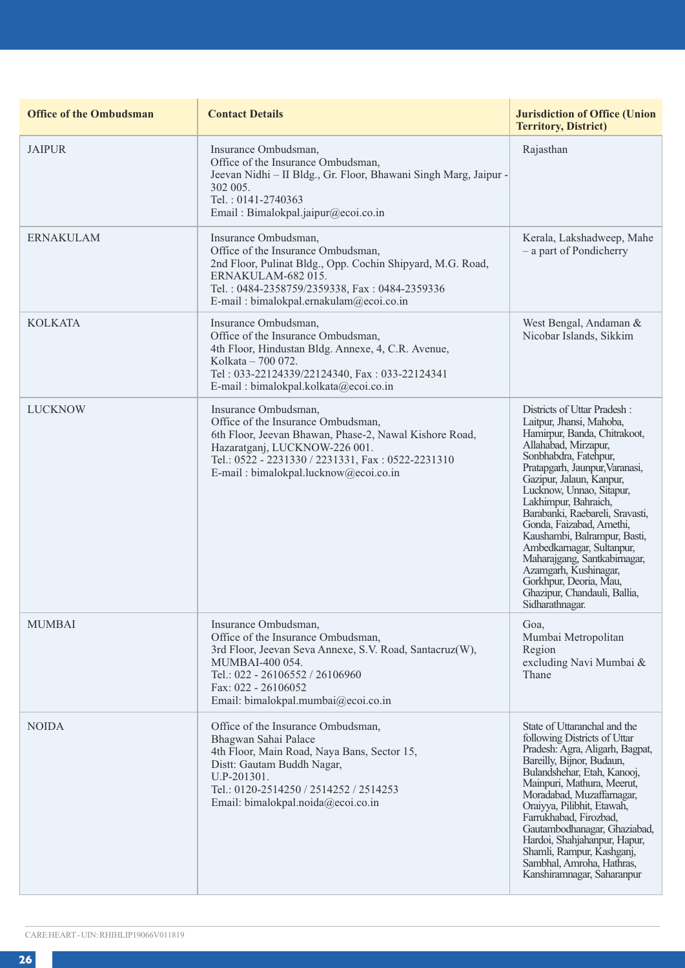| <b>Office of the Ombudsman</b> | <b>Contact Details</b>                                                                                                                                                                                                                              | <b>Jurisdiction of Office (Union</b><br><b>Territory, District)</b>                                                                                                                                                                                                                                                                                                                                                                                                                                                         |
|--------------------------------|-----------------------------------------------------------------------------------------------------------------------------------------------------------------------------------------------------------------------------------------------------|-----------------------------------------------------------------------------------------------------------------------------------------------------------------------------------------------------------------------------------------------------------------------------------------------------------------------------------------------------------------------------------------------------------------------------------------------------------------------------------------------------------------------------|
| <b>JAIPUR</b>                  | Insurance Ombudsman,<br>Office of the Insurance Ombudsman,<br>Jeevan Nidhi - II Bldg., Gr. Floor, Bhawani Singh Marg, Jaipur -<br>302 005.<br>Tel.: 0141-2740363<br>Email: Bimalokpal.jaipur@ecoi.co.in                                             | Rajasthan                                                                                                                                                                                                                                                                                                                                                                                                                                                                                                                   |
| <b>ERNAKULAM</b>               | Insurance Ombudsman,<br>Office of the Insurance Ombudsman.<br>2nd Floor, Pulinat Bldg., Opp. Cochin Shipyard, M.G. Road,<br>ERNAKULAM-682 015.<br>Tel.: 0484-2358759/2359338, Fax: 0484-2359336<br>E-mail: bimalokpal.ernakulam@ecoi.co.in          | Kerala, Lakshadweep, Mahe<br>- a part of Pondicherry                                                                                                                                                                                                                                                                                                                                                                                                                                                                        |
| <b>KOLKATA</b>                 | Insurance Ombudsman,<br>Office of the Insurance Ombudsman,<br>4th Floor, Hindustan Bldg. Annexe, 4, C.R. Avenue,<br>Kolkata - 700 072.<br>Tel: 033-22124339/22124340, Fax: 033-22124341<br>E-mail: bimalokpal.kolkata@ecoi.co.in                    | West Bengal, Andaman &<br>Nicobar Islands, Sikkim                                                                                                                                                                                                                                                                                                                                                                                                                                                                           |
| <b>LUCKNOW</b>                 | Insurance Ombudsman,<br>Office of the Insurance Ombudsman,<br>6th Floor, Jeevan Bhawan, Phase-2, Nawal Kishore Road,<br>Hazaratganj, LUCKNOW-226 001.<br>Tel.: 0522 - 2231330 / 2231331, Fax: 0522-2231310<br>E-mail: bimalokpal.lucknow@ecoi.co.in | Districts of Uttar Pradesh:<br>Laitpur, Jhansi, Mahoba,<br>Hamirpur, Banda, Chitrakoot,<br>Allahabad, Mirzapur,<br>Sonbhabdra, Fatehpur,<br>Pratapgarh, Jaunpur, Varanasi,<br>Gazipur, Jalaun, Kanpur,<br>Lucknow, Unnao, Sitapur,<br>Lakhimpur, Bahraich,<br>Barabanki, Raebareli, Sravasti,<br>Gonda, Faizabad, Amethi,<br>Kaushambi, Balrampur, Basti,<br>Ambedkamagar, Sultanpur,<br>Maharajgang, Santkabirnagar,<br>Azamgarh, Kushinagar,<br>Gorkhpur, Deoria, Mau,<br>Ghazipur, Chandauli, Ballia,<br>Sidharathnagar. |
| <b>MUMBAI</b>                  | Insurance Ombudsman,<br>Office of the Insurance Ombudsman,<br>3rd Floor, Jeevan Seva Annexe, S.V. Road, Santacruz(W),<br>MUMBAI-400 054.<br>Tel.: 022 - 26106552 / 26106960<br>Fax: 022 - 26106052<br>Email: bimalokpal.mumbai@ecoi.co.in           | Goa,<br>Mumbai Metropolitan<br>Region<br>excluding Navi Mumbai &<br>Thane                                                                                                                                                                                                                                                                                                                                                                                                                                                   |
| <b>NOIDA</b>                   | Office of the Insurance Ombudsman,<br>Bhagwan Sahai Palace<br>4th Floor, Main Road, Naya Bans, Sector 15,<br>Distt: Gautam Buddh Nagar,<br>U.P-201301.<br>Tel.: 0120-2514250 / 2514252 / 2514253<br>Email: bimalokpal.noida@ecoi.co.in              | State of Uttaranchal and the<br>following Districts of Uttar<br>Pradesh: Agra, Aligarh, Bagpat,<br>Bareilly, Bijnor, Budaun,<br>Bulandshehar, Etah, Kanooj,<br>Mainpuri, Mathura, Meerut,<br>Moradabad, Muzaffarnagar,<br>Oraivva, Pilibhit, Etawah.<br>Farrukhabad, Firozbad,<br>Gautambodhanagar, Ghaziabad,<br>Hardoi, Shahjahanpur, Hapur,<br>Shamli, Rampur, Kashganj,<br>Sambhal, Amroha, Hathras,<br>Kanshiramnagar, Saharanpur                                                                                      |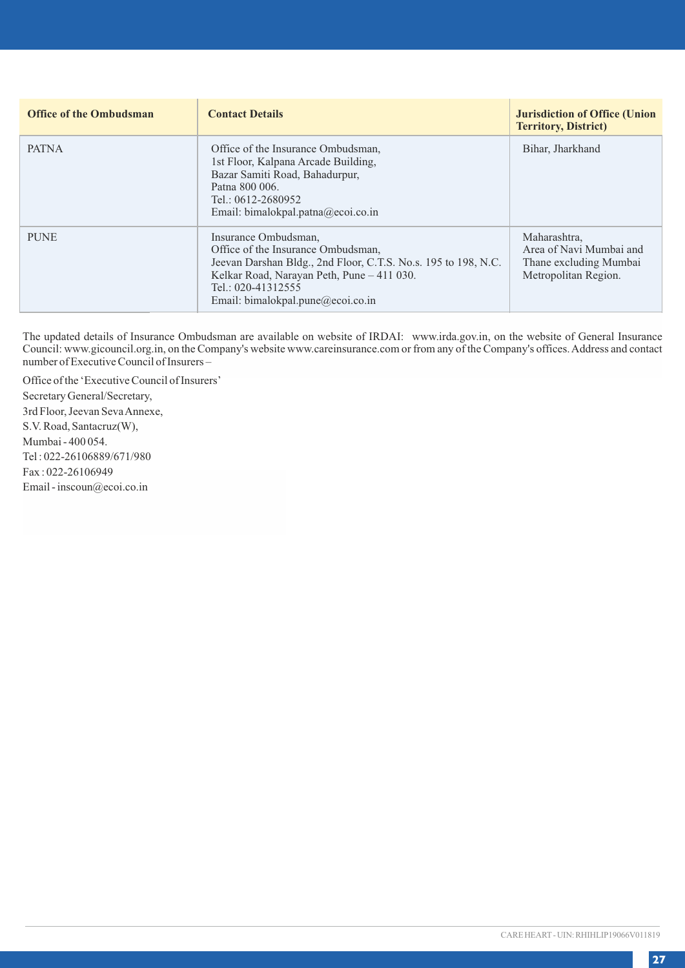| <b>Office of the Ombudsman</b> | <b>Contact Details</b>                                                                                                                                                                                                                | <b>Jurisdiction of Office (Union</b><br><b>Territory, District)</b>                       |
|--------------------------------|---------------------------------------------------------------------------------------------------------------------------------------------------------------------------------------------------------------------------------------|-------------------------------------------------------------------------------------------|
| <b>PATNA</b>                   | Office of the Insurance Ombudsman.<br>1st Floor, Kalpana Arcade Building,<br>Bazar Samiti Road, Bahadurpur,<br>Patna 800 006.<br>Tel.: $0612 - 2680952$<br>Email: bimalokpal.patna@ecoi.co.in                                         | Bihar, Jharkhand                                                                          |
| <b>PUNE</b>                    | Insurance Ombudsman,<br>Office of the Insurance Ombudsman.<br>Jeevan Darshan Bldg., 2nd Floor, C.T.S. No.s. 195 to 198, N.C.<br>Kelkar Road, Narayan Peth, Pune - 411 030.<br>Tel.: 020-41312555<br>Email: bimalokpal.pune@ecoi.co.in | Maharashtra,<br>Area of Navi Mumbai and<br>Thane excluding Mumbai<br>Metropolitan Region. |

The updated details of Insurance Ombudsman are available on website of IRDAI: www.irda.gov.in, on the website of General Insurance Council: www.gicouncil.org.in, on the Company's website www.careinsurance.com or from any of the Company's offices. Address and contact number of Executive Council of Insurers –

Office of the 'Executive Council of Insurers' Secretary General/Secretary, 3rd Floor, Jeevan Seva Annexe, S.V. Road, Santacruz(W), Mumbai - 400 054. Tel : 022-26106889/671/980 Fax : 022-26106949 Email - inscoun@ecoi.co.in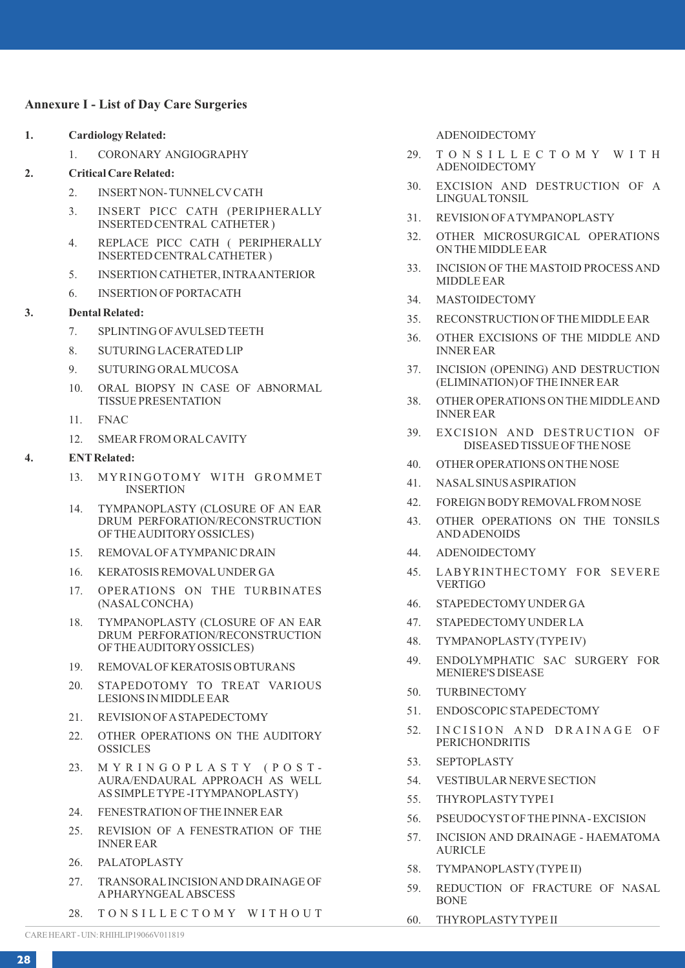### **Annexure I - List of Day Care Surgeries**

- **1. Cardiology Related:**
	- 1. CORONARY ANGIOGRAPHY
- **2. Critical Care Related:**
	- 2. INSERTNON- TUNNELCVCATH
	- 3. INSERT PICC CATH (PERIPHERALLY INSERTED CENTRAL CATHETER )
	- 4. REPLACE PICC CATH ( PERIPHERALLY INSERTED CENTRALCATHETER )
	- 5. INSERTION CATHETER, INTRAANTERIOR
	- 6. INSERTION OF PORTACATH

#### **3. Dental Related:**

- 7. SPLINTING OF AVULSED TEETH
- 8. SUTURING LACERATED LIP
- 9. SUTURING ORALMUCOSA
- 10. ORAL BIOPSY IN CASE OF ABNORMAL TISSUE PRESENTATION
- 11. FNAC
- 12. SMEAR FROM ORALCAVITY

#### **4. ENTRelated:**

- 13. MYRINGOTOMY WITH GROMMET INSERTION
- 14. TYMPANOPLASTY (CLOSURE OF AN EAR DRUM PERFORATION/RECONSTRUCTION OF THE AUDITORYOSSICLES)
- 15. REMOVALOF ATYMPANIC DRAIN
- 16. KERATOSIS REMOVALUNDER GA
- 17. OPERATIONS ON THE TURBINATES (NASALCONCHA)
- 18. TYMPANOPLASTY (CLOSURE OF AN EAR DRUM PERFORATION/RECONSTRUCTION OF THE AUDITORYOSSICLES)
- 19. REMOVALOF KERATOSIS OBTURANS
- 20. STAPEDOTOMY TO TREAT VARIOUS LESIONS IN MIDDLE EAR
- 21. REVISION OF ASTAPEDECTOMY
- 22. OTHER OPERATIONS ON THE AUDITORY OSSICLES
- 23. MYRINGOPLASTY (POST-AURA/ENDAURAL APPROACH AS WELL AS SIMPLE TYPE -I TYMPANOPLASTY)
- 24. FENESTRATION OF THE INNER EAR
- 25. REVISION OF A FENESTRATION OF THE INNER EAR
- 26. PALATOPLASTY
- 27. TRANSORALINCISION AND DRAINAGE OF APHARYNGEAL ABSCESS
- 28. TONSILLECTOMY WITHOUT

ADENOIDECTOMY

- 29. T O N S I L L E C T O M Y W I T H ADENOIDECTOMY
- 30. EXCISION AND DESTRUCTION OF A LINGUALTONSIL
- 31. REVISION OF ATYMPANOPLASTY
- 32. OTHER MICROSURGICAL OPERATIONS ON THE MIDDLE EAR
- 33. INCISION OF THE MASTOID PROCESS AND MIDDLE EAR
- 34. MASTOIDECTOMY
- 35. RECONSTRUCTION OF THE MIDDLE EAR
- 36. OTHER EXCISIONS OF THE MIDDLE AND INNER EAR
- 37. INCISION (OPENING) AND DESTRUCTION (ELIMINATION) OF THE INNER EAR
- 38. OTHER OPERATIONS ON THE MIDDLE AND INNER EAR
- 39. EXCISION AND DESTRUCTION OF DISEASED TISSUE OF THE NOSE
- 40. OTHER OPERATIONS ON THE NOSE
- 41. NASALSINUS ASPIRATION
- 42. FOREIGN BODYREMOVALFROM NOSE
- 43. OTHER OPERATIONS ON THE TONSILS AND ADENOIDS
- 44. ADENOIDECTOMY
- 45. LABYRINTHECTOMY FOR SEVERE VERTIGO
- 46. STAPEDECTOMYUNDER GA
- 47. STAPEDECTOMYUNDER LA
- 48. TYMPANOPLASTY(TYPE IV)
- 49. ENDOLYMPHATIC SAC SURGERY FOR MENIERE'S DISEASE
- 50. TURBINECTOMY
- 51. ENDOSCOPIC STAPEDECTOMY
- 52. INCISION AND DRAINAGE OF PERICHONDRITIS
- 53. SEPTOPLASTY
- 54. VESTIBULAR NERVE SECTION
- 55. THYROPLASTYTYPE I
- 56. PSEUDOCYSTOF THE PINNA- EXCISION
- 57. INCISION AND DRAINAGE HAEMATOMA AURICLE
- 58. TYMPANOPLASTY(TYPE II)
- 59. REDUCTION OF FRACTURE OF NASAL BONE
- 60. THYROPLASTYTYPE II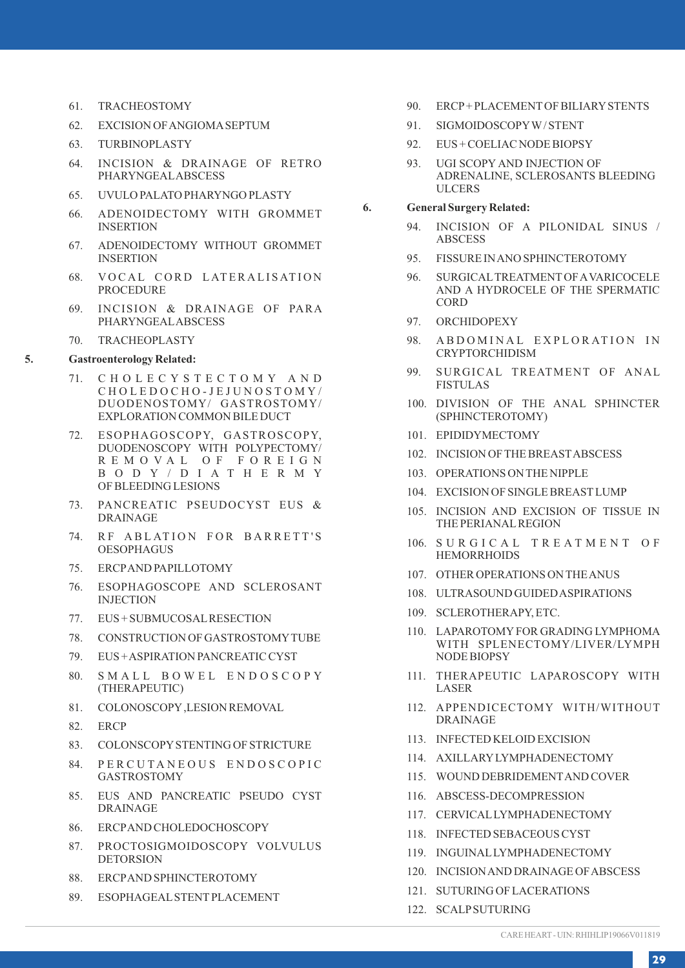- 61. TRACHEOSTOMY
- 62. EXCISION OF ANGIOMASEPTUM
- 63. TURBINOPLASTY
- 64. INCISION & DRAINAGE OF RETRO PHARYNGEALABSCESS
- 65. UVULO PALATO PHARYNGO PLASTY
- 66. ADENOIDECTOMY WITH GROMMET INSERTION
- 67. ADENOIDECTOMY WITHOUT GROMMET INSERTION
- 68. VOCAL CORD LATERALISATION PROCEDURE
- 69. INCISION & DRAINAGE OF PARA PHARYNGEALABSCESS
- 70. TRACHEOPLASTY

### **5. Gastroenterology Related:**

- 71. C H O L E C Y S T E C T O M Y A N D C H O L E D O C H O - J E J U N O S T O M Y / DUODENOSTOMY/ GASTROSTOMY/ EXPLORATION COMMON BILE DUCT
- 72. ESOPHAGOSCOPY, GASTROSCOPY, DUODENOSCOPY WITH POLYPECTOMY/ R E M O V A L O F F O R E I G N B O D Y / D I A T H E R M Y OF BLEEDING LESIONS
- 73. PANCREATIC PSEUDOCYST EUS & DRAINAGE
- 74. RF ABLATION FOR BARRETT'S OESOPHAGUS
- 75. ERCPAND PAPILLOTOMY
- 76. ESOPHAGOSCOPE AND SCLEROSANT INJECTION
- 77. EUS + SUBMUCOSALRESECTION
- 78. CONSTRUCTION OF GASTROSTOMYTUBE
- 79. EUS + ASPIRATION PANCREATIC CYST
- 80. SMALL BOWEL ENDOSCOPY (THERAPEUTIC)
- 81. COLONOSCOPY,LESION REMOVAL
- 82. ERCP
- 83. COLONSCOPYSTENTING OF STRICTURE
- 84. PERCUTANEOUS ENDOSCOPIC GASTROSTOMY
- 85. EUS AND PANCREATIC PSEUDO CYST DRAINAGE
- 86. ERCPAND CHOLEDOCHOSCOPY
- 87. PROCTOSIGMOIDOSCOPY VOLVULUS DETORSION
- 88. ERCPAND SPHINCTEROTOMY
- 89. ESOPHAGEALSTENTPLACEMENT
- 90. ERCP+ PLACEMENTOF BILIARYSTENTS
- 91. SIGMOIDOSCOPYW/ STENT
- 92. EUS + COELIAC NODE BIOPSY
- 93. UGI SCOPY AND INJECTION OF ADRENALINE, SCLEROSANTS BLEEDING ULCERS

### **6. General Surgery Related:**

- 94. INCISION OF A PILONIDAL SINUS / ABSCESS
- 95. FISSURE IN ANO SPHINCTEROTOMY
- 96. SURGICALTREATMENTOF AVARICOCELE AND A HYDROCELE OF THE SPERMATIC **CORD**
- 97. ORCHIDOPEXY
- 98. A B D O M I N A L EXPLORATION IN CRYPTORCHIDISM
- 99. SURGICAL TREATMENT OF ANAL FISTULAS
- 100. DIVISION OF THE ANAL SPHINCTER (SPHINCTEROTOMY)
- 101. EPIDIDYMECTOMY
- 102. INCISION OF THE BREASTABSCESS
- 103. OPERATIONS ON THE NIPPLE
- 104. EXCISION OF SINGLE BREASTLUMP
- 105. INCISION AND EXCISION OF TISSUE IN THE PERIANALREGION
- 106. SURGICAL TREATMENT OF **HEMORRHOIDS**
- 107. OTHER OPERATIONS ON THE ANUS
- 108. ULTRASOUND GUIDED ASPIRATIONS
- 109. SCLEROTHERAPY, ETC.
- 110. LAPAROTOMYFOR GRADING LYMPHOMA WITH SPLENECTOMY/LIVER/LYMPH NODE BIOPSY
- 111. THERAPEUTIC LAPAROSCOPY WITH LASER
- 112. APPENDICECTOMY WITH/WITHOUT DRAINAGE
- 113. INFECTED KELOID EXCISION
- 114. AXILLARYLYMPHADENECTOMY
- 115. WOUND DEBRIDEMENTAND COVER
- 116. ABSCESS-DECOMPRESSION
- 117. CERVICALLYMPHADENECTOMY
- 118. INFECTED SEBACEOUS CYST
- 119. INGUINALLYMPHADENECTOMY
- 120. INCISION AND DRAINAGE OF ABSCESS
- 121. SUTURING OF LACERATIONS
- 122. SCALPSUTURING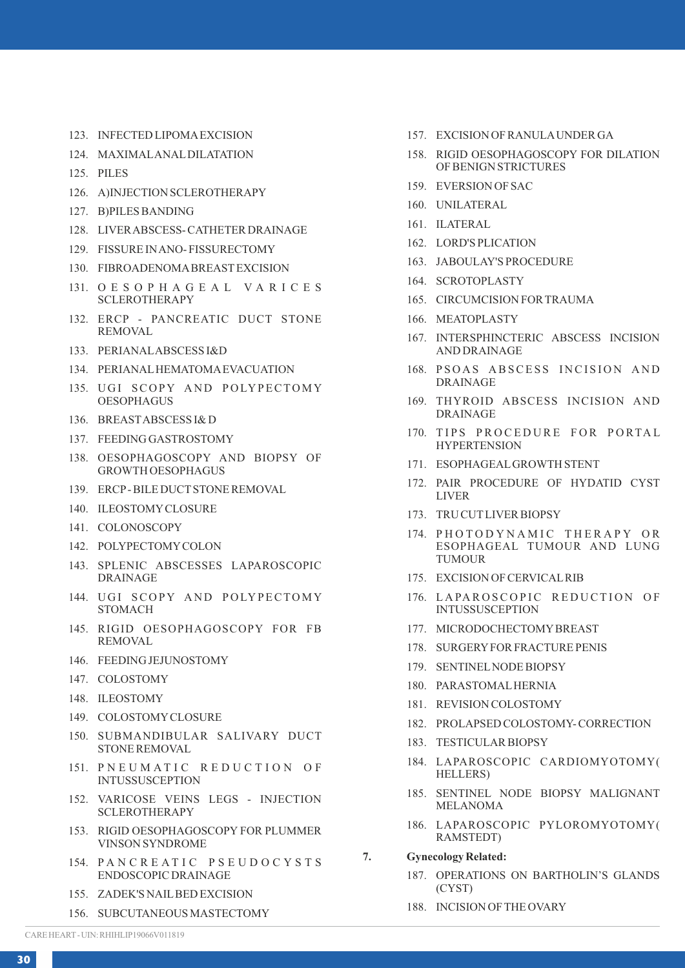- 123. INFECTED LIPOMAEXCISION
- 124. MAXIMALANALDILATATION
- 125. PILES
- 126. A)INJECTION SCLEROTHERAPY
- 127. B)PILES BANDING
- 128. LIVER ABSCESS- CATHETER DRAINAGE
- 129. FISSURE IN ANO- FISSURECTOMY
- 130. FIBROADENOMABREASTEXCISION
- 131. O E S O P H A G E A L V A R I C E S SCLEROTHERAPY
- 132. ERCP PANCREATIC DUCT STONE REMOVAL
- 133. PERIANALABSCESS I&D
- 134. PERIANALHEMATOMAEVACUATION
- 135. UGI SCOPY AND POLYPECTOMY **OESOPHAGUS**
- 136. BREASTABSCESS I& D
- 137. FEEDING GASTROSTOMY
- 138. OESOPHAGOSCOPY AND BIOPSY OF GROWTH OESOPHAGUS
- 139. ERCP- BILE DUCTSTONE REMOVAL
- 140. ILEOSTOMYCLOSURE
- 141. COLONOSCOPY
- 142. POLYPECTOMYCOLON
- 143. SPLENIC ABSCESSES LAPAROSCOPIC DRAINAGE
- 144. UGI SCOPY AND POLYPECTOMY **STOMACH**
- 145. RIGID OESOPHAGOSCOPY FOR FB REMOVAL
- 146. FEEDING JEJUNOSTOMY
- 147. COLOSTOMY
- 148. ILEOSTOMY
- 149. COLOSTOMYCLOSURE
- 150. SUBMANDIBULAR SALIVARY DUCT STONE REMOVAL
- 151. PNEUMATIC REDUCTION OF INTUSSUSCEPTION
- 152. VARICOSE VEINS LEGS INJECTION SCLEROTHERAPY
- 153. RIGID OESOPHAGOSCOPY FOR PLUMMER VINSON SYNDROME
- 154. PANCREATIC PSEUDOCYSTS ENDOSCOPIC DRAINAGE
- 155. ZADEK'S NAILBED EXCISION
- 156. SUBCUTANEOUS MASTECTOMY
- 157. EXCISION OF RANULAUNDER GA
- 158. RIGID OESOPHAGOSCOPY FOR DILATION OF BENIGN STRICTURES
- 159. EVERSION OF SAC
- 160. UNILATERAL
- 161. ILATERAL
- 162. LORD'S PLICATION
- 163. JABOULAY'S PROCEDURE
- 164. SCROTOPLASTY
- 165. CIRCUMCISION FOR TRAUMA
- 166. MEATOPLASTY
- 167. INTERSPHINCTERIC ABSCESS INCISION AND DRAINAGE
- 168. PSOAS ABSCESS INCISION AND DRAINAGE
- 169. THYROID ABSCESS INCISION AND DRAINAGE
- 170. TIPS PROCEDURE FOR PORTAL **HYPERTENSION**
- 171. ESOPHAGEALGROWTH STENT
- 172. PAIR PROCEDURE OF HYDATID CYST LIVER
- 173. TRU CUTLIVER BIOPSY
- 174. PHOTODYNAMIC THERAPY OR ESOPHAGEAL TUMOUR AND LUNG **TUMOUR**
- 175. EXCISION OF CERVICALRIB
- 176. LAPAROSCOPIC REDUCTION OF INTUSSUSCEPTION
- 177. MICRODOCHECTOMYBREAST
- 178. SURGERYFOR FRACTURE PENIS
- 179. SENTINELNODE BIOPSY
- 180. PARASTOMALHERNIA
- 181. REVISION COLOSTOMY
- 182. PROLAPSED COLOSTOMY- CORRECTION
- 183. TESTICULAR BIOPSY
- 184. LAPAROSCOPIC CARDIOMYOTOMY( HELLERS)
- 185. SENTINEL NODE BIOPSY MALIGNANT MELANOMA
- 186. LAPAROSCOPIC PYLOROMYOTOMY( RAMSTEDT)
- **7. Gynecology Related:**
	- 187. OPERATIONS ON BARTHOLIN'S GLANDS (CYST)
	- 188. INCISION OF THE OVARY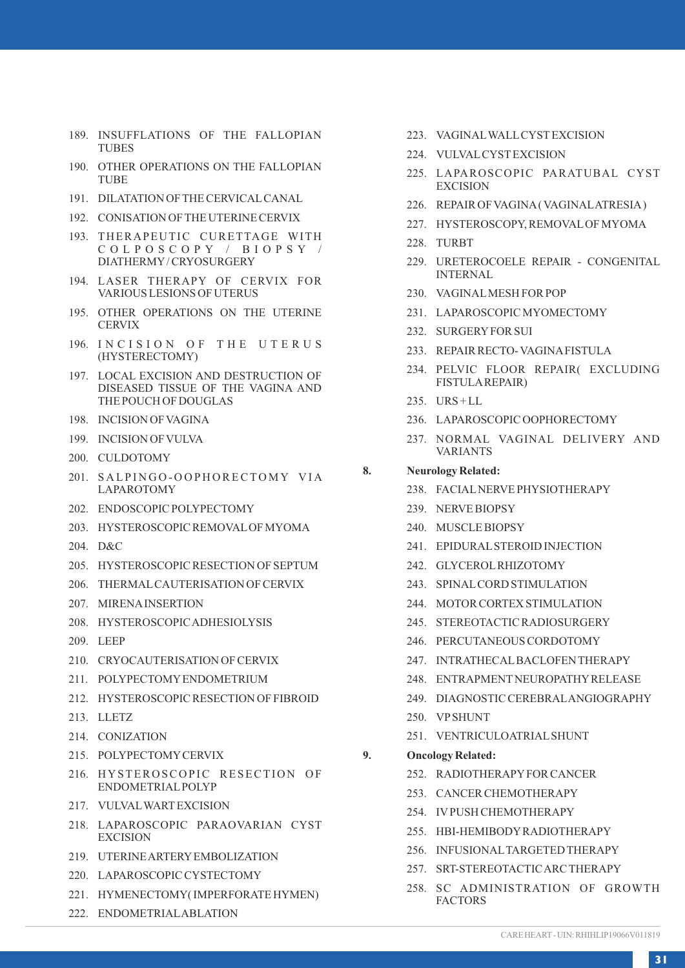- 189. INSUFFLATIONS OF THE FALLOPIAN TUBES
- 190. OTHER OPERATIONS ON THE FALLOPIAN **TUBE**
- 191. DILATATION OF THE CERVICALCANAL
- 192. CONISATION OF THE UTERINE CERVIX
- 193. THERAPEUTIC CURETTAGE WITH C O L P O S C O P Y / B I O P S Y / DIATHERMY/ CRYOSURGERY
- 194. LASER THERAPY OF CERVIX FOR VARIOUS LESIONS OF UTERUS
- 195. OTHER OPERATIONS ON THE UTERINE **CERVIX**
- 196. INCISION OF THE UTERUS (HYSTERECTOMY)
- 197. LOCAL EXCISION AND DESTRUCTION OF DISEASED TISSUE OF THE VAGINA AND THE POUCH OF DOUGLAS
- 198. INCISION OF VAGINA
- 199. INCISION OF VULVA
- 200. CULDOTOMY
- 201. SALPINGO-OOPHORECTOMY VIA LAPAROTOMY
- 202. ENDOSCOPIC POLYPECTOMY
- 203. HYSTEROSCOPIC REMOVALOF MYOMA
- 204. D&C
- 205. HYSTEROSCOPIC RESECTION OF SEPTUM
- 206. THERMALCAUTERISATION OF CERVIX
- 207. MIRENAINSERTION
- 208. HYSTEROSCOPIC ADHESIOLYSIS
- 209. LEEP
- 210. CRYOCAUTERISATION OF CERVIX
- 211. POLYPECTOMYENDOMETRIUM
- 212. HYSTEROSCOPIC RESECTION OF FIBROID
- 213. LLETZ
- 214. CONIZATION
- 215. POLYPECTOMYCERVIX
- 216. HYSTEROSCOPIC RESECTION OF ENDOMETRIALPOLYP
- 217. VULVALWARTEXCISION
- 218. LAPAROSCOPIC PARAOVARIAN CYST EXCISION
- 219. UTERINE ARTERYEMBOLIZATION
- 220. LAPAROSCOPIC CYSTECTOMY
- 221. HYMENECTOMY( IMPERFORATE HYMEN)
- 222. ENDOMETRIALABLATION
- 223. VAGINALWALLCYSTEXCISION
- 224. VULVALCYSTEXCISION
- 225. LAPAROSCOPIC PARATUBAL CYST **EXCISION**
- 226. REPAIR OF VAGINA( VAGINALATRESIA)
- 227. HYSTEROSCOPY, REMOVALOF MYOMA
- 228. TURBT
- 229. URETEROCOELE REPAIR CONGENITAL INTERNAL
- 230. VAGINALMESH FOR POP
- 231. LAPAROSCOPIC MYOMECTOMY
- 232. SURGERYFOR SUI
- 233. REPAIR RECTO- VAGINAFISTULA
- 234. PELVIC FLOOR REPAIR( EXCLUDING FISTULAREPAIR)
- 235. URS + LL
- 236. LAPAROSCOPIC OOPHORECTOMY
- 237. NORMAL VAGINAL DELIVERY AND VARIANTS

### **8. Neurology Related:**

- 238. FACIALNERVE PHYSIOTHERAPY
- 239. NERVE BIOPSY
- 240. MUSCLE BIOPSY
- 241. EPIDURALSTEROID INJECTION
- 242. GLYCEROLRHIZOTOMY
- 243. SPINALCORD STIMULATION
- 244. MOTOR CORTEX STIMULATION
- 245. STEREOTACTIC RADIOSURGERY
- 246. PERCUTANEOUS CORDOTOMY
- 247. INTRATHECALBACLOFEN THERAPY
- 248. ENTRAPMENTNEUROPATHYRELEASE
- 249. DIAGNOSTIC CEREBRALANGIOGRAPHY
- 250. VPSHUNT
- 251. VENTRICULOATRIALSHUNT
- **9. Oncology Related:** 
	- 252. RADIOTHERAPYFOR CANCER
	- 253. CANCER CHEMOTHERAPY
	- 254. IVPUSH CHEMOTHERAPY
	- 255. HBI-HEMIBODYRADIOTHERAPY
	- 256. INFUSIONALTARGETED THERAPY
	- 257. SRT-STEREOTACTIC ARC THERAPY
	- 258. SC ADMINISTRATION OF GROWTH FACTORS
- 
- 
-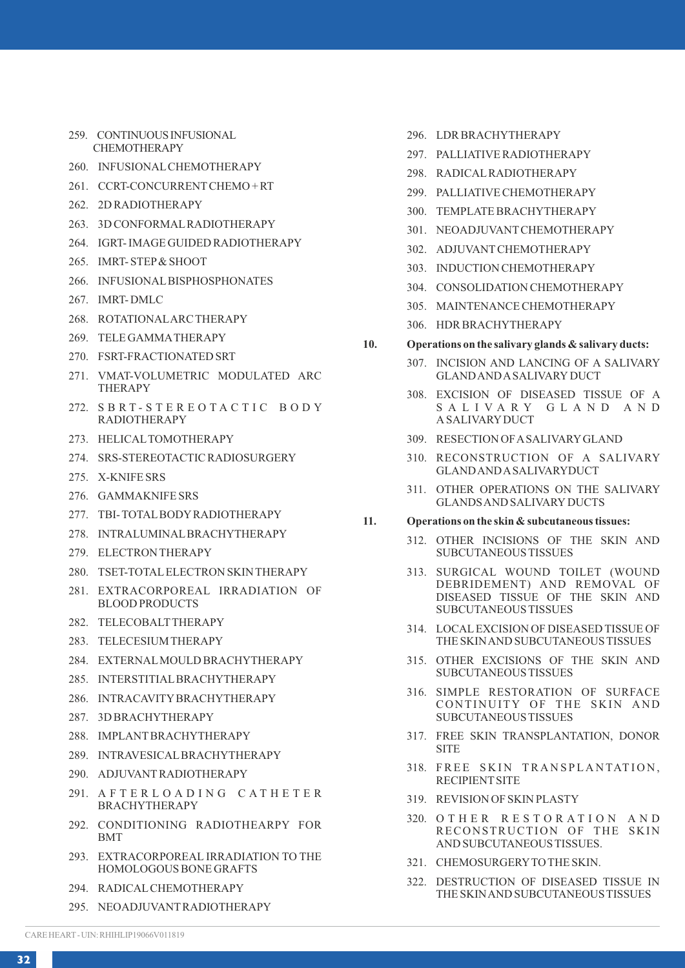- 259. CONTINUOUS INFUSIONAL CHEMOTHERAPY
- 260. INFUSIONALCHEMOTHERAPY
- 261. CCRT-CONCURRENTCHEMO + RT
- 262. 2D RADIOTHERAPY
- 263. 3D CONFORMALRADIOTHERAPY
- 264. IGRT- IMAGE GUIDED RADIOTHERAPY
- 265. IMRT- STEP& SHOOT
- 266. INFUSIONALBISPHOSPHONATES
- 267. IMRT- DMLC
- 268. ROTATIONALARC THERAPY
- 269. TELE GAMMATHERAPY
- 270. FSRT-FRACTIONATED SRT
- 271. VMAT-VOLUMETRIC MODULATED ARC THERAPY
- 272. SBRT-STEREOTACTIC BODY RADIOTHERAPY
- 273. HELICALTOMOTHERAPY
- 274. SRS-STEREOTACTIC RADIOSURGERY
- 275. X-KNIFE SRS
- 276. GAMMAKNIFE SRS
- 277. TBI- TOTALBODYRADIOTHERAPY
- 278. INTRALUMINALBRACHYTHERAPY
- 279. ELECTRON THERAPY
- 280. TSET-TOTALELECTRON SKIN THERAPY
- 281. EXTRACORPOREAL IRRADIATION OF BLOOD PRODUCTS
- 282. TELECOBALTTHERAPY
- 283. TELECESIUM THERAPY
- 284. EXTERNALMOULD BRACHYTHERAPY
- 285. INTERSTITIALBRACHYTHERAPY
- 286. INTRACAVITYBRACHYTHERAPY
- 287. 3D BRACHYTHERAPY
- 288. IMPLANTBRACHYTHERAPY
- 289. INTRAVESICALBRACHYTHERAPY
- 290. ADJUVANTRADIOTHERAPY
- 291. A F T E R L O A D I N G C A T H E T E R BRACHYTHERAPY
- 292. CONDITIONING RADIOTHEARPY FOR BMT
- 293. EXTRACORPOREAL IRRADIATION TO THE HOMOLOGOUS BONE GRAFTS
- 294. RADICALCHEMOTHERAPY
- 295. NEOADJUVANTRADIOTHERAPY
- 296. LDR BRACHYTHERAPY
- 297. PALLIATIVE RADIOTHERAPY
- 298. RADICALRADIOTHERAPY
- 299. PALLIATIVE CHEMOTHERAPY
- 300. TEMPLATE BRACHYTHERAPY
- 301. NEOADJUVANTCHEMOTHERAPY
- 302 ADJUVANT CHEMOTHER APY
- 303. INDUCTION CHEMOTHERAPY
- 304. CONSOLIDATION CHEMOTHERAPY
- 305. MAINTENANCE CHEMOTHERAPY
- 306. HDR BRACHYTHERAPY
- **10. Operations on the salivary glands & salivary ducts:**
	- 307. INCISION AND LANCING OF A SALIVARY GLAND AND ASALIVARY DUCT
	- 308. EXCISION OF DISEASED TISSUE OF A S A L I V A R Y G L A N D A N D A SALIVARYDUCT
	- 309. RESECTION OF ASALIVARYGLAND
	- 310. RECONSTRUCTION OF A SALIVARY GLAND AND ASALIVARYDUCT
	- 311. OTHER OPERATIONS ON THE SALIVARY GLANDS AND SALIVARY DUCTS

#### **11. Operations on the skin & subcutaneous tissues:**

- 312. OTHER INCISIONS OF THE SKIN AND SUBCUTANEOUS TISSUES
- 313. SURGICAL WOUND TOILET (WOUND DEBRIDEMENT) AND REMOVAL OF DISEASED TISSUE OF THE SKIN AND SUBCUTANEOUS TISSUES
- 314. LOCALEXCISION OF DISEASED TISSUE OF THE SKIN AND SUBCUTANEOUS TISSUES
- 315. OTHER EXCISIONS OF THE SKIN AND SUBCUTANEOUS TISSUES
- 316. SIMPLE RESTORATION OF SURFACE CONTINUITY OF THE SKIN AND SUBCUTANEOUS TISSUES
- 317. FREE SKIN TRANSPLANTATION, DONOR SITE
- 318. FREE SKIN TRANSPLANTATION, RECIPIENTSITE
- 319. REVISION OF SKIN PLASTY
- 320. O T H E R R E S T O R A T I O N A N D RECONSTRUCTION OF THE SKIN AND SUBCUTANEOUS TISSUES.
- 321. CHEMOSURGERYTO THE SKIN.
- 322. DESTRUCTION OF DISEASED TISSUE IN THE SKIN AND SUBCUTANEOUS TISSUES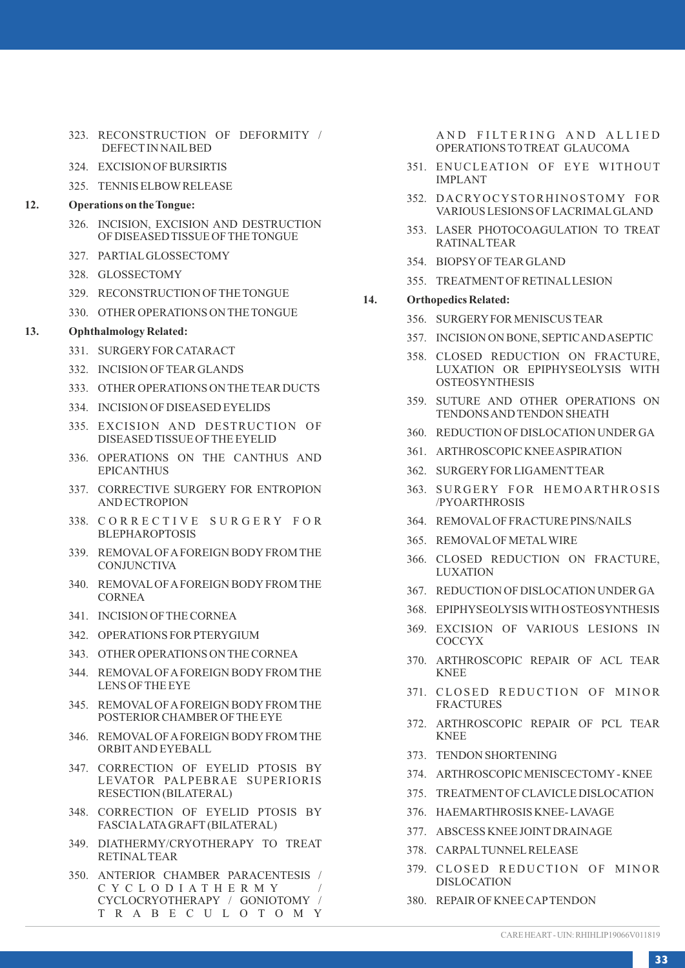- 323. RECONSTRUCTION OF DEFORMITY / DEFECTIN NAILBED
- 324. EXCISION OF BURSIRTIS
- 325. TENNIS ELBOWRELEASE

### **12. Operations on the Tongue:**

- 326. INCISION, EXCISION AND DESTRUCTION OF DISEASED TISSUE OF THE TONGUE
- 327. PARTIALGLOSSECTOMY
- 328. GLOSSECTOMY
- 329. RECONSTRUCTION OF THE TONGUE
- 330. OTHER OPERATIONS ON THE TONGUE

### **13. Ophthalmology Related:**

- 331. SURGERYFOR CATARACT
- 332. INCISION OF TEAR GLANDS
- 333. OTHER OPERATIONS ON THE TEAR DUCTS
- 334. INCISION OF DISEASED EYELIDS
- 335. EXCISION AND DESTRUCTION OF DISEASED TISSUE OF THE EYELID
- 336. OPERATIONS ON THE CANTHUS AND EPICANTHUS
- 337. CORRECTIVE SURGERY FOR ENTROPION AND ECTROPION
- 338. CORRECTIVE SURGERY FOR **BLEPHAROPTOSIS**
- 339. REMOVALOF AFOREIGN BODYFROM THE **CONJUNCTIVA**
- 340. REMOVALOF AFOREIGN BODYFROM THE CORNEA
- 341. INCISION OF THE CORNEA
- 342. OPERATIONS FOR PTERYGIUM
- 343. OTHER OPERATIONS ON THE CORNEA
- 344. REMOVALOF AFOREIGN BODYFROM THE LENS OF THE EYE
- 345. REMOVALOF AFOREIGN BODYFROM THE POSTERIOR CHAMBER OF THE EYE
- 346. REMOVALOF AFOREIGN BODYFROM THE ORBITAND EYEBALL
- 347. CORRECTION OF EYELID PTOSIS BY LEVATOR PALPEBRAE SUPERIORIS RESECTION (BILATERAL)
- 348. CORRECTION OF EYELID PTOSIS BY FASCIALATAGRAFT (BILATERAL)
- 349. DIATHERMY/CRYOTHERAPY TO TREAT RETINALTEAR
- 350. ANTERIOR CHAMBER PARACENTESIS / C Y C L O D I A T H E R M Y / CYCLOCRYOTHERAPY / GONIOTOMY / T R A B E C U L O T O M Y

AND FILTERING AND ALLIED OPERATIONS TO TREAT GLAUCOMA

- 351. ENUCLEATION OF EYE WITHOUT IMPLANT
- 352. DACRYOCYSTORHINOSTOMY FOR VARIOUS LESIONS OF LACRIMALGLAND
- 353. LASER PHOTOCOAGULATION TO TREAT RATINALTEAR
- 354. BIOPSYOF TEAR GLAND
- 355. TREATMENTOF RETINALLESION

### **14. Orthopedics Related:**

- 356. SURGERYFOR MENISCUS TEAR
- 357. INCISION ON BONE, SEPTIC AND ASEPTIC
- 358. CLOSED REDUCTION ON FRACTURE, LUXATION OR EPIPHYSEOLYSIS WITH **OSTEOSYNTHESIS**
- 359. SUTURE AND OTHER OPERATIONS ON TENDONS AND TENDON SHEATH
- 360. REDUCTION OF DISLOCATION UNDER GA
- 361. ARTHROSCOPIC KNEE ASPIRATION
- 362. SURGERYFOR LIGAMENTTEAR
- 363. SURGERY FOR HEMOARTHROSIS /PYOARTHROSIS
- 364. REMOVALOF FRACTURE PINS/NAILS
- 365. REMOVALOF METALWIRE
- 366. CLOSED REDUCTION ON FRACTURE, LUXATION
- 367. REDUCTION OF DISLOCATION UNDER GA
- 368. EPIPHYSEOLYSIS WITH OSTEOSYNTHESIS
- 369. EXCISION OF VARIOUS LESIONS IN COCCYX
- 370. ARTHROSCOPIC REPAIR OF ACL TEAR KNEE
- 371. CLOSED REDUCTION OF MINOR FRACTURES
- 372. ARTHROSCOPIC REPAIR OF PCL TEAR KNEE
- 373. TENDON SHORTENING
- 374. ARTHROSCOPIC MENISCECTOMY- KNEE
- 375. TREATMENTOF CLAVICLE DISLOCATION
- 376. HAEMARTHROSIS KNEE- LAVAGE
- 377. ABSCESS KNEE JOINTDRAINAGE
- 378. CARPALTUNNELRELEASE
- 379. CLOSED REDUCTION OF MINOR DISLOCATION
- 380. REPAIR OF KNEE CAPTENDON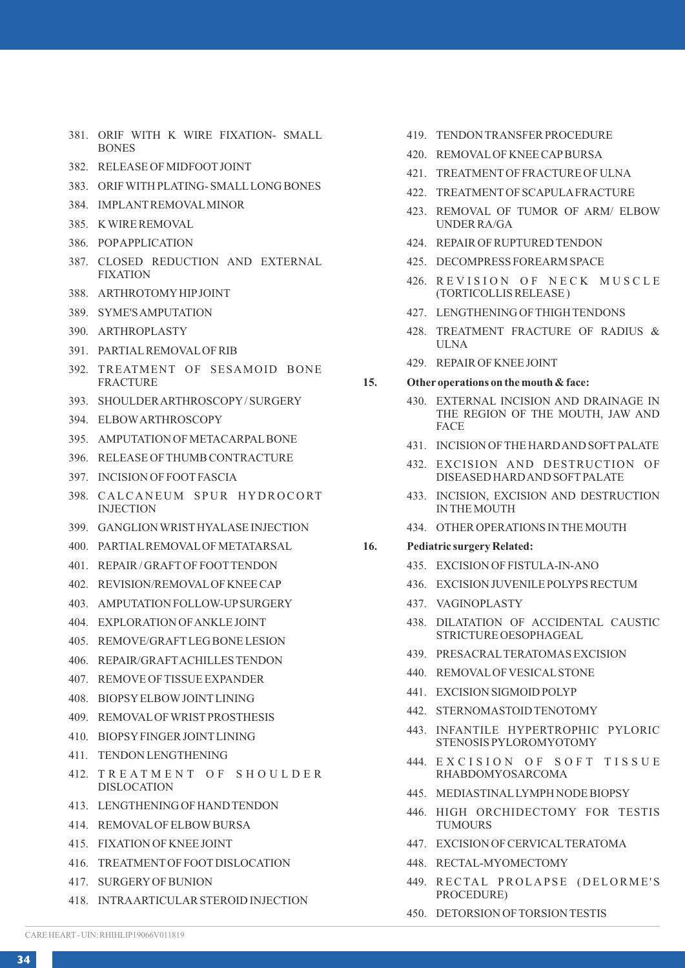- 381. ORIF WITH K WIRE FIXATION- SMALL BONES
- 382. RELEASE OF MIDFOOTJOINT
- 383. ORIF WITH PLATING- SMALLLONG BONES
- 384. IMPLANTREMOVALMINOR
- 385. K WIRE REMOVAL
- 386. POPAPPLICATION
- 387. CLOSED REDUCTION AND EXTERNAL FIXATION
- 388. ARTHROTOMYHIPJOINT
- 389. SYME'S AMPUTATION
- 390. ARTHROPLASTY
- 391. PARTIALREMOVALOF RIB
- 392. TREATMENT OF SESAMOID BONE FRACTURE
- 393. SHOULDER ARTHROSCOPY/ SURGERY
- 394. ELBOWARTHROSCOPY
- 395. AMPUTATION OF METACARPALBONE
- 396. RELEASE OF THUMB CONTRACTURE
- 397. INCISION OF FOOTFASCIA
- 398. CALCANEUM SPUR HYDROCORT **INJECTION**
- 399. GANGLION WRISTHYALASE INJECTION
- 400. PARTIALREMOVALOF METATARSAL
- 401. REPAIR / GRAFTOF FOOTTENDON
- 402. REVISION/REMOVALOF KNEE CAP
- 403. AMPUTATION FOLLOW-UPSURGERY
- 404. EXPLORATION OF ANKLE JOINT
- 405. REMOVE/GRAFTLEG BONE LESION
- 406. REPAIR/GRAFTACHILLES TENDON
- 407. REMOVE OF TISSUE EXPANDER
- 408. BIOPSYELBOWJOINTLINING
- 409. REMOVALOF WRISTPROSTHESIS
- 410. BIOPSYFINGER JOINTLINING
- 411. TENDON LENGTHENING
- 412. TREATMENT OF SHOULDER DISLOCATION
- 413. LENGTHENING OF HAND TENDON
- 414. REMOVALOF ELBOWBURSA
- 415. FIXATION OF KNEE JOINT
- 416. TREATMENTOF FOOTDISLOCATION
- 417. SURGERYOF BUNION
- 418. INTRAARTICULAR STEROID INJECTION
- 419. TENDON TRANSFER PROCEDURE
- 420. REMOVALOF KNEE CAPBURSA
- 421. TREATMENTOF FRACTURE OF ULNA
- 422. TREATMENTOF SCAPULAFRACTURE
- 423. REMOVAL OF TUMOR OF ARM/ ELBOW UNDER RA/GA
- 424. REPAIR OF RUPTURED TENDON
- 425. DECOMPRESS FOREARM SPACE
- 426. REVISION OF NECK MUSCLE (TORTICOLLIS RELEASE )
- 427. LENGTHENING OF THIGH TENDONS
- 428. TREATMENT FRACTURE OF RADIUS & ULNA
- 429. REPAIR OF KNEE JOINT

### **15. Other operations on the mouth & face:**

- 430. EXTERNAL INCISION AND DRAINAGE IN THE REGION OF THE MOUTH, JAW AND FACE
- 431. INCISION OF THE HARD AND SOFTPALATE
- 432. EXCISION AND DESTRUCTION OF DISEASED HARD AND SOFT PALATE
- 433. INCISION, EXCISION AND DESTRUCTION IN THE MOUTH
- 434. OTHER OPERATIONS IN THE MOUTH

#### **16. Pediatric surgery Related:**

- 435. EXCISION OF FISTULA-IN-ANO
- 436. EXCISION JUVENILE POLYPS RECTUM
- 437. VAGINOPLASTY
- 438. DILATATION OF ACCIDENTAL CAUSTIC STRICTURE OESOPHAGEAL
- 439. PRESACRALTERATOMAS EXCISION
- 440. REMOVALOF VESICALSTONE
- 441. EXCISION SIGMOID POLYP
- 442. STERNOMASTOID TENOTOMY
- 443. INFANTILE HYPERTROPHIC PYLORIC STENOSIS PYLOROMYOTOMY
- 444. EXCISION OF SOFT TISSUE RHABDOMYOSARCOMA
- 445. MEDIASTINALLYMPH NODE BIOPSY
- 446. HIGH ORCHIDECTOMY FOR TESTIS TUMOURS
- 447. EXCISION OF CERVICALTERATOMA
- 448. RECTAL-MYOMECTOMY
- 449. RECTAL PROLAPSE (DELORME'S PROCEDURE)
- 450. DETORSION OF TORSION TESTIS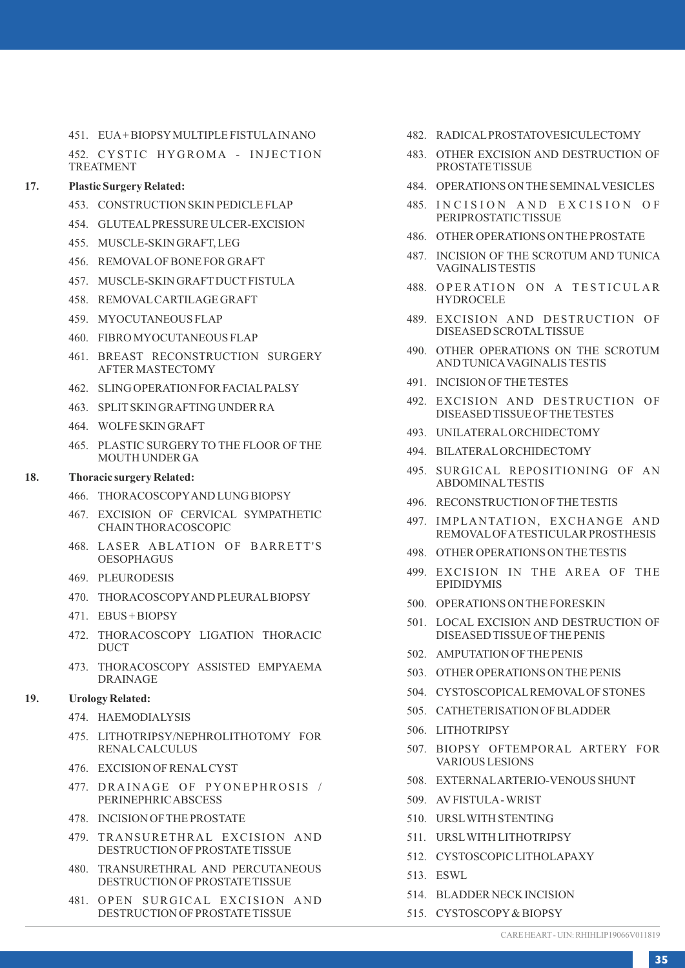451. EUA+ BIOPSYMULTIPLE FISTULAIN ANO

452. CYSTIC HYGROMA - INJECTION TREATMENT

### **17. Plastic Surgery Related:**

- 453. CONSTRUCTION SKIN PEDICLE FLAP
- 454. GLUTEALPRESSURE ULCER-EXCISION
- 455. MUSCLE-SKIN GRAFT, LEG
- 456. REMOVALOF BONE FOR GRAFT
- 457. MUSCLE-SKIN GRAFTDUCTFISTULA
- 458. REMOVALCARTILAGE GRAFT
- 459. MYOCUTANEOUS FLAP
- 460. FIBRO MYOCUTANEOUS FLAP
- 461. BREAST RECONSTRUCTION SURGERY AFTER MASTECTOMY
- 462. SLING OPERATION FOR FACIALPALSY
- 463. SPLITSKIN GRAFTING UNDER RA
- 464. WOLFE SKIN GRAFT
- 465. PLASTIC SURGERY TO THE FLOOR OF THE MOUTH UNDER GA

### **18. Thoracic surgery Related:**

- 466. THORACOSCOPYAND LUNG BIOPSY
- 467. EXCISION OF CERVICAL SYMPATHETIC CHAIN THORACOSCOPIC
- 468. LASER ABLATION OF BARRETT'S OESOPHAGUS
- 469. PLEURODESIS
- 470. THORACOSCOPYAND PLEURALBIOPSY
- 471. EBUS + BIOPSY
- 472. THORACOSCOPY LIGATION THORACIC **DUCT**
- 473. THORACOSCOPY ASSISTED EMPYAEMA DRAINAGE

#### **19. Urology Related:**

- 474. HAEMODIALYSIS
- 475. LITHOTRIPSY/NEPHROLITHOTOMY FOR RENALCALCULUS
- 476. EXCISION OF RENALCYST
- 477. DRAINAGE OF PYONEPHROSIS / PERINEPHRIC ABSCESS
- 478. INCISION OF THE PROSTATE
- 479. TRANSURETHRAL EXCISION AND DESTRUCTION OF PROSTATE TISSUE
- 480. TRANSURETHRAL AND PERCUTANEOUS DESTRUCTION OF PROSTATE TISSUE
- 481. OPEN SURGICAL EXCISION AND DESTRUCTION OF PROSTATE TISSUE
- 482. RADICALPROSTATOVESICULECTOMY
- 483. OTHER EXCISION AND DESTRUCTION OF PROSTATE TISSUE
- 484. OPERATIONS ON THE SEMINALVESICLES
- 485. INCISION AND EXCISION OF PERIPROSTATIC TISSUE
- 486. OTHER OPERATIONS ON THE PROSTATE
- 487. INCISION OF THE SCROTUM AND TUNICA VAGINALIS TESTIS
- 488. OPERATION ON A TESTICULAR **HYDROCELE**
- 489. EXCISION AND DESTRUCTION OF DISEASED SCROTALTISSUE
- 490. OTHER OPERATIONS ON THE SCROTUM AND TUNICAVAGINALIS TESTIS
- 491. INCISION OF THE TESTES
- 492. EXCISION AND DESTRUCTION OF DISEASED TISSUE OF THE TESTES
- 493. UNILATERALORCHIDECTOMY
- 494. BILATERALORCHIDECTOMY
- 495. SURGICAL REPOSITIONING OF AN ABDOMINALTESTIS
- 496. RECONSTRUCTION OF THE TESTIS
- 497. IMPLANTATION, EXCHANGE AND REMOVALOF ATESTICULAR PROSTHESIS
- 498. OTHER OPERATIONS ON THE TESTIS
- 499. EXCISION IN THE AREA OF THE EPIDIDYMIS
- 500. OPERATIONS ON THE FORESKIN
- 501. LOCAL EXCISION AND DESTRUCTION OF DISEASED TISSUE OF THE PENIS
- 502. AMPUTATION OF THE PENIS
- 503. OTHER OPERATIONS ON THE PENIS
- 504. CYSTOSCOPICALREMOVALOF STONES
- 505. CATHETERISATION OF BLADDER
- 506. LITHOTRIPSY
- 507. BIOPSY OFTEMPORAL ARTERY FOR VARIOUS LESIONS
- 508. EXTERNALARTERIO-VENOUS SHUNT
- 509. AVFISTULA- WRIST
- 510. URSLWITH STENTING
- 511. URSLWITH LITHOTRIPSY
- 512. CYSTOSCOPIC LITHOLAPAXY
- 513. ESWL
- 514. BLADDER NECK INCISION
- 515. CYSTOSCOPY& BIOPSY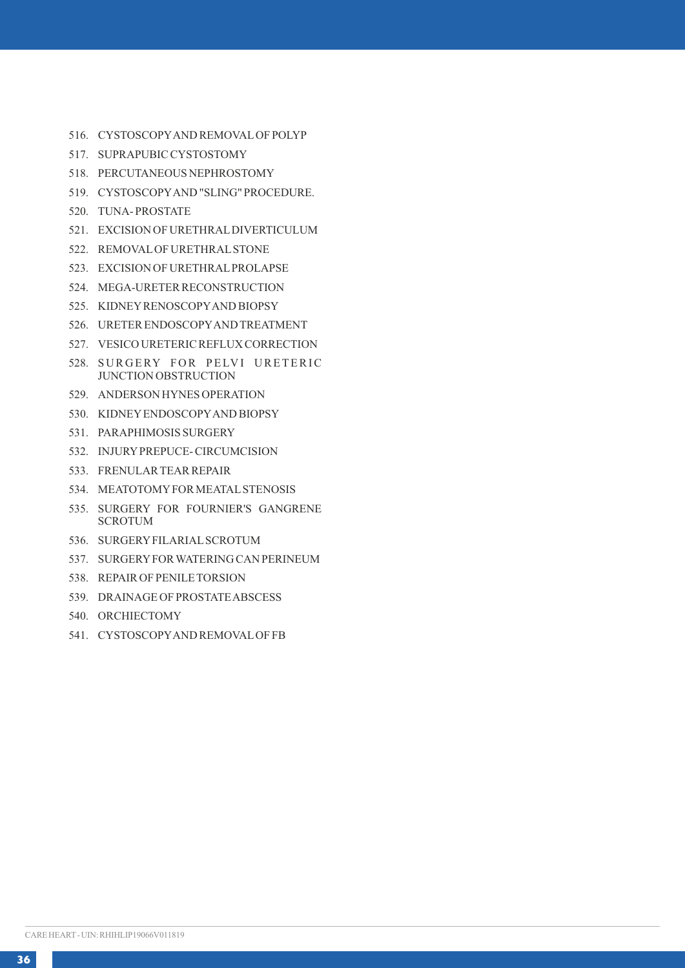- 516. CYSTOSCOPYAND REMOVALOF POLYP
- 517. SUPRAPUBIC CYSTOSTOMY
- 518. PERCUTANEOUS NEPHROSTOMY
- 519. CYSTOSCOPYAND "SLING" PROCEDURE.
- 520. TUNA- PROSTATE
- 521. EXCISION OF URETHRALDIVERTICULUM
- 522. REMOVALOF URETHRALSTONE
- 523. EXCISION OF URETHRALPROLAPSE
- 524. MEGA-URETER RECONSTRUCTION
- 525. KIDNEYRENOSCOPYAND BIOPSY
- 526. URETER ENDOSCOPYAND TREATMENT
- 527. VESICO URETERIC REFLUX CORRECTION
- 528. SURGERY FOR PELVI URETERIC JUNCTION OBSTRUCTION
- 529. ANDERSON HYNES OPERATION
- 530. KIDNEYENDOSCOPYAND BIOPSY
- 531. PARAPHIMOSIS SURGERY
- 532. INJURYPREPUCE- CIRCUMCISION
- 533. FRENULAR TEAR REPAIR
- 534. MEATOTOMYFOR MEATALSTENOSIS
- 535. SURGERY FOR FOURNIER'S GANGRENE **SCROTUM**
- 536. SURGERYFILARIALSCROTUM
- 537. SURGERYFOR WATERING CAN PERINEUM
- 538. REPAIR OF PENILE TORSION
- 539. DRAINAGE OF PROSTATE ABSCESS
- 540. ORCHIECTOMY
- 541. CYSTOSCOPYAND REMOVALOF FB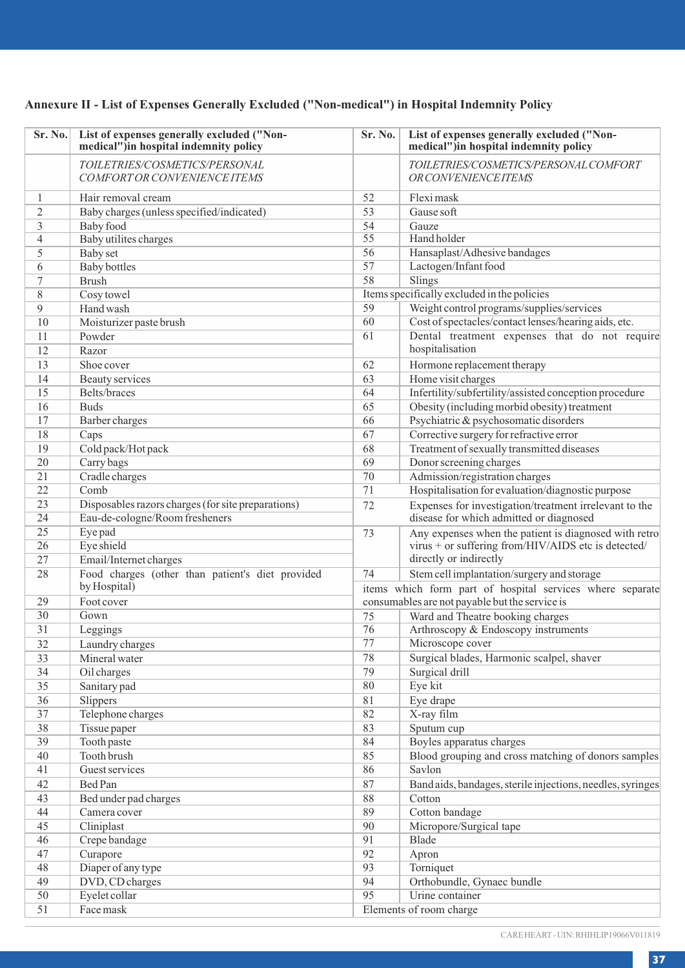## **Annexure II - List of Expenses Generally Excluded ("Non-medical") in Hospital Indemnity Policy**

| Sr. No.        | List of expenses generally excluded ("Non-<br>medical")in hospital indemnity policy | Sr. No. | List of expenses generally excluded ("Non-<br>medical")in hospital indemnity policy |
|----------------|-------------------------------------------------------------------------------------|---------|-------------------------------------------------------------------------------------|
|                | TOILETRIES/COSMETICS/PERSONAL<br>COMFORT OR CONVENIENCE ITEMS                       |         | TOILETRIES/COSMETICS/PERSONAL COMFORT<br><b>OR CONVENIENCE ITEMS</b>                |
| $\mathbf{1}$   | Hair removal cream                                                                  | 52      | Flexi mask                                                                          |
| $\overline{c}$ | Baby charges (unless specified/indicated)                                           | 53      | Gause soft                                                                          |
| 3              | Baby food                                                                           | 54      | Gauze                                                                               |
| $\overline{4}$ | Baby utilites charges                                                               | 55      | Hand holder                                                                         |
| 5              | <b>Baby</b> set                                                                     | 56      | Hansaplast/Adhesive bandages                                                        |
| 6              | <b>Baby bottles</b>                                                                 | 57      | Lactogen/Infant food                                                                |
| $\tau$         | <b>Brush</b>                                                                        | 58      | Slings                                                                              |
| 8              | Cosy towel                                                                          |         | Items specifically excluded in the policies                                         |
| $\mathbf{Q}$   | Hand wash                                                                           | 59      | Weight control programs/supplies/services                                           |
| 10             | Moisturizer paste brush                                                             | 60      | Cost of spectacles/contact lenses/hearing aids, etc.                                |
| 11             | Powder                                                                              | 61      | Dental treatment expenses that do not require                                       |
| 12             | Razor                                                                               |         | hospitalisation                                                                     |
| 13             | Shoe cover                                                                          | 62      | Hormone replacement therapy                                                         |
| 14             | Beauty services                                                                     | 63      | Home visit charges                                                                  |
| 15             | Belts/braces                                                                        | 64      | Infertility/subfertility/assisted conception procedure                              |
| 16             | <b>Buds</b>                                                                         | 65      | Obesity (including morbid obesity) treatment                                        |
| 17             | Barber charges                                                                      | 66      | Psychiatric & psychosomatic disorders                                               |
| 18             | Caps                                                                                | 67      | Corrective surgery for refractive error                                             |
| 19             | Cold pack/Hot pack                                                                  | 68      | Treatment of sexually transmitted diseases                                          |
| 20             | Carry bags                                                                          | 69      | Donor screening charges                                                             |
| 21             | Cradle charges                                                                      | 70      | Admission/registration charges                                                      |
| 22             | Comb                                                                                | 71      | Hospitalisation for evaluation/diagnostic purpose                                   |
| 23             | Disposables razors charges (for site preparations)                                  | 72      | Expenses for investigation/treatment irrelevant to the                              |
| 24             | Eau-de-cologne/Room fresheners                                                      |         | disease for which admitted or diagnosed                                             |
| 25             | Eye pad                                                                             | 73      | Any expenses when the patient is diagnosed with retro                               |
| 26             | Eye shield                                                                          |         | virus + or suffering from/HIV/AIDS etc is detected/                                 |
| 27             | Email/Internet charges                                                              |         | directly or indirectly                                                              |
| 28             | Food charges (other than patient's diet provided                                    | 74      | Stem cell implantation/surgery and storage                                          |
|                | by Hospital)                                                                        |         | items which form part of hospital services where separate                           |
| 29             | Foot cover                                                                          |         | consumables are not payable but the service is                                      |
| 30             | Gown                                                                                | 75      | Ward and Theatre booking charges                                                    |
| 31             | Leggings                                                                            | 76      | Arthroscopy & Endoscopy instruments                                                 |
| 32             | Laundry charges                                                                     | 77      | Microscope cover                                                                    |
| 33             | Mineral water                                                                       | 78      | Surgical blades, Harmonic scalpel, shaver                                           |
| 34             | Oil charges                                                                         | 79      | Surgical drill                                                                      |
| 35             | Sanitary pad                                                                        | 80      | Eye kit                                                                             |
| 36             | <b>Slippers</b>                                                                     | 81      | Eye drape                                                                           |
| 37             | Telephone charges                                                                   | 82      | X-ray film                                                                          |
| 38             | Tissue paper                                                                        | 83      | Sputum cup                                                                          |
| 39             | Tooth paste                                                                         | 84      | Boyles apparatus charges                                                            |
| 40             | Tooth brush                                                                         | 85      | Blood grouping and cross matching of donors samples                                 |
| 41             | Guest services                                                                      | 86      | Savlon                                                                              |
| 42             | Bed Pan                                                                             | 87      | Band aids, bandages, sterile injections, needles, syringes                          |
| 43             | Bed under pad charges                                                               | 88      | Cotton                                                                              |
| 44             | Camera cover                                                                        | 89      | Cotton bandage                                                                      |
| 45             | Cliniplast                                                                          | 90      | Micropore/Surgical tape                                                             |
| 46             | Crepe bandage                                                                       | 91      | Blade                                                                               |
| 47             | Curapore                                                                            | 92      | Apron                                                                               |
| 48             | Diaper of any type                                                                  | 93      | Torniquet                                                                           |
| 49             | DVD, CD charges                                                                     | 94      | Orthobundle, Gynaec bundle                                                          |
| 50             | Eyelet collar                                                                       | 95      | Urine container                                                                     |
| 51             | Face mask                                                                           |         | Elements of room charge                                                             |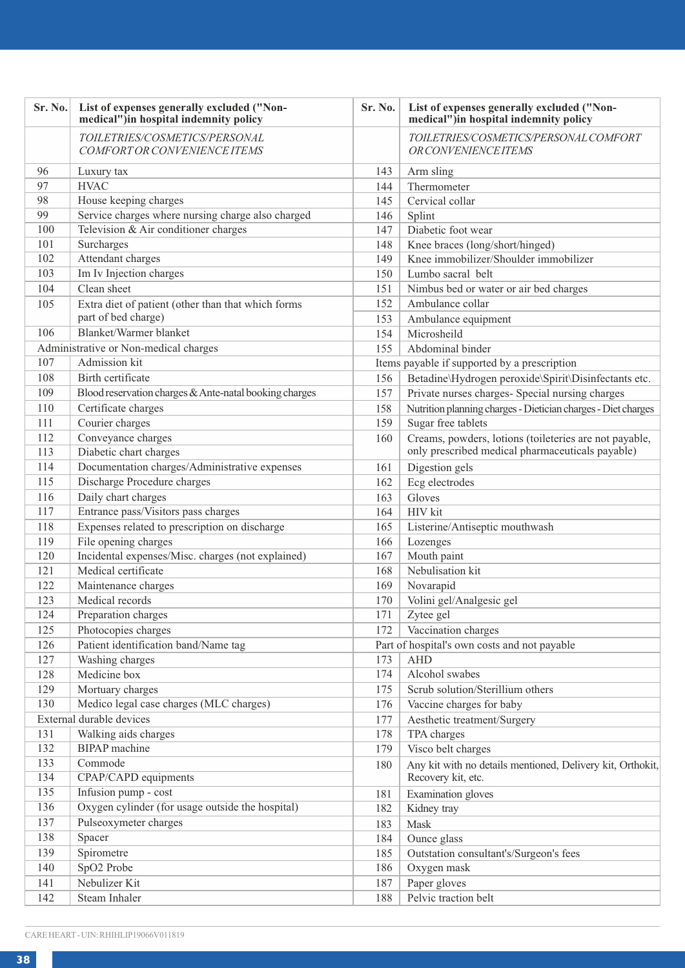| Sr. No. | List of expenses generally excluded ("Non-<br>medical")in hospital indemnity policy | Sr. No. | List of expenses generally excluded ("Non-<br>medical")in hospital indemnity policy |
|---------|-------------------------------------------------------------------------------------|---------|-------------------------------------------------------------------------------------|
|         | TOILETRIES/COSMETICS/PERSONAL<br>COMFORT OR CONVENIENCE ITEMS                       |         | TOILETRIES/COSMETICS/PERSONAL COMFORT<br><b>OR CONVENIENCE ITEMS</b>                |
| 96      | Luxury tax                                                                          | 143     | Arm sling                                                                           |
| 97      | <b>HVAC</b>                                                                         | 144     | Thermometer                                                                         |
| 98      | House keeping charges                                                               | 145     | Cervical collar                                                                     |
| 99      | Service charges where nursing charge also charged                                   | 146     | Splint                                                                              |
| 100     | Television & Air conditioner charges                                                | 147     | Diabetic foot wear                                                                  |
| 101     | Surcharges                                                                          | 148     | Knee braces (long/short/hinged)                                                     |
| 102     | Attendant charges                                                                   | 149     | Knee immobilizer/Shoulder immobilizer                                               |
| 103     | Im Iv Injection charges                                                             | 150     | Lumbo sacral belt                                                                   |
| 104     | Clean sheet                                                                         | 151     | Nimbus bed or water or air bed charges                                              |
| 105     | Extra diet of patient (other than that which forms                                  | 152     | Ambulance collar                                                                    |
|         | part of bed charge)                                                                 | 153     | Ambulance equipment                                                                 |
| 106     | Blanket/Warmer blanket                                                              | 154     | Microsheild                                                                         |
|         | Administrative or Non-medical charges                                               | 155     | Abdominal binder                                                                    |
| 107     | Admission kit                                                                       |         | Items payable if supported by a prescription                                        |
| 108     | Birth certificate                                                                   | 156     | Betadine\Hydrogen peroxide\Spirit\Disinfectants etc.                                |
| 109     | Blood reservation charges & Ante-natal booking charges                              | 157     | Private nurses charges- Special nursing charges                                     |
| 110     | Certificate charges                                                                 | 158     | Nutrition planning charges - Dietician charges - Diet charges                       |
| 111     | Courier charges                                                                     | 159     | Sugar free tablets                                                                  |
| 112     | Conveyance charges                                                                  | 160     | Creams, powders, lotions (toileteries are not payable,                              |
| 113     | Diabetic chart charges                                                              |         | only prescribed medical pharmaceuticals payable)                                    |
| 114     | Documentation charges/Administrative expenses                                       | 161     | Digestion gels                                                                      |
| 115     | Discharge Procedure charges                                                         | 162     | Ecg electrodes                                                                      |
| 116     | Daily chart charges                                                                 | 163     | Gloves                                                                              |
| 117     | Entrance pass/Visitors pass charges                                                 | 164     | <b>HIV</b> kit                                                                      |
| 118     | Expenses related to prescription on discharge                                       | 165     | Listerine/Antiseptic mouthwash                                                      |
| 119     | File opening charges                                                                | 166     | Lozenges                                                                            |
| 120     | Incidental expenses/Misc. charges (not explained)                                   | 167     | Mouth paint                                                                         |
| 121     | Medical certificate                                                                 | 168     | Nebulisation kit                                                                    |
| 122     | Maintenance charges                                                                 | 169     | Novarapid                                                                           |
| 123     | Medical records                                                                     | 170     | Volini gel/Analgesic gel                                                            |
| 124     | Preparation charges                                                                 | 171     | Zytee gel                                                                           |
| 125     | Photocopies charges                                                                 | 172     | Vaccination charges                                                                 |
| 126     | Patient identification band/Name tag                                                |         | Part of hospital's own costs and not payable                                        |
| 127     | Washing charges                                                                     | 173     | <b>AHD</b>                                                                          |
| 128     | Medicine box                                                                        | 174     | Alcohol swabes                                                                      |
| 129     | Mortuary charges                                                                    | 175     | Scrub solution/Sterillium others                                                    |
| 130     | Medico legal case charges (MLC charges)                                             | 176     | Vaccine charges for baby                                                            |
|         | External durable devices                                                            | 177     | Aesthetic treatment/Surgery                                                         |
| 131     | Walking aids charges                                                                | 178     | TPA charges                                                                         |
| 132     | <b>BIPAP</b> machine                                                                | 179     | Visco belt charges                                                                  |
| 133     | Commode                                                                             | 180     | Any kit with no details mentioned, Delivery kit, Orthokit,                          |
| 134     | CPAP/CAPD equipments                                                                |         | Recovery kit, etc.                                                                  |
| 135     | Infusion pump - cost                                                                | 181     | Examination gloves                                                                  |
| 136     | Oxygen cylinder (for usage outside the hospital)                                    | 182     | Kidney tray                                                                         |
| 137     | Pulseoxymeter charges                                                               | 183     | Mask                                                                                |
| 138     | Spacer                                                                              | 184     | Ounce glass                                                                         |
| 139     | Spirometre                                                                          | 185     | Outstation consultant's/Surgeon's fees                                              |
| 140     | SpO2 Probe                                                                          | 186     | Oxygen mask                                                                         |
| 141     | Nebulizer Kit                                                                       | 187     | Paper gloves                                                                        |
| 142     | Steam Inhaler                                                                       | 188     | Pelvic traction belt                                                                |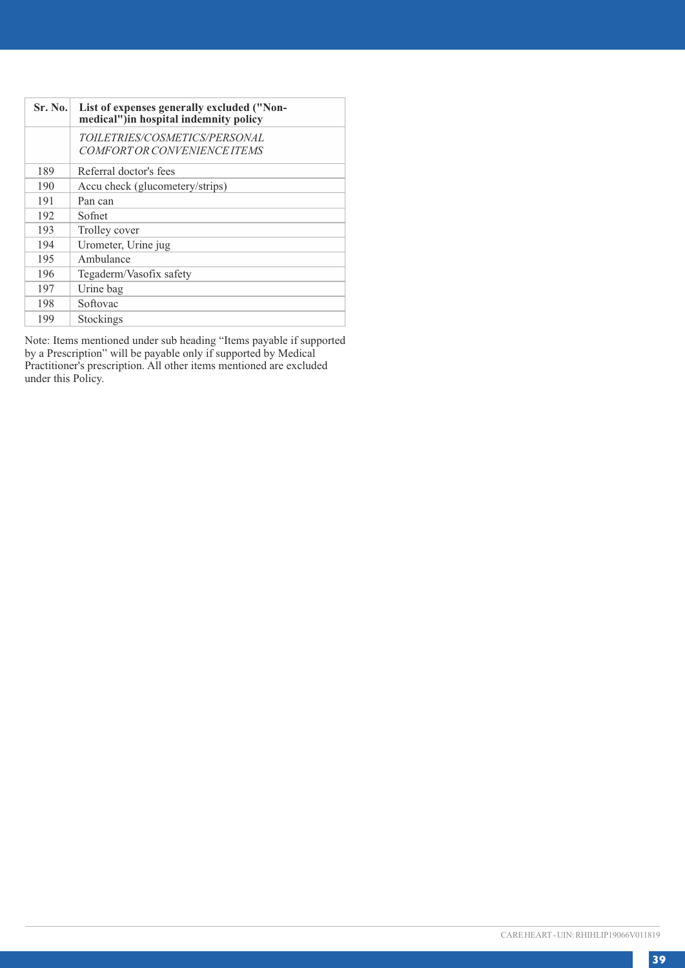| <b>Sr. No.</b> | List of expenses generally excluded ("Non-<br>medical")in hospital indemnity policy |
|----------------|-------------------------------------------------------------------------------------|
|                | TOILETRIES/COSMETICS/PERSONAL<br>COMFORT OR CONVENIENCE ITEMS                       |
| 189            | Referral doctor's fees                                                              |
| 190            | Accu check (glucometery/strips)                                                     |
| 191            | Pan can                                                                             |
| 192            | Sofnet                                                                              |
| 193            | Trolley cover                                                                       |
| 194            | Urometer, Urine jug                                                                 |
| 195            | Ambulance                                                                           |
| 196            | Tegaderm/Vasofix safety                                                             |
| 197            | Urine bag                                                                           |
| 198            | Softovac                                                                            |
| 199            | Stockings                                                                           |

Note: Items mentioned under sub heading "Items payable if supported by a Prescription" will be payable only if supported by Medical Practitioner's prescription. All other items mentioned are excluded under this Policy.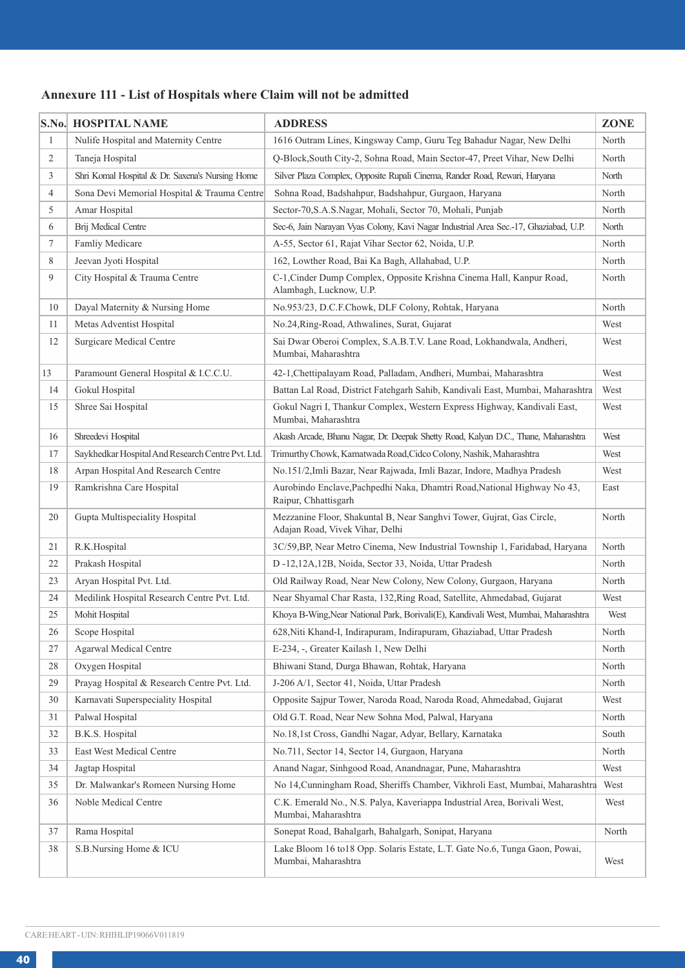### **Annexure 111 - List of Hospitals where Claim will not be admitted**

|                | S.No. HOSPITAL NAME                               | <b>ADDRESS</b>                                                                                           | ZONE  |
|----------------|---------------------------------------------------|----------------------------------------------------------------------------------------------------------|-------|
| $\mathbf{1}$   | Nulife Hospital and Maternity Centre              | 1616 Outram Lines, Kingsway Camp, Guru Teg Bahadur Nagar, New Delhi                                      | North |
| 2              | Taneja Hospital                                   | Q-Block, South City-2, Sohna Road, Main Sector-47, Preet Vihar, New Delhi                                | North |
| 3              | Shri Komal Hospital & Dr. Saxena's Nursing Home   | Silver Plaza Complex, Opposite Rupali Cinema, Rander Road, Rewari, Haryana                               | North |
| $\overline{4}$ | Sona Devi Memorial Hospital & Trauma Centre       | Sohna Road, Badshahpur, Badshahpur, Gurgaon, Haryana                                                     | North |
| 5              | Amar Hospital                                     | Sector-70, S.A.S.Nagar, Mohali, Sector 70, Mohali, Punjab                                                | North |
| 6              | Brij Medical Centre                               | Sec-6, Jain Narayan Vyas Colony, Kavi Nagar Industrial Area Sec.-17, Ghaziabad, U.P.                     | North |
| $\tau$         | Famliy Medicare                                   | A-55, Sector 61, Rajat Vihar Sector 62, Noida, U.P.                                                      | North |
| 8              | Jeevan Jyoti Hospital                             | 162, Lowther Road, Bai Ka Bagh, Allahabad, U.P.                                                          | North |
| 9              | City Hospital & Trauma Centre                     | C-1, Cinder Dump Complex, Opposite Krishna Cinema Hall, Kanpur Road,<br>Alambagh, Lucknow, U.P.          | North |
| 10             | Dayal Maternity & Nursing Home                    | No.953/23, D.C.F.Chowk, DLF Colony, Rohtak, Haryana                                                      | North |
| 11             | Metas Adventist Hospital                          | No.24, Ring-Road, Athwalines, Surat, Gujarat                                                             | West  |
| 12             | <b>Surgicare Medical Centre</b>                   | Sai Dwar Oberoi Complex, S.A.B.T.V. Lane Road, Lokhandwala, Andheri,<br>Mumbai, Maharashtra              | West  |
| 13             | Paramount General Hospital & I.C.C.U.             | 42-1, Chettipalayam Road, Palladam, Andheri, Mumbai, Maharashtra                                         | West  |
| 14             | Gokul Hospital                                    | Battan Lal Road, District Fatehgarh Sahib, Kandivali East, Mumbai, Maharashtra                           | West  |
| 15             | Shree Sai Hospital                                | Gokul Nagri I, Thankur Complex, Western Express Highway, Kandivali East,<br>Mumbai, Maharashtra          | West  |
| 16             | Shreedevi Hospital                                | Akash Arcade, Bhanu Nagar, Dr. Deepak Shetty Road, Kalyan D.C., Thane, Maharashtra                       | West  |
| 17             | Saykhedkar Hospital And Research Centre Pvt. Ltd. | Trimurthy Chowk, Kamatwada Road, Cidco Colony, Nashik, Maharashtra                                       | West  |
| 18             | Arpan Hospital And Research Centre                | No.151/2,Imli Bazar, Near Rajwada, Imli Bazar, Indore, Madhya Pradesh                                    | West  |
| 19             | Ramkrishna Care Hospital                          | Aurobindo Enclave, Pachpedhi Naka, Dhamtri Road, National Highway No 43,<br>Raipur, Chhattisgarh         | East  |
| 20             | Gupta Multispeciality Hospital                    | Mezzanine Floor, Shakuntal B, Near Sanghvi Tower, Gujrat, Gas Circle,<br>Adajan Road, Vivek Vihar, Delhi | North |
| 21             | R.K.Hospital                                      | 3C/59, BP, Near Metro Cinema, New Industrial Township 1, Faridabad, Haryana                              | North |
| 22             | Prakash Hospital                                  | D -12,12A,12B, Noida, Sector 33, Noida, Uttar Pradesh                                                    | North |
| 23             | Aryan Hospital Pvt. Ltd.                          | Old Railway Road, Near New Colony, New Colony, Gurgaon, Haryana                                          | North |
| 24             | Medilink Hospital Research Centre Pvt. Ltd.       | Near Shyamal Char Rasta, 132, Ring Road, Satellite, Ahmedabad, Gujarat                                   | West  |
| 25             | Mohit Hospital                                    | Khoya B-Wing, Near National Park, Borivali(E), Kandivali West, Mumbai, Maharashtra                       | West  |
| 26             | Scope Hospital                                    | 628, Niti Khand-I, Indirapuram, Indirapuram, Ghaziabad, Uttar Pradesh                                    | North |
| 27             | Agarwal Medical Centre                            | E-234, -, Greater Kailash 1, New Delhi                                                                   | North |
| 28             | Oxygen Hospital                                   | Bhiwani Stand, Durga Bhawan, Rohtak, Haryana                                                             | North |
| 29             | Prayag Hospital & Research Centre Pvt. Ltd.       | J-206 A/1, Sector 41, Noida, Uttar Pradesh                                                               | North |
| 30             | Karnavati Superspeciality Hospital                | Opposite Sajpur Tower, Naroda Road, Naroda Road, Ahmedabad, Gujarat                                      | West  |
| 31             | Palwal Hospital                                   | Old G.T. Road, Near New Sohna Mod, Palwal, Haryana                                                       | North |
| 32             | B.K.S. Hospital                                   | No.18,1st Cross, Gandhi Nagar, Adyar, Bellary, Karnataka                                                 | South |
| 33             | East West Medical Centre                          | No.711, Sector 14, Sector 14, Gurgaon, Haryana                                                           | North |
| 34             | Jagtap Hospital                                   | Anand Nagar, Sinhgood Road, Anandnagar, Pune, Maharashtra                                                | West  |
| 35             | Dr. Malwankar's Romeen Nursing Home               | No 14, Cunningham Road, Sheriffs Chamber, Vikhroli East, Mumbai, Maharashtra                             | West  |
| 36             | Noble Medical Centre                              | C.K. Emerald No., N.S. Palya, Kaveriappa Industrial Area, Borivali West,<br>Mumbai, Maharashtra          | West  |
| 37             | Rama Hospital                                     | Sonepat Road, Bahalgarh, Bahalgarh, Sonipat, Haryana                                                     | North |
| 38             | S.B.Nursing Home & ICU                            | Lake Bloom 16 to18 Opp. Solaris Estate, L.T. Gate No.6, Tunga Gaon, Powai,<br>Mumbai, Maharashtra        | West  |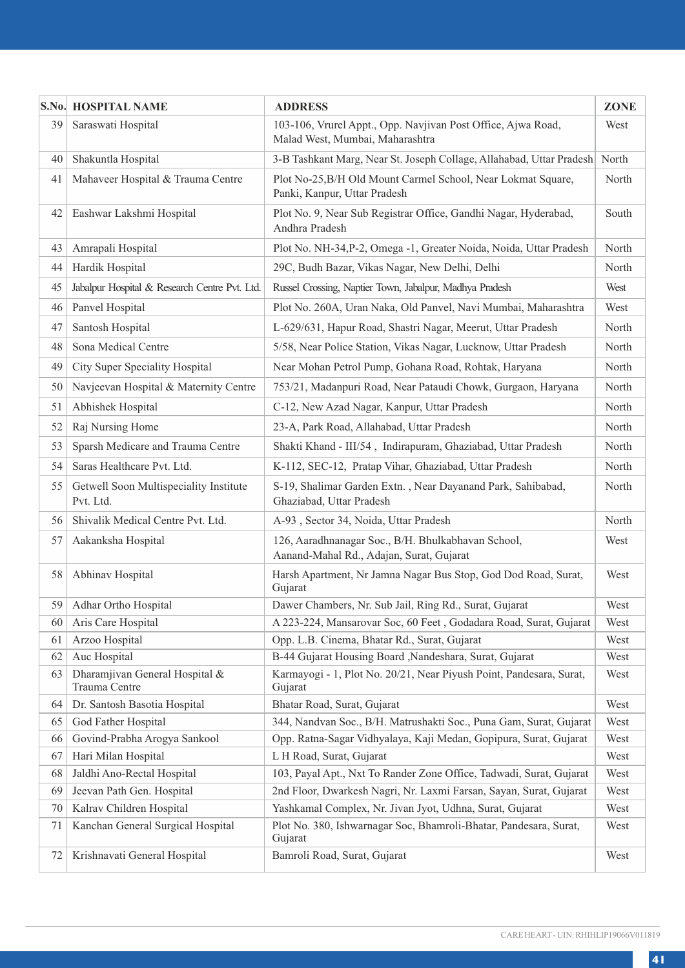|          | S.No. HOSPITAL NAME                                           | <b>ADDRESS</b>                                                                                                                | ZONE         |
|----------|---------------------------------------------------------------|-------------------------------------------------------------------------------------------------------------------------------|--------------|
| 39       | Saraswati Hospital                                            | 103-106, Vrurel Appt., Opp. Navjivan Post Office, Ajwa Road,<br>Malad West, Mumbai, Maharashtra                               | West         |
| 40       | Shakuntla Hospital                                            | 3-B Tashkant Marg, Near St. Joseph Collage, Allahabad, Uttar Pradesh                                                          | North        |
| 41       | Mahaveer Hospital & Trauma Centre                             | Plot No-25, B/H Old Mount Carmel School, Near Lokmat Square,<br>Panki, Kanpur, Uttar Pradesh                                  | North        |
| 42       | Eashwar Lakshmi Hospital                                      | Plot No. 9, Near Sub Registrar Office, Gandhi Nagar, Hyderabad,<br>Andhra Pradesh                                             | South        |
| 43       | Amrapali Hospital                                             | Plot No. NH-34, P-2, Omega -1, Greater Noida, Noida, Uttar Pradesh                                                            | North        |
| 44       | Hardik Hospital                                               | 29C, Budh Bazar, Vikas Nagar, New Delhi, Delhi                                                                                | North        |
| 45       | Jabalpur Hospital & Research Centre Pvt. Ltd.                 | Russel Crossing, Naptier Town, Jabalpur, Madhya Pradesh                                                                       | West         |
| 46       | Panvel Hospital                                               | Plot No. 260A, Uran Naka, Old Panvel, Navi Mumbai, Maharashtra                                                                | West         |
| 47       | Santosh Hospital                                              | L-629/631, Hapur Road, Shastri Nagar, Meerut, Uttar Pradesh                                                                   | North        |
| 48       | Sona Medical Centre                                           | 5/58, Near Police Station, Vikas Nagar, Lucknow, Uttar Pradesh                                                                | North        |
| 49       | City Super Speciality Hospital                                | Near Mohan Petrol Pump, Gohana Road, Rohtak, Haryana                                                                          | North        |
| 50       | Navjeevan Hospital & Maternity Centre                         | 753/21, Madanpuri Road, Near Pataudi Chowk, Gurgaon, Haryana                                                                  | North        |
| 51       | Abhishek Hospital                                             | C-12, New Azad Nagar, Kanpur, Uttar Pradesh                                                                                   | North        |
| 52       | Raj Nursing Home                                              | 23-A, Park Road, Allahabad, Uttar Pradesh                                                                                     | North        |
| 53       | Sparsh Medicare and Trauma Centre                             | Shakti Khand - III/54, Indirapuram, Ghaziabad, Uttar Pradesh                                                                  | North        |
| 54       | Saras Healthcare Pvt. Ltd.                                    | K-112, SEC-12, Pratap Vihar, Ghaziabad, Uttar Pradesh                                                                         | North        |
| 55       | Getwell Soon Multispeciality Institute<br>Pvt. Ltd.           | S-19, Shalimar Garden Extn., Near Dayanand Park, Sahibabad,<br>Ghaziabad, Uttar Pradesh                                       | North        |
| 56       | Shivalik Medical Centre Pvt. Ltd.                             | A-93, Sector 34, Noida, Uttar Pradesh                                                                                         | North        |
| 57       | Aakanksha Hospital                                            | 126, Aaradhnanagar Soc., B/H. Bhulkabhavan School,<br>Aanand-Mahal Rd., Adajan, Surat, Gujarat                                | West         |
| 58       | Abhinav Hospital                                              | Harsh Apartment, Nr Jamna Nagar Bus Stop, God Dod Road, Surat,<br>Gujarat                                                     | West         |
| 59       | Adhar Ortho Hospital                                          | Dawer Chambers, Nr. Sub Jail, Ring Rd., Surat, Gujarat                                                                        | West         |
| 60       | Aris Care Hospital                                            | A 223-224, Mansarovar Soc, 60 Feet, Godadara Road, Surat, Gujarat                                                             | West         |
| 61       | Arzoo Hospital                                                | Opp. L.B. Cinema, Bhatar Rd., Surat, Gujarat                                                                                  | West         |
| 62       | Auc Hospital                                                  | B-44 Gujarat Housing Board , Nandeshara, Surat, Gujarat                                                                       | West         |
| 63       | Dharamjivan General Hospital &<br>Trauma Centre               | Karmayogi - 1, Plot No. 20/21, Near Piyush Point, Pandesara, Surat,<br>Gujarat                                                | West         |
| 64       | Dr. Santosh Basotia Hospital                                  | Bhatar Road, Surat, Gujarat                                                                                                   | West         |
| 65       | God Father Hospital                                           | 344, Nandvan Soc., B/H. Matrushakti Soc., Puna Gam, Surat, Gujarat                                                            | West         |
| 66       | Govind-Prabha Arogya Sankool                                  | Opp. Ratna-Sagar Vidhyalaya, Kaji Medan, Gopipura, Surat, Gujarat                                                             | West         |
| 67       | Hari Milan Hospital                                           | L H Road, Surat, Gujarat                                                                                                      | West         |
| 68       | Jaldhi Ano-Rectal Hospital                                    | 103, Payal Apt., Nxt To Rander Zone Office, Tadwadi, Surat, Gujarat                                                           | West         |
| 69       | Jeevan Path Gen. Hospital                                     | 2nd Floor, Dwarkesh Nagri, Nr. Laxmi Farsan, Sayan, Surat, Gujarat                                                            | West<br>West |
| 70<br>71 | Kalrav Children Hospital<br>Kanchan General Surgical Hospital | Yashkamal Complex, Nr. Jivan Jyot, Udhna, Surat, Gujarat<br>Plot No. 380, Ishwarnagar Soc, Bhamroli-Bhatar, Pandesara, Surat, | West         |
| 72       | Krishnavati General Hospital                                  | Gujarat<br>Bamroli Road, Surat, Gujarat                                                                                       | West         |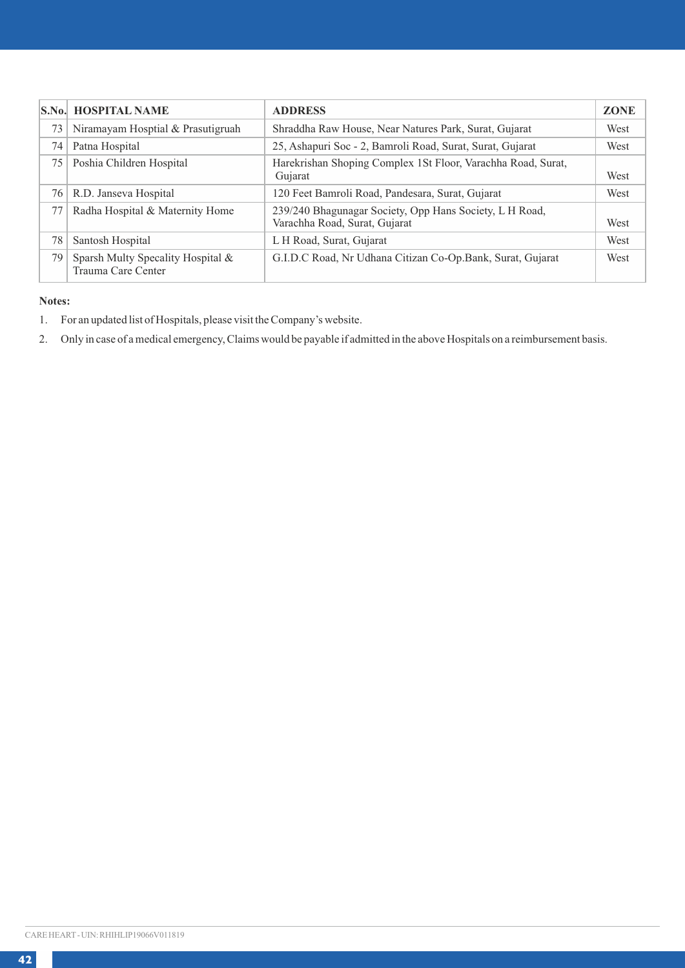|    | <b>S.No. HOSPITAL NAME</b>                              | <b>ADDRESS</b>                                                                           | <b>ZONE</b> |
|----|---------------------------------------------------------|------------------------------------------------------------------------------------------|-------------|
| 73 | Niramayam Hosptial & Prasutigruah                       | Shraddha Raw House, Near Natures Park, Surat, Gujarat                                    | West        |
| 74 | Patna Hospital                                          | 25, Ashapuri Soc - 2, Bamroli Road, Surat, Surat, Gujarat                                | West        |
| 75 | Poshia Children Hospital                                | Harekrishan Shoping Complex 1St Floor, Varachha Road, Surat,<br>Gujarat                  | West        |
| 76 | R.D. Janseva Hospital                                   | 120 Feet Bamroli Road, Pandesara, Surat, Gujarat                                         | West        |
| 77 | Radha Hospital & Maternity Home                         | 239/240 Bhagunagar Society, Opp Hans Society, L H Road,<br>Varachha Road, Surat, Gujarat | West        |
| 78 | Santosh Hospital                                        | L H Road, Surat, Gujarat                                                                 | West        |
| 79 | Sparsh Multy Specality Hospital &<br>Trauma Care Center | G.I.D.C Road, Nr Udhana Citizan Co-Op.Bank, Surat, Gujarat                               | West        |

### **Notes:**

- 1. For an updated list of Hospitals, please visit the Company's website.
- 2. Only in case of a medical emergency, Claims would be payable if admitted in the above Hospitals on a reimbursement basis.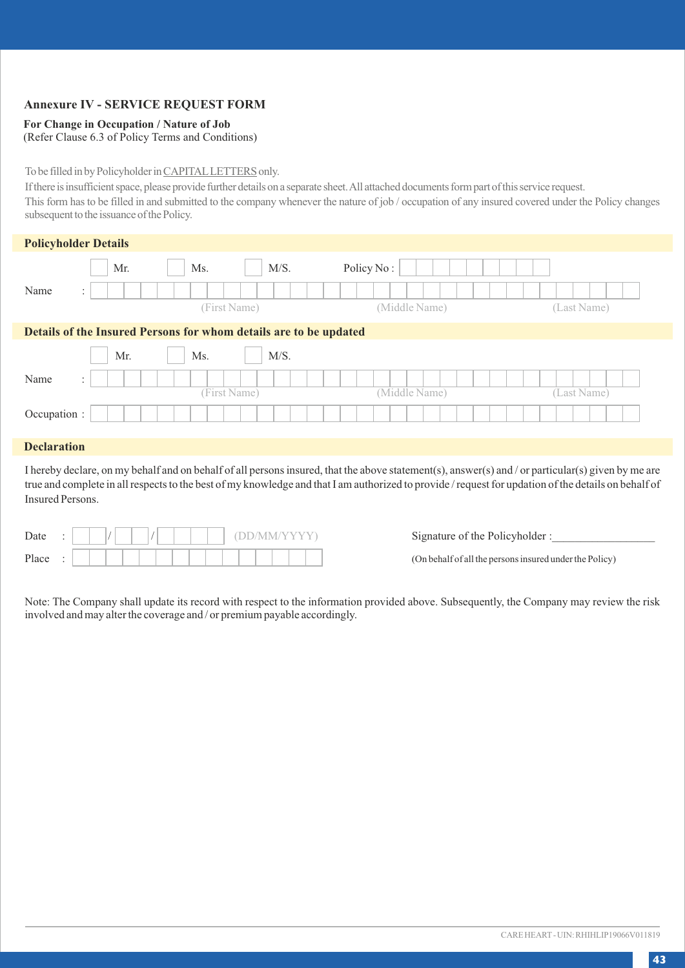### **Annexure IV - SERVICE REQUEST FORM**

### **For Change in Occupation / Nature of Job**

(Refer Clause 6.3 of Policy Terms and Conditions)

### To be filled in by Policyholder in CAPITALLETTERS only.

If there is insufficient space, please provide further details on a separate sheet. All attached documents form part of this service request.

This form has to be filled in and submitted to the company whenever the nature of job / occupation of any insured covered under the Policy changes subsequent to the issuance of the Policy.

|      | <b>Policyholder Details</b>            |                                                                   |               |             |
|------|----------------------------------------|-------------------------------------------------------------------|---------------|-------------|
|      | Mr.                                    | M/S.<br>Ms.                                                       | Policy No:    |             |
| Name | $\ddot{\phantom{1}}$<br>$\sim$         |                                                                   |               |             |
|      |                                        | (First Name)                                                      | (Middle Name) | (Last Name) |
|      |                                        | Details of the Insured Persons for whom details are to be updated |               |             |
|      | Mr.                                    | M/S.<br>Ms.                                                       |               |             |
| Name | $\ddot{\phantom{1}}$<br>$\overline{a}$ |                                                                   |               |             |

(First Name) (Middle Name) (Last Name)

# Occupation : **Declaration**

I hereby declare, on my behalf and on behalf of all persons insured, that the above statement(s), answer(s) and / or particular(s) given by me are true and complete in all respects to the best of my knowledge and that I am authorized to provide / request for updation of the details on behalf of Insured Persons.

| Date  | ٠ |  |  |  |  |  |  |  |  |  |  |  |  |
|-------|---|--|--|--|--|--|--|--|--|--|--|--|--|
| Place |   |  |  |  |  |  |  |  |  |  |  |  |  |

Signature of the Policyholder :

(On behalf of all the persons insured under the Policy)

Note: The Company shall update its record with respect to the information provided above. Subsequently, the Company may review the risk involved and may alter the coverage and / or premium payable accordingly.